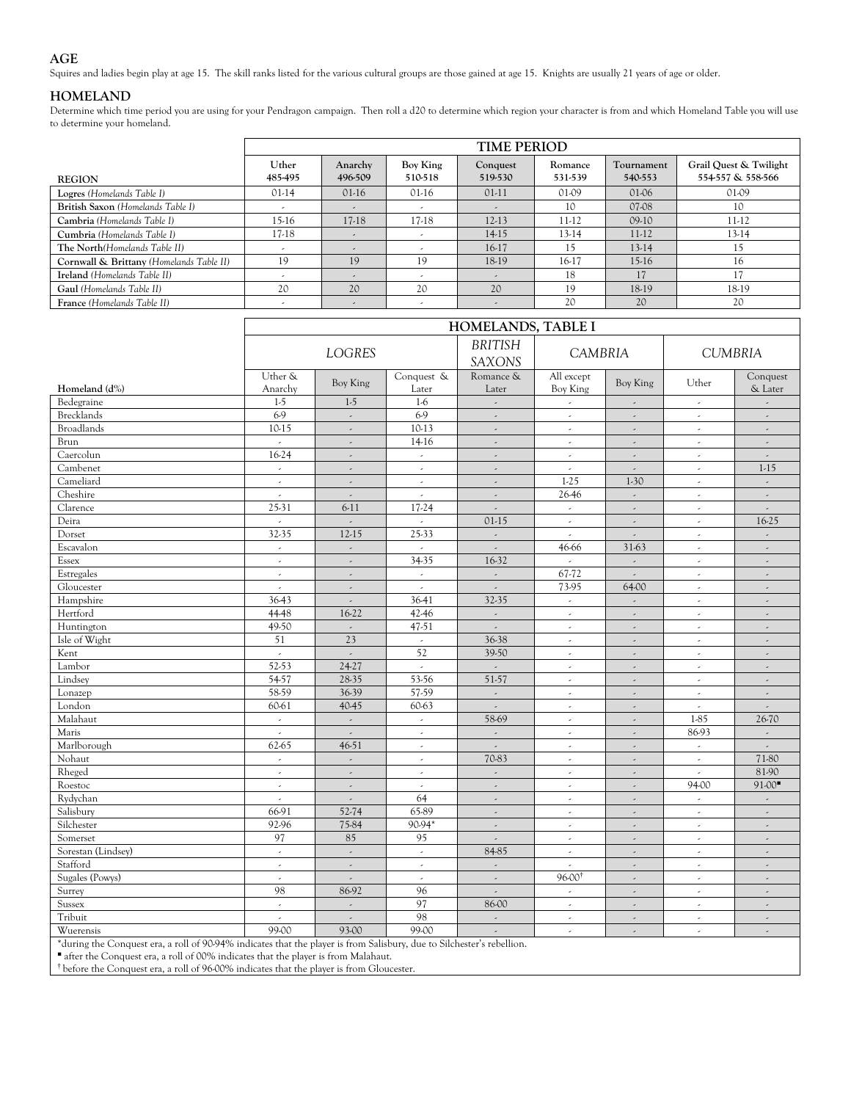## **AGE**

Squires and ladies begin play at age 15. The skill ranks listed for the various cultural groups are those gained at age 15. Knights are usually 21 years of age or older.

## **HOMELAND**

Determine which time period you are using for your Pendragon campaign. Then roll a d20 to determine which region your character is from and which Homeland Table you will use to determine your homeland.

|                                          |                          |                          |                     | <b>TIME PERIOD</b>       |                    |                       |                                             |
|------------------------------------------|--------------------------|--------------------------|---------------------|--------------------------|--------------------|-----------------------|---------------------------------------------|
| <b>REGION</b>                            | Uther<br>485-495         | Anarchy<br>496-509       | Boy King<br>510-518 | Conquest<br>519-530      | Romance<br>531-539 | Tournament<br>540-553 | Grail Quest & Twilight<br>554-557 & 558-566 |
| Logres (Homelands Table I)               | $01-14$                  | $01-16$                  | $01-16$             | $01-11$                  | $01-09$            | $01-06$               | 01-09                                       |
| British Saxon (Homelands Table I)        | $\overline{\phantom{a}}$ | $\overline{\phantom{a}}$ |                     | $\overline{\phantom{a}}$ | 10                 | 07-08                 | 10                                          |
| Cambria (Homelands Table I)              | 15-16                    | 17-18                    | 17-18               | $12-13$                  | 11-12              | $09-10$               | 11-12                                       |
| Cumbria (Homelands Table I)              | 17-18                    | $\overline{\phantom{a}}$ |                     | 14-15                    | 13-14              | 11-12                 | $13-14$                                     |
| The North (Homelands Table II)           | . .                      | $\overline{a}$           |                     | 16-17                    | 15                 | $13-14$               | 15                                          |
| Cornwall & Brittany (Homelands Table II) | 19                       | 19                       | 19                  | 18-19                    | 16-17              | $15-16$               | 16                                          |
| Ireland (Homelands Table II)             |                          |                          |                     | $\overline{a}$           | 18                 |                       |                                             |
| Gaul (Homelands Table II)                | 20                       | 20                       | 20                  | 20                       | 19                 | 18-19                 | 18-19                                       |
| France (Homelands Table II)              |                          | $\overline{\phantom{a}}$ |                     | $\overline{a}$           | 20                 | 20                    | 20                                          |

|                                                                                                                     |                     | HOMELANDS, TABLE I          |                          |                                 |                             |                          |                          |                          |  |  |  |  |  |  |
|---------------------------------------------------------------------------------------------------------------------|---------------------|-----------------------------|--------------------------|---------------------------------|-----------------------------|--------------------------|--------------------------|--------------------------|--|--|--|--|--|--|
|                                                                                                                     |                     | <b>LOGRES</b>               |                          | <b>BRITISH</b><br><b>SAXONS</b> | <b>CAMBRIA</b>              |                          |                          | <b>CUMBRIA</b>           |  |  |  |  |  |  |
| Homeland (d%)                                                                                                       | Uther &<br>Anarchy  | Boy King                    | Conquest &<br>Later      | Romance &<br>Later              | All except<br>Boy King      | Boy King                 | Uther                    | Conquest<br>& Later      |  |  |  |  |  |  |
| Bedegraine                                                                                                          | $1-5$               | $1-5$                       | $1-6$                    | $\overline{\phantom{a}}$        | $\omega$                    | $\overline{\phantom{a}}$ | $\epsilon$               | $\overline{\phantom{a}}$ |  |  |  |  |  |  |
| <b>Brecklands</b>                                                                                                   | 6.9                 | $\overline{\phantom{a}}$    | 6.9                      | $\overline{\phantom{a}}$        | $\overline{a}$              | $\overline{\phantom{a}}$ | $\overline{\phantom{a}}$ |                          |  |  |  |  |  |  |
| <b>Broadlands</b>                                                                                                   | 10-15               | $\omega$                    | 10-13                    | $\overline{\phantom{a}}$        | $\sim$                      | $\sim$                   | $\epsilon$               | $\overline{\phantom{a}}$ |  |  |  |  |  |  |
| Brun                                                                                                                | $\sim$              | $\overline{\phantom{a}}$    | 14-16                    | $\omega$                        | $\sim$                      | $\overline{\phantom{a}}$ | $\epsilon$               | $\overline{\phantom{a}}$ |  |  |  |  |  |  |
| Caercolun                                                                                                           | 16-24               | $\bar{\mathcal{L}}$         | $\omega$                 | $\overline{\phantom{a}}$        | $\sim$                      | $\overline{\phantom{a}}$ | $\omega$                 | $\overline{\phantom{a}}$ |  |  |  |  |  |  |
| Cambenet                                                                                                            | $\mathcal{L}$       | $\overline{\phantom{a}}$    | $\epsilon$               | $\overline{\phantom{a}}$        | $\omega$                    | $\overline{\phantom{a}}$ | $\overline{\phantom{a}}$ | $1-15$                   |  |  |  |  |  |  |
| Cameliard                                                                                                           | $\omega$            | $\mathcal{L}$               | $\omega$                 | $\mathcal{L}$                   | $1-25$                      | $1-30$                   | $\omega$                 | $\mathcal{L}$            |  |  |  |  |  |  |
| Cheshire                                                                                                            | $\mathcal{L}$       | $\mathcal{L}_{\mathcal{A}}$ | $\epsilon$               | $\overline{\phantom{a}}$        | 26-46                       | $\omega$                 | $\overline{\phantom{a}}$ | $\bar{\epsilon}$         |  |  |  |  |  |  |
| Clarence                                                                                                            | $25 - 31$           | $6-11$                      | 17-24                    | $\mathbb{R}^2$                  | $\omega$                    | $\omega$                 | $\overline{\phantom{a}}$ |                          |  |  |  |  |  |  |
| Deira                                                                                                               | $\omega$            | $\overline{a}$              | $\omega$                 | $01-15$                         | $\omega$                    | $\mathbb{R}^2$           | $\overline{\phantom{a}}$ | 16-25                    |  |  |  |  |  |  |
| Dorset                                                                                                              | 32-35               | 12-15                       | 25-33                    | $\overline{\phantom{a}}$        | $\sim$                      | $\omega$                 | $\overline{\phantom{a}}$ | $\overline{\phantom{a}}$ |  |  |  |  |  |  |
| Escavalon                                                                                                           | $\mathcal{L}^{\pm}$ | $\mathbb{R}^2$              | $\mathcal{L}$            | $\mathcal{L}$                   | 46-66                       | 31-63                    | $\mathcal{L}^{\pm}$      | $\overline{\phantom{a}}$ |  |  |  |  |  |  |
| Essex                                                                                                               | $\mathcal{L}$       | $\overline{\phantom{a}}$    | 34-35                    | 16-32                           | $\sim$                      | $\overline{\phantom{a}}$ | $\overline{\phantom{a}}$ | $\overline{\phantom{a}}$ |  |  |  |  |  |  |
| Estregales                                                                                                          | $\mathcal{L}$       | $\mathbb{R}^2$              | $\mathcal{L}^{\pm}$      | $\mathcal{L}$                   | 67-72                       | $\mathcal{L}$            | $\omega$                 | $\overline{\phantom{a}}$ |  |  |  |  |  |  |
| Gloucester                                                                                                          | $\mathcal{L}$       | $\bar{\mathcal{L}}$         | $\mathcal{L}$            | $\mathbb{R}^2$                  | 73-95                       | 64-00                    | $\overline{\phantom{a}}$ | $\overline{\phantom{a}}$ |  |  |  |  |  |  |
| Hampshire                                                                                                           | 36-43               | $\overline{\phantom{a}}$    | 36-41                    | 32-35                           | $\epsilon$                  | $\overline{\phantom{a}}$ | $\overline{\phantom{a}}$ |                          |  |  |  |  |  |  |
| Hertford                                                                                                            | 44-48               | 16-22                       | 42-46                    | $\omega$                        | $\sim$                      | $\mathcal{L}$            | $\epsilon$               | $\overline{\phantom{a}}$ |  |  |  |  |  |  |
| Huntington                                                                                                          | 49-50               | $\omega$                    | 47-51                    | $\mathcal{L}$                   | $\sim$                      | $\overline{\phantom{a}}$ | $\overline{\phantom{a}}$ | $\overline{\phantom{a}}$ |  |  |  |  |  |  |
| Isle of Wight                                                                                                       | 51                  | 23                          | $\mathcal{L}^{\pm}$      | 36-38                           | $\mathcal{L}^{\mathcal{L}}$ | J.                       | $\mathcal{L}$            | $\overline{\phantom{a}}$ |  |  |  |  |  |  |
| Kent                                                                                                                | $\sim$              | $\mathbb{R}^2$              | 52                       | 39-50                           | $\omega$                    | $\bar{\mathcal{L}}$      | $\omega$                 | $\bar{\mathcal{L}}$      |  |  |  |  |  |  |
| Lambor                                                                                                              | 52-53               | 24-27                       | $\omega$                 | $\sim$                          | $\omega$                    | $\overline{\phantom{a}}$ | $\overline{\phantom{a}}$ | $\bar{\mathcal{L}}$      |  |  |  |  |  |  |
| Lindsey                                                                                                             | 54-57               | 28-35                       | 53-56                    | 51-57                           | $\epsilon$                  | $\overline{\phantom{a}}$ | $\overline{\phantom{a}}$ | $\overline{\phantom{a}}$ |  |  |  |  |  |  |
| Lonazep                                                                                                             | 58-59               | 36-39                       | 57-59                    | $\sim$                          | $\overline{a}$              | $\overline{\phantom{a}}$ | $\overline{\phantom{a}}$ | $\overline{\phantom{a}}$ |  |  |  |  |  |  |
| London                                                                                                              | 60-61               | 40-45                       | 60-63                    | $\bar{\mathcal{L}}$             | $\sim$                      | $\overline{\phantom{a}}$ | $\epsilon$               | $\overline{\phantom{a}}$ |  |  |  |  |  |  |
| Malahaut                                                                                                            | $\sim$              | $\mathcal{L}_{\mathcal{A}}$ | $\epsilon$               | 58-69                           | $\sim$                      | $\overline{\phantom{a}}$ | 1-85                     | 26-70                    |  |  |  |  |  |  |
| Maris                                                                                                               | $\mathcal{L}^{\pm}$ | $\mathcal{L}$               | $\mathcal{L}^{\pm}$      | $\omega$                        | $\mathcal{L}^{\pm}$         | $\omega$                 | 86-93                    | $\mathbb{R}^2$           |  |  |  |  |  |  |
| Marlborough                                                                                                         | 62-65               | 46-51                       | $\epsilon$               | $\epsilon$                      | $\sim$                      | $\overline{\phantom{a}}$ | $\epsilon$               | $\omega$                 |  |  |  |  |  |  |
| Nohaut                                                                                                              | $\mathcal{L}$       | $\omega$                    | $\omega$                 | 70-83                           | $\sim$                      | $\omega$                 | $\omega$                 | 71-80                    |  |  |  |  |  |  |
| Rheged                                                                                                              | $\mathcal{L}$       | $\epsilon$                  | $\epsilon$               | $\overline{\phantom{a}}$        | $\omega$                    | $\hat{\phantom{a}}$      | $\overline{\phantom{a}}$ | 81-90                    |  |  |  |  |  |  |
| Roestoc                                                                                                             | $\omega$            | $\mathcal{L}$               | $\omega$                 | $\omega$                        | $\omega$                    | $\overline{\phantom{a}}$ | 94-00                    | $91-00$                  |  |  |  |  |  |  |
| Rydychan                                                                                                            | $\mathcal{L}$       | $\mathcal{L}$               | 64                       | $\mathbb{R}^2$                  | $\epsilon$                  | $\overline{\phantom{a}}$ | $\epsilon$               | $\omega$                 |  |  |  |  |  |  |
| Salisbury                                                                                                           | 66-91               | 52-74                       | 65-89                    | $\overline{\phantom{a}}$        | $\sim$                      | $\epsilon$               | $\overline{\phantom{a}}$ | $\overline{\phantom{a}}$ |  |  |  |  |  |  |
| Silchester                                                                                                          | 92-96               | 75-84                       | 90-94*                   | $\mathcal{L}$                   | $\mathcal{L}$               | $\bar{\mathcal{L}}$      | $\mathcal{L}^{\pm}$      | $\overline{\phantom{a}}$ |  |  |  |  |  |  |
| Somerset                                                                                                            | 97                  | 85                          | 95                       | $\mathcal{L}$                   | $\omega$                    | $\overline{\phantom{a}}$ | $\omega$                 | $\overline{\phantom{a}}$ |  |  |  |  |  |  |
| Sorestan (Lindsey)                                                                                                  | $\omega$            | $\omega$                    | $\omega$                 | 84-85                           | $\omega$                    | $\omega$                 | $\epsilon$               | $\overline{\phantom{a}}$ |  |  |  |  |  |  |
| Stafford                                                                                                            | $\omega$            | $\bar{\mathcal{L}}$         | $\epsilon$               | $\overline{\phantom{a}}$        | $\omega$                    | $\overline{\phantom{a}}$ | $\overline{\phantom{a}}$ | $\overline{\phantom{a}}$ |  |  |  |  |  |  |
| Sugales (Powys)                                                                                                     | J.                  | $\mathbb{R}^2$              | $\overline{\phantom{a}}$ | $\overline{\phantom{a}}$        | 96-00 <sup>t</sup>          | $\hat{\phantom{a}}$      | $\overline{\phantom{a}}$ |                          |  |  |  |  |  |  |
| Surrey                                                                                                              | 98                  | 86-92                       | 96                       | $\overline{\phantom{a}}$        | $\omega$                    | $\overline{\phantom{a}}$ | $\epsilon$               | $\overline{\phantom{a}}$ |  |  |  |  |  |  |
| <b>Sussex</b>                                                                                                       | $\epsilon$          | $\mathcal{L}$               | 97                       | 86-00                           | $\epsilon$                  | $\overline{\phantom{a}}$ | $\overline{\phantom{a}}$ | $\overline{\phantom{a}}$ |  |  |  |  |  |  |
| Tribuit                                                                                                             | $\mathcal{L}$       | $\mathbb{R}^2$              | 98                       | $\mathbb{R}^3$                  | $\sim$                      | $\bar{\mathcal{L}}$      | $\omega$                 | $\bar{\mathcal{L}}$      |  |  |  |  |  |  |
| Wuerensis                                                                                                           | 99-00               | 93-00                       | 99-00                    | $\sim$                          | $\omega$                    | $\overline{\phantom{a}}$ | $\overline{\phantom{a}}$ | $\overline{\phantom{a}}$ |  |  |  |  |  |  |
| *during the Conquest are a roll of 00,04% indicates that the player is from Salisbury due to Silchester's rebellion |                     |                             |                          |                                 |                             |                          |                          |                          |  |  |  |  |  |  |

\*during the Conquest era, a roll of 90-94% indicates that the player is from Salisbury, due to Silchester's rebellion.

■ after the Conquest era, a roll of 00% indicates that the player is from Malahaut.

† before the Conquest era, a roll of 96-00% indicates that the player is from Gloucester.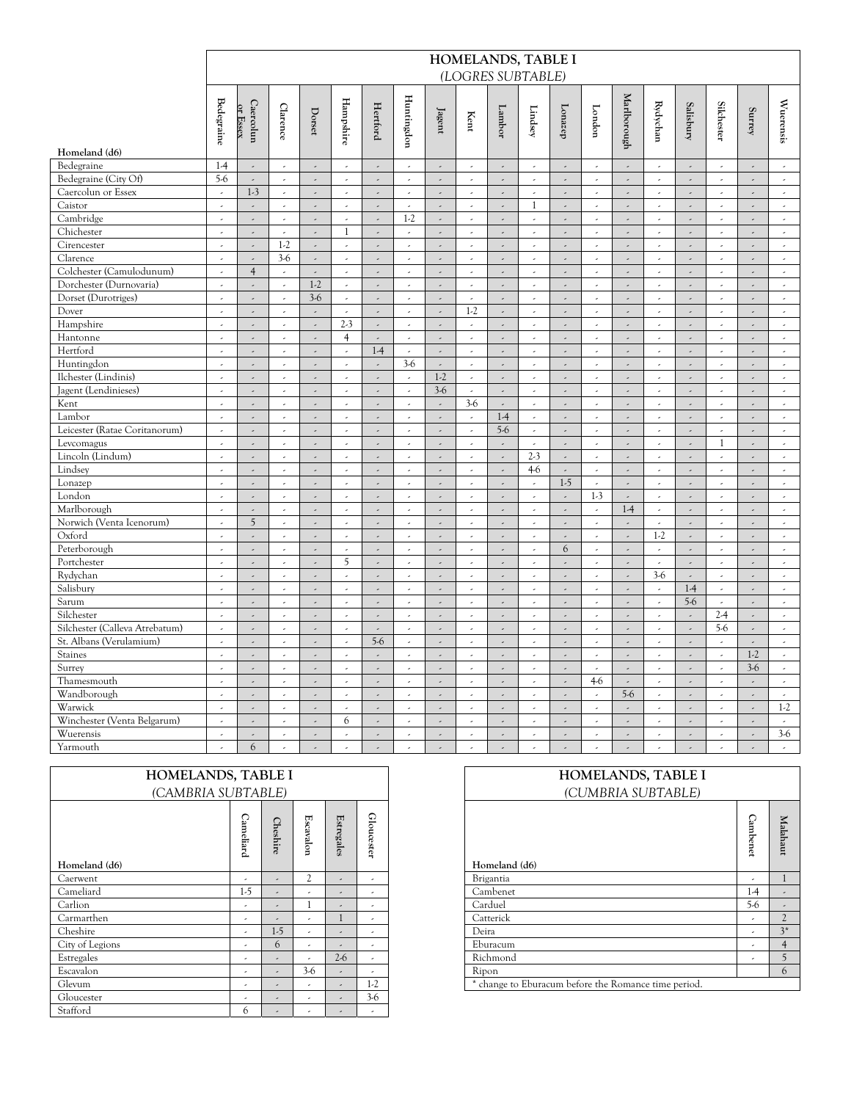|                                | HOMELANDS, TABLE I          |                          |                          |                            |                             |                            |                          |                          |                          |                          |                                   |                          |                            |                             |                          |                             |                          |                             |                             |
|--------------------------------|-----------------------------|--------------------------|--------------------------|----------------------------|-----------------------------|----------------------------|--------------------------|--------------------------|--------------------------|--------------------------|-----------------------------------|--------------------------|----------------------------|-----------------------------|--------------------------|-----------------------------|--------------------------|-----------------------------|-----------------------------|
|                                |                             |                          |                          |                            |                             |                            |                          |                          |                          |                          | (LOGRES SUBTABLE)                 |                          |                            |                             |                          |                             |                          |                             |                             |
|                                |                             |                          |                          |                            |                             |                            |                          |                          |                          |                          |                                   |                          |                            |                             |                          |                             |                          |                             |                             |
|                                | <b>Bedegraine</b>           | Caercolun<br>or Essex    | Clarence                 | $_{\rm Dorset}$            | Hampshire                   | Hertford                   | Huntingdon               | Jagent                   | Kent                     | Lambor                   | $\mathop{\hbox{\rm Li}}\nolimits$ | Lonazep                  | London                     | Marlborough                 | Rydychan                 | Salisbury                   | <b>Silchester</b>        | Surrey                      | Wuerensis                   |
| Homeland (d6)                  |                             |                          |                          |                            |                             |                            |                          |                          |                          |                          |                                   |                          |                            |                             |                          |                             |                          |                             |                             |
| Bedegraine                     | $1-4$                       | $\overline{\phantom{a}}$ | $\overline{\phantom{a}}$ | $\overline{\phantom{a}}$   | $\overline{\phantom{a}}$    | $\overline{\phantom{a}}$   | $\overline{\phantom{a}}$ | $\overline{\phantom{a}}$ | $\epsilon$               | $\hat{\mathcal{L}}$      | $\overline{\phantom{a}}$          | $\overline{\phantom{a}}$ | $\overline{\phantom{a}}$   | $\overline{\phantom{a}}$    | $\overline{\phantom{a}}$ | $\overline{\phantom{a}}$    | $\epsilon$               | $\overline{\phantom{a}}$    | $\epsilon$                  |
| Bedegraine (City Of)           | $5-6$                       | $\overline{\phantom{a}}$ |                          | $\overline{\phantom{a}}$   | $\overline{\phantom{a}}$    | $\omega$                   | $\overline{\phantom{a}}$ | $\omega$                 | $\sim$                   | $\overline{\phantom{a}}$ | $\epsilon$                        | $\overline{\phantom{a}}$ | $\overline{\phantom{a}}$   | $\overline{\phantom{a}}$    | $\epsilon$               | $\omega$                    | $\epsilon$               | $\overline{\phantom{a}}$    | $\sim$                      |
| Caercolun or Essex             | $\overline{\phantom{a}}$    | $1-3$                    | ä,                       | $\overline{\phantom{a}}$   | J,                          | $\epsilon$                 | k,                       | $\epsilon$               | $\bar{\mathcal{L}}$      | $\epsilon$               | $\overline{\phantom{a}}$          | $\overline{\phantom{a}}$ | $\overline{\phantom{a}}$   | $\bar{\mathcal{L}}$         | $\overline{\phantom{a}}$ | $\omega$                    | J,                       | $\overline{\phantom{a}}$    | ä,                          |
| Caistor                        | $\omega$                    | $\mathcal{L}$            | $\bar{\mathcal{L}}$      | $\overline{\phantom{a}}$   | $\mathcal{L}$               | $\mathbb{R}^2$             | $\mathcal{L}$            | $\mathcal{L}$            | $\mathcal{L}$            | $\mathbb{R}^2$           | $\mathbf{1}$                      | $\overline{a}$           | J.                         | $\mathcal{L}$               | $\mathcal{L}$            | $\mathbb{R}^2$              | $\mathcal{L}$            | $\mathbb{R}^2$              | $\mathcal{L}$               |
| Cambridge                      | $\overline{\phantom{a}}$    | $\overline{\phantom{a}}$ | $\overline{\phantom{a}}$ | $\overline{\phantom{a}}$   | $\overline{\phantom{a}}$    | $\omega$                   | $1-2$                    | $\overline{\phantom{a}}$ | $\epsilon$               | $\overline{\phantom{a}}$ | $\epsilon$                        | $\overline{a}$           | $\overline{\phantom{a}}$   | $\overline{\phantom{a}}$    | $\overline{\phantom{a}}$ | $\overline{\phantom{a}}$    | $\overline{\phantom{a}}$ | $\mathcal{L}_{\mathcal{A}}$ | $\hat{\mathcal{L}}$         |
| Chichester                     | J,                          | $\bar{\mathcal{L}}$      | $\bar{\mathcal{L}}$      | $\hat{\phantom{a}}$        | $\mathbf{1}$                | $\bar{\mathcal{L}}$        | $\mathcal{L}$            | $\omega$                 | $\bar{\mathcal{L}}$      | $\overline{\phantom{a}}$ | $\bar{\mathcal{L}}$               | $\epsilon$               | $\hat{\boldsymbol{\beta}}$ | $\bar{\mathcal{L}}$         | $\bar{\mathcal{L}}$      | $\omega$                    | ä,                       | $\omega$                    | $\epsilon$                  |
| Cirencester                    | $\overline{\phantom{a}}$    | $\overline{\phantom{a}}$ | $1-2$                    | $\overline{\phantom{a}}$   | $\epsilon$                  | $\overline{\phantom{a}}$   | $\overline{\phantom{a}}$ | $\overline{\phantom{a}}$ | $\sim$                   | $\overline{\phantom{a}}$ | $\epsilon$                        | $\overline{\phantom{a}}$ | $\overline{\phantom{a}}$   | $\overline{\phantom{a}}$    | J,                       | $\overline{\phantom{a}}$    | $\overline{\phantom{a}}$ | $\overline{\phantom{a}}$    | $\overline{\phantom{a}}$    |
| Clarence                       | J,                          | $\epsilon$               | $3-6$                    | $\overline{\phantom{a}}$   | J,                          | $\bar{\phantom{a}}$        | k,                       | $\overline{\phantom{a}}$ | $\bar{\mathcal{L}}$      | $\overline{\phantom{a}}$ | $\bar{\mathcal{L}}$               | J,                       | J,                         | $\mathcal{L}_{\mathcal{A}}$ | k,                       | $\bar{\gamma}$              | k,                       | $\overline{\phantom{a}}$    | $\omega$                    |
| Colchester (Camulodunum)       | $\mathcal{L}$               | $\overline{4}$           | $\sim$                   | $\sim$                     | $\mathcal{L}$               | $\mathcal{L}$              | $\mathcal{L}$            | $\mathcal{L}$            | $\mathcal{L}$            | $\mathcal{L}$            | $\mathcal{L}$                     | $\mathcal{L}$            | $\bar{\mathcal{L}}$        | $\mathcal{L}$               | $\mathcal{L}$            | $\mathcal{L}$               | $\mathcal{L}$            | $\mathcal{L}^{\pm}$         | $\omega$                    |
| Dorchester (Durnovaria)        | $\overline{\phantom{a}}$    | $\overline{\phantom{a}}$ | $\overline{\phantom{a}}$ | $1-2$                      | $\omega$                    | $\overline{\phantom{a}}$   | $\bar{\phantom{a}}$      | $\overline{\phantom{a}}$ | $\overline{\phantom{a}}$ | $\overline{\phantom{a}}$ | $\epsilon$                        | $\overline{a}$           | $\overline{\phantom{a}}$   | $\hat{\phantom{a}}$         | $\bar{\phantom{a}}$      | $\overline{\phantom{a}}$    | $\bar{\phantom{a}}$      | $\overline{\phantom{a}}$    | $\sim$                      |
| Dorset (Durotriges)            | $\overline{a}$              | $\bar{\mathcal{L}}$      | $\bar{\mathcal{L}}$      | $3-6$                      | $\mathcal{L}$               | $\omega$                   | $\mathcal{L}$            | $\mathbb{R}^2$           | $\mathcal{L}$            | $\mathbb{R}^2$           | $\mathcal{L}$                     | $\omega$                 | $\hat{\boldsymbol{\beta}}$ | $\mathcal{L}$               | $\mathcal{L}$            | $\omega$                    | $\mathcal{L}$            | $\mathbb{R}^2$              | $\sim$                      |
| Dover                          | $\bar{\phantom{a}}$         | $\overline{\phantom{a}}$ | $\bar{\phantom{a}}$      | $\overline{\phantom{a}}$   | $\overline{\phantom{a}}$    | $\bar{\mathcal{L}}$        | $\bar{\phantom{a}}$      | J.                       | $1-2$                    | $\bar{\mathcal{L}}$      | $\overline{\phantom{a}}$          | $\overline{\phantom{a}}$ | $\overline{\phantom{a}}$   | $\mathcal{L}$               | J,                       | $\overline{\phantom{a}}$    | $\bar{\phantom{a}}$      | $\epsilon$                  | $\epsilon$                  |
| Hampshire                      | $\overline{\phantom{a}}$    | $\overline{\phantom{a}}$ | J,                       | $\overline{\phantom{a}}$   | $2-3$                       | $\epsilon$                 | J,                       | $\overline{\phantom{a}}$ |                          | $\overline{\phantom{a}}$ | $\overline{\phantom{a}}$          | $\overline{a}$           | J,                         | $\overline{\phantom{a}}$    | ä,                       | $\omega$                    | J,                       | $\overline{\phantom{a}}$    | $\bar{\phantom{a}}$         |
| Hantonne                       | $\mathcal{L}$               | $\mathcal{L}$            | $\mathcal{L}$            | $\mathbb{R}^2$             | $\overline{4}$              | $\mathbb{R}^2$             | $\mathcal{L}$            | $\bar{\mathcal{L}}$      | $\mathcal{L}$            | $\mathcal{L}$            | $\mathcal{L}$                     | $\mathcal{L}$            | J,                         | $\mathcal{L}$               | $\mathcal{L}$            | $\omega$                    | $\mathcal{L}$            | $\omega$                    | $\omega$                    |
| Hertford                       | $\overline{\phantom{a}}$    | $\overline{a}$           | $\overline{\phantom{a}}$ | $\overline{\phantom{a}}$   | $\overline{\phantom{a}}$    | $1-4$                      | $\overline{\phantom{a}}$ | $\overline{\phantom{a}}$ | $\epsilon$               | $\hat{\mathcal{L}}$      | $\overline{\phantom{a}}$          | $\overline{a}$           | $\overline{\phantom{a}}$   | $\hat{\phantom{a}}$         | k,                       | $\overline{\phantom{a}}$    | $\overline{\phantom{a}}$ | $\mathcal{L}_{\mathcal{A}}$ | $\epsilon$                  |
| Huntingdon                     | $\overline{\phantom{a}}$    | $\bar{\mathcal{L}}$      | $\overline{\phantom{a}}$ | $\mathbb{R}^2$             | $\mathcal{L}$               | $\omega$                   | $3-6$                    | $\omega$                 | $\omega$                 | $\omega$                 | $\epsilon$                        | k,                       | $\bar{\phantom{a}}$        | $\mathcal{L}_{\mathcal{A}}$ | $\mathcal{L}$            | $\omega$                    | $\omega$                 | $\mathbb{R}^{\mathbb{Z}}$   | $\mathcal{L}_{\mathcal{C}}$ |
| Ilchester (Lindinis)           | $\overline{\phantom{a}}$    | $\overline{\phantom{a}}$ |                          | $\overline{\phantom{a}}$   | $\overline{\phantom{a}}$    | $\overline{\phantom{a}}$   | $\overline{\phantom{a}}$ | $1-2$                    | $\mathcal{L}$            | $\mathbb{R}^2$           | $\tilde{\phantom{a}}$             | $\overline{\phantom{a}}$ | $\overline{\phantom{a}}$   | $\bar{\mathcal{L}}$         | ä,                       | $\overline{\phantom{a}}$    | $\overline{\phantom{a}}$ | $\omega$                    | $\hat{\mathcal{L}}$         |
| Jagent (Lendinieses)           | $\hat{\mathcal{L}}$         | $\overline{\phantom{a}}$ | $\bar{\epsilon}$         | $\overline{\phantom{a}}$   | k,                          | $\mathbb{R}^2$             | k,                       | $3-6$                    | $\bar{\mathcal{L}}$      | $\mathcal{L}$            | $\hat{\boldsymbol{\cdot} }$       | $\overline{a}$           | J.                         | $\bar{\mathcal{L}}$         | $\hat{\phantom{a}}$      | $\epsilon$                  | k,                       | $\overline{\phantom{a}}$    | $\epsilon$                  |
| Kent                           | $\mathcal{L}$               | $\mathcal{L}$            | $\mathcal{L}$            | $\overline{\phantom{a}}$   | $\sim$                      | $\mathcal{L}$              | $\sim$                   | $\mathcal{L}$            | $3-6$                    | $\mathcal{L}$            | $\mathcal{L}$                     | $\mathcal{L}$            | $\mathcal{L}$              | $\mathcal{L}$               | $\mathcal{L}$            | $\mathbb{R}^2$              | $\mathcal{L}$            | $\mathcal{L}$               | $\mathcal{L}$               |
| Lambor                         | $\overline{\phantom{a}}$    | $\overline{a}$           | $\overline{\phantom{a}}$ | $\overline{\phantom{a}}$   | $\overline{\phantom{a}}$    | $\overline{\phantom{a}}$   | $\overline{\phantom{a}}$ | $\omega$                 | $\epsilon$               | $1-4$                    | $\overline{\phantom{a}}$          | $\overline{\phantom{a}}$ | $\lambda$                  | $\overline{\phantom{a}}$    | $\overline{\phantom{a}}$ | $\overline{\phantom{a}}$    | $\overline{\phantom{a}}$ | $\mathcal{L}_{\mathcal{A}}$ | $\hat{\mathcal{L}}$         |
| Leicester (Ratae Coritanorum)  | $\omega$                    | J.                       | $\omega$                 | $\hat{\boldsymbol{\beta}}$ | $\mathcal{L}$               | $\mathbb{R}^2$             | $\omega$                 | ä,                       | $\mathcal{L}$            | $5-6$                    | $\mathcal{L}$                     | $\overline{\phantom{a}}$ | J,                         | $\mathcal{L}$               | J,                       | $\mathbb{R}^2$              | ¥.                       | $\omega$                    | $\mathcal{L}_{\mathcal{A}}$ |
| Levcomagus                     | $\overline{\phantom{a}}$    | $\overline{a}$           | J.                       | $\overline{\phantom{a}}$   |                             | $\omega$                   | $\overline{a}$           | $\mathbb{R}^2$           | $\sim$                   | $\overline{\phantom{a}}$ | $\overline{\phantom{a}}$          | $\overline{\phantom{a}}$ | $\overline{\phantom{a}}$   | $\bar{\mathcal{L}}$         | J.                       | $\bar{\mathcal{L}}$         | $\mathbf{1}$             | $\overline{\phantom{a}}$    | $\overline{\phantom{a}}$    |
| Lincoln (Lindum)               | $\overline{\phantom{a}}$    | $\overline{a}$           | $\bar{\phantom{a}}$      | $\overline{\phantom{a}}$   | $\overline{\phantom{a}}$    | $\bar{\mathcal{L}}$        | J,                       | $\epsilon$               | $\omega$                 | $\epsilon$               | $2-3$                             | $\epsilon$               | $\overline{\phantom{a}}$   | $\mathcal{L}_{\mathcal{A}}$ | J,                       | $\omega$                    | J,                       | $\epsilon$                  | $\epsilon$                  |
| Lindsey                        | $\mathcal{L}_{\mathcal{A}}$ | $\mathcal{L}$            | $\sim$                   | $\overline{\phantom{a}}$   | $\mathcal{L}$               | $\mathcal{L}$              | $\mathcal{L}$            | $\mathcal{L}$            | $\mathcal{L}$            | $\mathcal{L}$            | $4-6$                             | $\mathcal{L}$            | $\bar{\mathcal{L}}$        | $\bar{\mathcal{A}}$         | $\mathcal{L}$            | $\mathcal{L}$               | $\mathcal{L}$            | $\mathcal{L}$               | $\mathcal{L}$               |
| Lonazep                        | $\lambda$                   | $\omega$                 | $\overline{\phantom{a}}$ | $\bar{\mathcal{L}}$        | $\overline{\phantom{a}}$    | $\overline{\phantom{a}}$   | $\overline{\phantom{a}}$ | $\omega$                 | $\sim$                   | $\bar{\mathcal{L}}$      | $\omega$                          | $1-5$                    | $\overline{\phantom{a}}$   | $\sim$                      | ä,                       | $\overline{\phantom{a}}$    | J.                       | $\omega$                    | $\overline{\phantom{a}}$    |
| London                         | $\overline{a}$              | $\mathbb{R}^2$           | $\omega$                 | $\overline{a}$             | $\mathcal{L}$               | $\mathbb{R}^2$             | $\omega$                 | $\mathbb{R}^2$           | $\bar{\mathcal{L}}$      | $\overline{a}$           | $\mathcal{L}$                     | $\mathbb{R}^2$           | $1-3$                      | $\mathcal{L}$               | $\bar{\mathcal{L}}$      | $\mathbb{R}^2$              | $\omega$                 | $\mathbb{R}^2$              | $\mathcal{L}$               |
| Marlborough                    | $\overline{\phantom{a}}$    | $\overline{\phantom{a}}$ |                          | $\overline{\phantom{a}}$   | $\epsilon$                  | $\overline{\phantom{a}}$   | $\overline{\phantom{a}}$ | $\overline{\phantom{a}}$ | $\sim$                   | $\overline{\phantom{a}}$ | $\epsilon$                        | $\overline{\phantom{a}}$ | $\overline{\phantom{a}}$   | $1-4$                       | J,                       | $\overline{\phantom{a}}$    | J.                       | $\overline{\phantom{a}}$    | $\tilde{\phantom{a}}$       |
| Norwich (Venta Icenorum)       | $\overline{\phantom{a}}$    | 5                        | $\omega$                 | $\overline{\phantom{a}}$   | $\omega$                    | $\overline{a}$             | $\bar{\phantom{a}}$      | $\mathbb{R}^2$           | $\omega$                 | $\overline{\phantom{a}}$ | $\overline{\phantom{a}}$          | $\overline{a}$           | J.                         | $\mathcal{L}$               | ä,                       | $\hat{\mathcal{L}}$         | J,                       | $\overline{\phantom{a}}$    | $\omega$                    |
| Oxford                         | $\mathcal{L}_{\mathcal{A}}$ | $\omega$                 | $\sim$                   | $\bar{\mathcal{L}}$        | $\mathcal{L}$               | $\omega$                   | $\sim$                   | $\omega$                 | $\mathcal{L}$            | $\omega$                 | $\mathcal{L}$                     | $\bar{\mathcal{L}}$      | $\omega$                   | $\omega$                    | $1-2$                    | $\omega$                    | $\mathcal{L}$            | $\mathbb{R}^2$              | $\omega$                    |
| Peterborough                   | $\overline{\phantom{a}}$    | $\overline{\phantom{a}}$ | $\overline{\phantom{a}}$ | $\overline{\phantom{a}}$   | $\overline{\phantom{a}}$    | $\overline{\phantom{a}}$   | $\overline{\phantom{a}}$ | $\overline{\phantom{a}}$ | $\epsilon$               | $\omega$                 | $\overline{\phantom{a}}$          | 6                        | $\lambda$                  | $\overline{\phantom{a}}$    | $\overline{\phantom{a}}$ | $\mathcal{L}_{\mathcal{A}}$ | $\overline{\phantom{a}}$ | $\mathcal{L}_{\mathcal{A}}$ | $\hat{\mathcal{L}}$         |
| Portchester                    | $\mathcal{L}$               | $\mathbb{R}^2$           | $\mathbb{R}^2$           | $\overline{a}$             | 5                           | $\mathcal{L}^{\pm}$        | $\mathcal{L}$            | $\mathbb{R}^2$           | $\mathcal{L}$            | $\mathbb{R}^2$           | $\mathcal{L}$                     | $\mathbb{R}^2$           | $\hat{\mathcal{L}}$        | $\mathcal{L}$               | $\mathcal{L}^{\pm}$      | $\mathbb{Z}^2$              | $\mathcal{L}^{\pm}$      | $\mathbb{Z}^2$              | $\mathcal{L}^{\mathcal{L}}$ |
| Rydychan                       | $\overline{\phantom{a}}$    | $\overline{a}$           | $\overline{\phantom{a}}$ | $\overline{\phantom{a}}$   | $\overline{\phantom{a}}$    | $\overline{\phantom{a}}$   | $\overline{\phantom{a}}$ | $\mathbb{R}^2$           | $\epsilon$               | $\overline{\phantom{a}}$ | $\overline{\phantom{a}}$          | $\overline{\phantom{a}}$ | $\overline{\phantom{a}}$   | $\overline{\phantom{a}}$    | $3-6$                    | $\overline{\phantom{a}}$    | $\overline{\phantom{a}}$ | $\overline{\phantom{a}}$    | $\epsilon$                  |
| Salisbury                      | $\overline{\phantom{a}}$    | $\overline{a}$           | ä,                       | $\overline{\phantom{a}}$   | ä,                          | $\hat{\boldsymbol{\beta}}$ | J,                       | $\overline{\phantom{a}}$ | $\bar{\mathcal{L}}$      | $\overline{\phantom{a}}$ | $\overline{\phantom{a}}$          | $\overline{a}$           | $\overline{\phantom{a}}$   | $\overline{\phantom{a}}$    | $\overline{\phantom{a}}$ | $1-4$                       | ä,                       | $\overline{\phantom{a}}$    | $\omega$                    |
| Sarum                          | $\overline{\phantom{a}}$    | $\mathcal{L}$            | $\mathcal{L}$            | $\overline{\phantom{a}}$   | $\mathcal{L}$               | $\mathcal{L}$              | $\mathcal{L}$            | $\mathcal{L}$            | $\mathcal{L}$            | $\mathcal{L}$            | $\mathcal{L}$                     | $\sim$                   | $\bar{\mathcal{L}}$        | $\mathcal{L}$               | $\mathcal{L}$            | $5-6$                       | $\mathcal{L}$            | $\mathbb{R}^2$              | $\omega$                    |
| Silchester                     | $\overline{\phantom{a}}$    | $\overline{\phantom{a}}$ | $\overline{\phantom{a}}$ | $\overline{\phantom{a}}$   | $\bar{\phantom{a}}$         | $\overline{\phantom{a}}$   | $\epsilon$               | $\overline{\phantom{a}}$ | $\epsilon$               | $\hat{\mathcal{L}}$      | $\epsilon$                        | $\overline{\phantom{a}}$ | $\overline{\phantom{a}}$   | $\hat{\phantom{a}}$         | $\epsilon$               | $\overline{\phantom{a}}$    | $2-4$                    | $\overline{\phantom{a}}$    | $\epsilon$                  |
| Silchester (Calleva Atrebatum) | $\mathcal{L}^{\pm}$         | $\omega$                 | $\omega$                 | $\mathbb{Z}^{\mathbb{Z}}$  | $\mathcal{L}^{\mathcal{A}}$ | $\omega$                   | $\mathcal{L}^{\pm}$      | $\mathbb{R}^2$           | $\mathcal{L}$            | $\mathbb{R}^2$           | $\mathcal{L}^{\mathcal{L}}$       | $\omega$                 | $\omega$                   | $\omega$                    | $\mathcal{L}^{\pm}$      | $\mathbb{Z}^{\mathbb{Z}}$   | $5-6$                    | $\mathbb{R}^3$              | $\sim$                      |
| St. Albans (Verulamium)        | $\bar{\phantom{a}}$         | $\overline{\phantom{a}}$ | ٠                        | $\overline{\phantom{a}}$   | $\bar{\phantom{a}}$         | $5-6$                      | $\bar{\phantom{a}}$      | $\overline{\phantom{a}}$ | $\epsilon$               | $\hat{\mathcal{L}}$      | $\overline{\phantom{a}}$          | $\overline{\phantom{a}}$ | $\overline{\phantom{a}}$   | $\hat{\phantom{a}}$         | J,                       | $\overline{\phantom{a}}$    | $\overline{\phantom{a}}$ | $\overline{\phantom{a}}$    | $\overline{\phantom{a}}$    |
| Staines                        | $\overline{\phantom{a}}$    | $\mathbb{R}^2$           | $\overline{\phantom{a}}$ | $\overline{\phantom{a}}$   | $\overline{\phantom{a}}$    | $\mathcal{L}$              | $\bar{\mathcal{L}}$      | $\mathbb{R}^2$           | $\omega$                 | $\mathbb{R}^2$           | $\epsilon$                        | $\overline{a}$           | $\bar{\phantom{a}}$        | $\mathcal{L}$               | J,                       | $\omega$                    | $\bar{\mathcal{L}}$      | $1-2$                       | $\mathcal{L}$               |
| Surrey                         | $\omega$                    | $\mathcal{L}$            | $\mathcal{L}$            | $\overline{\phantom{a}}$   | $\mathcal{L}$               | $\mathcal{L}$              | $\mathcal{L}$            | $\mathcal{L}$            | $\mathcal{L}$            | $\mathcal{L}$            | $\mathcal{L}$                     | $\sim$                   | $\bar{\mathcal{L}}$        | $\mathcal{L}$               | $\mathcal{L}$            | $\mathbb{R}^2$              | $\mathcal{L}$            | $3-6$                       | $\omega$                    |
| Thamesmouth                    | $\hat{\phantom{a}}$         | $\overline{a}$           | $\overline{\phantom{a}}$ | $\overline{\phantom{a}}$   | $\overline{\phantom{a}}$    | $\overline{\phantom{a}}$   | $\overline{\phantom{a}}$ | $\overline{\phantom{a}}$ | $\overline{\phantom{a}}$ | $\hat{\mathcal{L}}$      | $\overline{\phantom{a}}$          | $\hat{\mathcal{L}}$      | $4-6$                      | $\overline{\phantom{a}}$    | J,                       | $\overline{\phantom{a}}$    | $\overline{\phantom{a}}$ | $\overline{\phantom{a}}$    | $\overline{\phantom{a}}$    |
| Wandborough                    | $\overline{\phantom{a}}$    | $\overline{\phantom{a}}$ | $\overline{\phantom{a}}$ | $\hat{\boldsymbol{\beta}}$ | $\mathcal{L}_{\mathcal{A}}$ | $\omega$                   | $\mathcal{L}$            | ä,                       | $\mathcal{L}$            | $\omega$                 | $\sim$                            | ä,                       | $\overline{\phantom{a}}$   | $5-6$                       | ¥.                       | $\mathbb{R}^2$              | $\omega$                 | $\mathbb{R}^2$              | $\sim$                      |
| Warwick                        | $\bar{\phantom{a}}$         | $\overline{a}$           | $\overline{\phantom{a}}$ | $\overline{\phantom{a}}$   | $\overline{\phantom{a}}$    | $\overline{\phantom{a}}$   | $\bar{\phantom{a}}$      | $\epsilon$               | $\overline{\phantom{a}}$ | $\hat{\mathcal{L}}$      | $\overline{\phantom{a}}$          | $\overline{\phantom{a}}$ | $\overline{\phantom{a}}$   | $\hat{\phantom{a}}$         | J,                       | $\overline{\phantom{a}}$    | $\overline{\phantom{a}}$ | $\overline{\phantom{a}}$    | $1-2$                       |
| Winchester (Venta Belgarum)    | $\omega$                    | $\epsilon$               | $\bar{\phantom{a}}$      | $\hat{\phantom{a}}$        | 6                           | $\bar{\mathcal{L}}$        | $\epsilon$               | $\overline{\phantom{a}}$ | $\bar{\bar{z}}$          | $\overline{\phantom{a}}$ | $\overline{\phantom{a}}$          | $\overline{\phantom{a}}$ | J,                         | $\bar{\mathcal{L}}$         | J,                       | ä,                          | k,                       | $\overline{\phantom{a}}$    | $\omega$                    |
| Wuerensis                      | $\omega$                    | $\overline{\phantom{a}}$ | $\bar{\phantom{a}}$      | $\overline{\phantom{a}}$   | $\overline{a}$              | $\overline{\phantom{a}}$   | $\bar{\mathcal{L}}$      | $\mathbb{R}^2$           | $\bar{\mathcal{L}}$      | $\epsilon$               | $\mathcal{L}$                     | $\overline{a}$           | $\bar{\phantom{a}}$        | $\overline{\phantom{a}}$    | J,                       | $\omega$                    | $\omega$                 | $\overline{\phantom{a}}$    | $3-6$                       |
| Yarmouth                       | $\overline{\phantom{a}}$    | 6                        | $\bar{\phantom{a}}$      | $\hat{\phantom{a}}$        | $\overline{\phantom{a}}$    | $\overline{\phantom{a}}$   | $\overline{\phantom{a}}$ | $\overline{\phantom{a}}$ | $\overline{\phantom{a}}$ | $\hat{\mathcal{L}}$      | $\overline{\phantom{a}}$          | $\overline{a}$           | J,                         | $\hat{\phantom{a}}$         | J,                       | $\hat{\phantom{a}}$         | $\overline{\phantom{a}}$ | $\hat{\mathcal{L}}$         | $\omega$                    |

|                 | HOMELANDS, TABLE I       |                |                          |          |            | HOMELANDS, TABLE I                                   |                |          |
|-----------------|--------------------------|----------------|--------------------------|----------|------------|------------------------------------------------------|----------------|----------|
|                 | (CAMBRIA SUBTABLE)       |                |                          |          |            | (CUMBRIA SUBTABLE)                                   |                |          |
|                 |                          |                |                          |          |            |                                                      |                |          |
|                 | ◠                        |                |                          | Es       |            |                                                      |                |          |
|                 | ameliard                 | Cheshir        | Escavalon                | tregales | Gloucester |                                                      | Cambene        | Malahaut |
|                 |                          | $\sigma$       |                          |          |            |                                                      |                |          |
| Homeland (d6)   |                          |                |                          |          |            | Homeland (d6)                                        | $\rightarrow$  |          |
| Caerwent        | $\overline{a}$           | $\overline{a}$ | $\overline{c}$           | ٠        | ٠          | Brigantia                                            | ٠              |          |
| Cameliard       | $1-5$                    |                | $\overline{a}$           | ٠        | $\lambda$  | Cambenet                                             | $1-4$          |          |
| Carlion         | $\overline{a}$           | $\overline{a}$ |                          | ٠        | $\lambda$  | Carduel                                              | $5-6$          |          |
| Carmarthen      | $\overline{\phantom{a}}$ | $\overline{a}$ | $\overline{\phantom{a}}$ |          | ٠          | Catterick                                            | $\overline{a}$ |          |
| Cheshire        | $\overline{a}$           | $1-5$          | $\overline{a}$           | ٠        | $\lambda$  | Deira                                                | ٠              |          |
| City of Legions | ٠                        | 6              | ٠                        | ٠        | ٠          | Eburacum                                             | ٠              |          |
| Estregales      | ٠                        |                | $\overline{\phantom{a}}$ | $2-6$    | ٠          | Richmond                                             | ٠              |          |
| Escavalon       | $\overline{\phantom{a}}$ |                | $3-6$                    | ۰        | ٠          | Ripon                                                |                |          |
| Glevum          |                          |                | $\overline{a}$           | ٠        | $1-2$      | * change to Eburacum before the Romance time period. |                |          |
| Gloucester      | ٠                        | $\overline{a}$ | ٠                        | ٠        | $3-6$      |                                                      |                |          |
| Stafford        | 6                        |                | $\lambda$                | ٠        | ٠          |                                                      |                |          |

| HOMELANDS, TABLE I<br>(CUMBRIA SUBTABLE)                |          |                |
|---------------------------------------------------------|----------|----------------|
| Homeland (d6)                                           | Cambenet | Malahaut       |
| Brigantia                                               |          |                |
| Cambenet                                                | 1-4      |                |
| Carduel                                                 | 5-6      |                |
| Catterick                                               |          | $\mathfrak{D}$ |
| Deira                                                   |          | $3*$           |
| Eburacum                                                |          | $\overline{4}$ |
| Richmond                                                |          | $\overline{5}$ |
| Ripon                                                   |          | 6              |
| change to Eburacum before the Romance time period.<br>* |          |                |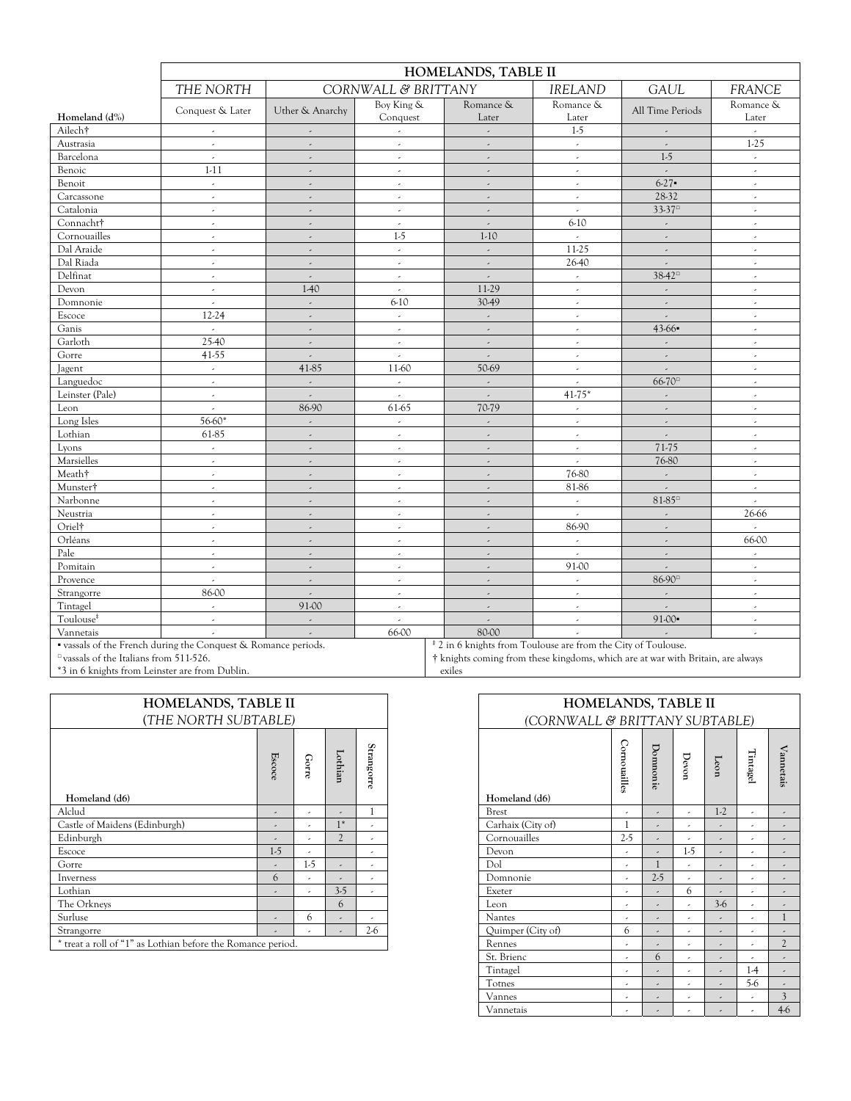|                       |                                                                |                          | HOMELANDS, TABLE II         |                                                                          |                          |                                            |                             |  |  |  |  |  |  |  |
|-----------------------|----------------------------------------------------------------|--------------------------|-----------------------------|--------------------------------------------------------------------------|--------------------------|--------------------------------------------|-----------------------------|--|--|--|--|--|--|--|
|                       | THE NORTH                                                      |                          | CORNWALL & BRITTANY         |                                                                          | <b>IRELAND</b>           | <b>GAUL</b>                                | <b>FRANCE</b>               |  |  |  |  |  |  |  |
|                       | Conquest & Later                                               | Uther & Anarchy          | Boy King &                  | Romance &                                                                | Romance &                | All Time Periods                           | Romance &                   |  |  |  |  |  |  |  |
| Homeland (d%)         |                                                                |                          | Conquest                    | Later                                                                    | Later                    |                                            | Later                       |  |  |  |  |  |  |  |
| Ailech†               | $\epsilon$                                                     | $\omega$                 | $\omega$                    | $\overline{a}$                                                           | $1-5$                    | $\overline{\phantom{a}}$                   | $\mathcal{L}^{\mathcal{A}}$ |  |  |  |  |  |  |  |
| Austrasia             | $\overline{\phantom{a}}$                                       | $\overline{\phantom{a}}$ | $\overline{\phantom{a}}$    | $\overline{\phantom{a}}$                                                 | $\overline{\phantom{a}}$ | $\overline{\phantom{a}}$                   | $1-25$                      |  |  |  |  |  |  |  |
| Barcelona             | $\overline{a}$                                                 | $\overline{\phantom{a}}$ | $\epsilon$                  | $\overline{\phantom{a}}$                                                 | $\overline{\phantom{a}}$ | $1-5$                                      | $\epsilon$                  |  |  |  |  |  |  |  |
| Benoic                | $1-11$                                                         | $\mathcal{L}$            | $\epsilon$                  | $\mathcal{L}_{\mathcal{A}}$                                              | $\overline{\phantom{a}}$ | $\overline{\phantom{a}}$                   | $\omega$                    |  |  |  |  |  |  |  |
| Benoit                | $\overline{\phantom{a}}$                                       | $\overline{\phantom{a}}$ | $\epsilon$                  | $\overline{\phantom{a}}$                                                 | $\epsilon$               | $6-27$                                     | $\omega$                    |  |  |  |  |  |  |  |
| Carcassone            | $\epsilon$                                                     | $\overline{a}$           | $\epsilon$                  | $\overline{\phantom{a}}$                                                 | $\overline{\phantom{a}}$ | 28-32                                      | $\epsilon$                  |  |  |  |  |  |  |  |
| Catalonia             | $\epsilon$                                                     | ä,                       | $\mathcal{L}_{\mathcal{A}}$ | $\omega$                                                                 | $\omega$                 | $33-37$ <sup><math>\text{m}</math></sup>   | $\mathcal{L}$               |  |  |  |  |  |  |  |
| Connacht†             | $\overline{\phantom{a}}$                                       | $\overline{\phantom{a}}$ | $\epsilon$                  | $\overline{\phantom{a}}$                                                 | $6-10$                   | $\overline{\phantom{a}}$                   | $\omega$                    |  |  |  |  |  |  |  |
| Cornouailles          | $\epsilon$                                                     | $\overline{\phantom{a}}$ | $1-5$                       | $1-10$                                                                   | $\sim$                   | $\overline{\phantom{a}}$                   | $\epsilon$                  |  |  |  |  |  |  |  |
| Dal Araide            | $\omega$                                                       | ä,                       | $\omega$                    | $\mathbb{R}^2$                                                           | 11-25                    | J.                                         | $\mathcal{L}$               |  |  |  |  |  |  |  |
| Dal Riada             | $\overline{\phantom{a}}$                                       | $\overline{\phantom{a}}$ | $\epsilon$                  | $\overline{\phantom{a}}$                                                 | 26-40                    | $\overline{\phantom{a}}$                   | $\epsilon$                  |  |  |  |  |  |  |  |
| Delfinat              | $\overline{\phantom{a}}$                                       | $\overline{\phantom{a}}$ | $\overline{\phantom{a}}$    | $\overline{\phantom{a}}$                                                 | $\overline{\phantom{a}}$ | $38 - 42$                                  | $\epsilon$                  |  |  |  |  |  |  |  |
| Devon                 | $\omega$                                                       | 1-40                     | $\mathcal{L}$               | 11-29                                                                    | $\omega$                 | L,                                         | $\mathcal{L}$               |  |  |  |  |  |  |  |
| Domnonie              | $\overline{\phantom{a}}$                                       | $\omega$                 | $6-10$                      | 30-49                                                                    | $\epsilon$               | $\overline{\phantom{a}}$                   | $\mathcal{L}$               |  |  |  |  |  |  |  |
| Escoce                | 12-24                                                          | $\overline{\phantom{a}}$ | $\epsilon$                  | $\overline{\phantom{a}}$                                                 | $\epsilon$               | $\overline{\phantom{a}}$                   | $\epsilon$                  |  |  |  |  |  |  |  |
| Ganis                 | $\mathcal{L}$                                                  | J.                       | $\omega$                    | $\mathbb{R}^2$                                                           | $\sim$                   | $43-66$                                    | $\mathcal{L}$               |  |  |  |  |  |  |  |
| Garloth               | 25-40                                                          | $\omega$                 | $\epsilon$                  | $\overline{\phantom{a}}$                                                 | $\epsilon$               | $\overline{\phantom{a}}$                   | $\mathcal{L}$               |  |  |  |  |  |  |  |
| Gorre                 | 41-55                                                          | $\overline{\phantom{a}}$ | $\epsilon$                  | $\overline{\phantom{a}}$                                                 | $\epsilon$               | $\overline{\phantom{a}}$                   | $\epsilon$                  |  |  |  |  |  |  |  |
| Jagent                | $\hat{\mathcal{L}}$                                            | 41-85                    | 11-60                       | 50-69                                                                    | $\omega$                 | $\overline{a}$                             | $\mathcal{L}$               |  |  |  |  |  |  |  |
| Languedoc             | $\epsilon$                                                     | $\overline{\phantom{a}}$ | $\epsilon$                  | $\epsilon$                                                               | $\epsilon$               | $66 - 70$ <sup><math>\text{m}</math></sup> | $\mathcal{L}$               |  |  |  |  |  |  |  |
| Leinster (Pale)       | $\overline{\phantom{a}}$                                       | $\omega$                 | $\epsilon$                  | $\overline{\phantom{a}}$                                                 | $41-75*$                 | $\overline{\phantom{a}}$                   | $\overline{\phantom{a}}$    |  |  |  |  |  |  |  |
| Leon                  | $\omega$                                                       | 86-90                    | 61-65                       | 70-79                                                                    | $\overline{\phantom{a}}$ | $\overline{\phantom{a}}$                   | $\mathcal{L}$               |  |  |  |  |  |  |  |
| Long Isles            | 56-60*                                                         | $\overline{\phantom{a}}$ | $\epsilon$                  | $\overline{\phantom{a}}$                                                 | $\epsilon$               | ä,                                         | $\mathcal{L}$               |  |  |  |  |  |  |  |
| Lothian               | 61-85                                                          | $\omega$                 | $\overline{\phantom{a}}$    | $\overline{\phantom{a}}$                                                 | $\overline{\phantom{a}}$ | $\overline{\phantom{a}}$                   | $\overline{\phantom{a}}$    |  |  |  |  |  |  |  |
| Lyons                 | $\omega$                                                       | J.                       | $\mathcal{L}$               | $\mathcal{L}$                                                            | $\mathcal{L}$            | 71-75                                      | $\mathcal{L}$               |  |  |  |  |  |  |  |
| Marsielles            | $\overline{\phantom{a}}$                                       | $\overline{\phantom{a}}$ | $\epsilon$                  | $\overline{\phantom{a}}$                                                 | $\omega$                 | 76-80                                      | $\epsilon$                  |  |  |  |  |  |  |  |
| Meath†                | $\overline{\phantom{a}}$                                       | $\omega$                 | $\overline{\phantom{a}}$    | $\overline{\phantom{a}}$                                                 | 76-80                    | $\omega$                                   | $\overline{\phantom{a}}$    |  |  |  |  |  |  |  |
| Munster <sup>†</sup>  | $\epsilon$                                                     | $\mathcal{L}$            | $\mathcal{L}$               | $\mathcal{L}$                                                            | 81-86                    | $\overline{a}$                             | $\epsilon$                  |  |  |  |  |  |  |  |
| Narbonne              | $\overline{\phantom{a}}$                                       | $\overline{\phantom{a}}$ | $\epsilon$                  | $\overline{\phantom{a}}$                                                 | $\epsilon$               | $81 - 85$ <sup><math>\text{m}</math></sup> | $\overline{\phantom{a}}$    |  |  |  |  |  |  |  |
| Neustria              | $\overline{\phantom{a}}$                                       | $\omega$                 | $\epsilon$                  | $\overline{\phantom{a}}$                                                 | $\epsilon$               | $\overline{\phantom{a}}$                   | 26-66                       |  |  |  |  |  |  |  |
| Oriel <sup>†</sup>    | $\omega$                                                       | ä,                       | $\mathcal{L}$               | $\mathcal{L}$                                                            | 86-90                    | J.                                         | $\mathcal{L}$               |  |  |  |  |  |  |  |
| Orléans               | $\overline{\phantom{a}}$                                       | $\overline{\phantom{a}}$ | $\epsilon$                  | $\overline{\phantom{a}}$                                                 | $\epsilon$               | $\overline{\phantom{a}}$                   | 66-00                       |  |  |  |  |  |  |  |
| Pale                  | $\overline{\phantom{a}}$                                       | $\overline{\phantom{a}}$ | $\overline{\phantom{a}}$    | $\overline{\phantom{a}}$                                                 | $\epsilon$               | $\overline{\phantom{a}}$                   | $\epsilon$                  |  |  |  |  |  |  |  |
| Pomitain              | $\overline{\phantom{a}}$                                       | ä,                       | $\mathcal{L}$               | $\mathcal{L}$                                                            | 91-00                    | Ü,                                         | $\epsilon$                  |  |  |  |  |  |  |  |
| Provence              | $\overline{\phantom{a}}$                                       | $\overline{\phantom{a}}$ | $\epsilon$                  | $\overline{\phantom{a}}$                                                 | $\overline{\phantom{a}}$ | 86-90 <sup>□</sup>                         | $\omega$                    |  |  |  |  |  |  |  |
| Strangorre            | 86-00                                                          | $\overline{\phantom{a}}$ | $\epsilon$                  | $\overline{\phantom{a}}$                                                 | $\overline{\phantom{a}}$ | $\overline{\phantom{a}}$                   | $\overline{\phantom{a}}$    |  |  |  |  |  |  |  |
| Tintagel              | $\overline{\phantom{a}}$                                       | 91-00                    | $\epsilon$                  | $\omega$                                                                 | $\overline{\phantom{a}}$ | $\mathcal{L}$                              | $\epsilon$                  |  |  |  |  |  |  |  |
| Toulouse <sup>#</sup> | $\epsilon$                                                     | $\overline{\phantom{a}}$ | $\mathcal{L}$               | $\overline{\phantom{a}}$                                                 | $\overline{\phantom{a}}$ | $91-00$                                    | $\omega$                    |  |  |  |  |  |  |  |
| Vannetais             | $\overline{\phantom{a}}$                                       | $\overline{\phantom{a}}$ | 66-00                       | 80-00                                                                    | $\sim$                   | J.                                         | $\epsilon$                  |  |  |  |  |  |  |  |
|                       | " vassals of the French during the Conquest & Romance periods. |                          |                             | <sup>‡</sup> 2 in 6 knights from Toulouse are from the City of Toulouse. |                          |                                            |                             |  |  |  |  |  |  |  |

□ vassals of the Italians from 511-526. \*3 in 6 knights from Leinster are from Dublin. † knights coming from these kingdoms, which are at war with Britain, are always exiles

| HOMELANDS, TABLE II<br>(THE NORTH SUBTABLE)                 |                                                         |                          | HOMELANDS, TABLE II<br>(CORNWALL & BRITTANY SUBTABLE) |                     |                                                          |              |                          |           |       |                     |              |
|-------------------------------------------------------------|---------------------------------------------------------|--------------------------|-------------------------------------------------------|---------------------|----------------------------------------------------------|--------------|--------------------------|-----------|-------|---------------------|--------------|
|                                                             | Escoce                                                  | Gorre                    | Lothian                                               | Strangorre          |                                                          | Cornouailles | Domnonie                 | Devon     | Leon  | Tintagel            | Vannetais    |
| Homeland (d6)                                               |                                                         |                          |                                                       |                     | Homeland (d6)                                            |              |                          |           |       |                     |              |
| Alclud                                                      | ٠                                                       | $\overline{\phantom{a}}$ | ٠                                                     |                     | <b>Brest</b>                                             | ٠            | $\overline{\phantom{a}}$ | $\lambda$ | $1-2$ | ٠                   | $\sim$       |
| Castle of Maidens (Edinburgh)                               | ۰                                                       |                          | $1*$                                                  | ٠                   | Carhaix (City of)                                        |              | $\overline{\phantom{a}}$ | ٠         | ٠     | ٠                   | $\sim$       |
| Edinburgh                                                   | ٠                                                       |                          | $\overline{2}$                                        | ٠                   | Cornouailles                                             | $2-5$        |                          | ٠         | ٠     | ٠                   | $\sim$       |
| Escoce                                                      | $1-5$                                                   | ٠                        |                                                       | $\hat{\phantom{a}}$ | Devon                                                    | ٠            | $\overline{\phantom{a}}$ | $1-5$     | ٠     | ٠                   | $\sim$       |
| Gorre                                                       | ٠                                                       | $1-5$                    | ٠                                                     | $\hat{\phantom{a}}$ | Dol                                                      | ٠            |                          | ٠         | ٠     | $\hat{\phantom{a}}$ | $\sim$       |
| Inverness                                                   | 6                                                       | ٠                        | ٠                                                     | $\hat{\phantom{a}}$ | Domnonie                                                 | ٠            | $2-5$                    | ٠         | ٠     | $\hat{\phantom{a}}$ | $\sim$       |
| Lothian                                                     | ٠                                                       | ٠                        | $3-5$                                                 | $\lambda$           | Exeter                                                   | ٠            | $\overline{\phantom{a}}$ | 6         | ٠     | $\hat{\phantom{a}}$ | $\sim$       |
| The Orkneys                                                 |                                                         |                          | 6                                                     |                     | Leon                                                     | ٠            | $\overline{\phantom{a}}$ | ٠         | $3-6$ | $\hat{\phantom{a}}$ | ٠            |
| Surluse                                                     | ٠                                                       | 6                        | ٠                                                     | ٠                   | <b>Nantes</b>                                            | ٠            | $\overline{\phantom{a}}$ | ٠         | ٠     | $\hat{\phantom{a}}$ |              |
| Strangorre                                                  | ٠                                                       |                          | ٠                                                     | $2-6$               | Quimper (City of)                                        | 6            | $\overline{\phantom{a}}$ | ٠         | ٠     | $\hat{\phantom{a}}$ | ٠            |
| * treat a roll of "1" as Lothian before the Romance period. |                                                         |                          |                                                       |                     | Rennes                                                   | ٠            | $\overline{\phantom{a}}$ | ٠         | ٠     | $\overline{a}$      | $\mathbf{2}$ |
|                                                             |                                                         |                          |                                                       |                     | St. Brienc                                               | ٠            | 6                        | ٠         | ٠     | ٠                   | $\epsilon$   |
|                                                             |                                                         |                          |                                                       |                     | Tintagel                                                 | ٠            | $\overline{\phantom{a}}$ | ٠         | ۰     | $1-4$               | $\sim$       |
|                                                             |                                                         |                          |                                                       |                     | Totnes<br>5-6<br>٠<br>٠<br>٠<br>$\overline{\phantom{a}}$ |              |                          |           |       |                     |              |
|                                                             |                                                         |                          |                                                       |                     | Vannes                                                   | ٠            | $\overline{\phantom{a}}$ | ٠         | ٠     | ٠                   | 3            |
|                                                             | Vannetais<br>$\lambda$<br>٠<br>$\overline{\phantom{a}}$ |                          |                                                       |                     |                                                          |              |                          |           |       |                     | $4-6$        |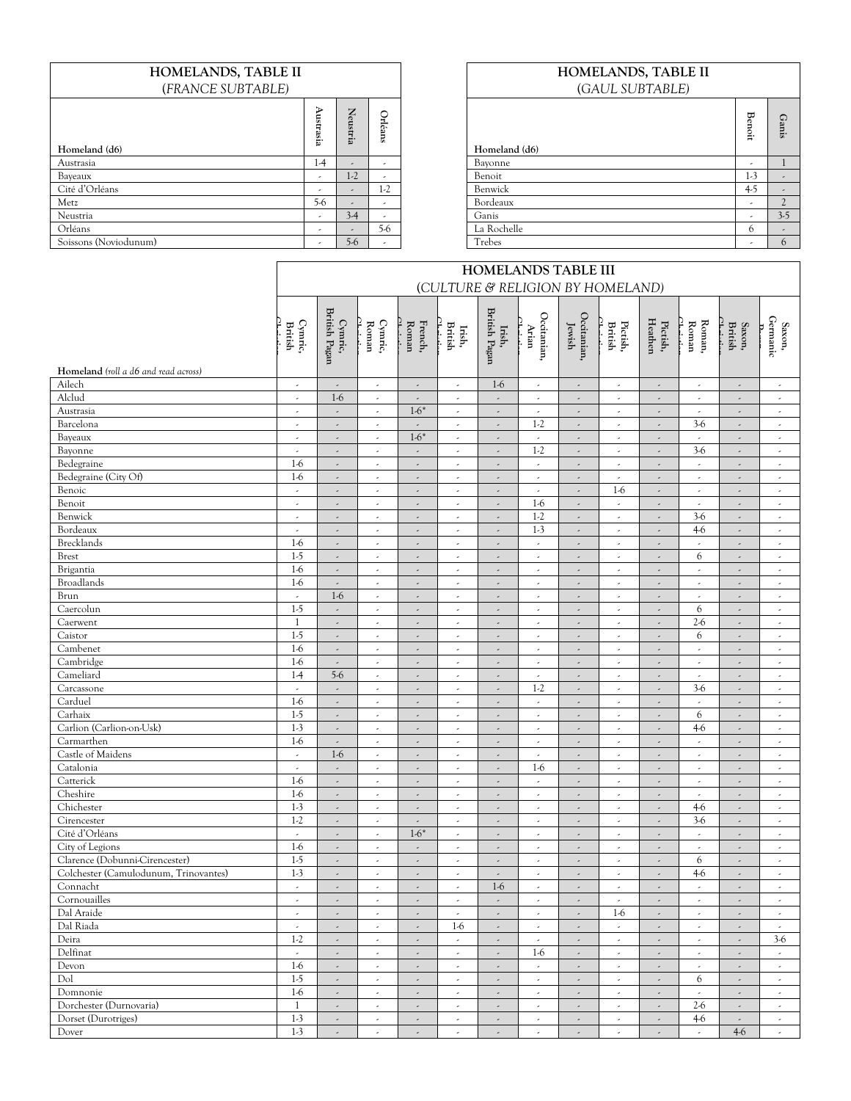# **HOMELANDS, TABLE II**  (*FRANCE SUBTABLE)*

| Homeland (d6)         | ኈ<br>g<br>E<br>g.        | Neustria                 | C<br>rléans | Homeland (d6) | ಹ<br>G<br>c<br>∺. | Ganis                    |
|-----------------------|--------------------------|--------------------------|-------------|---------------|-------------------|--------------------------|
| Austrasia             | $1-4$                    | $\epsilon$               | $\sim$      | Bayonne       | ۰                 |                          |
| Bayeaux               |                          | $1-2$                    |             | Benoit        | $1-3$             |                          |
| Cité d'Orléans        |                          | $\overline{\phantom{a}}$ | $1-2$       | Benwick       | $4-5$             |                          |
| Metz                  | $5-6$                    | $\epsilon$               | $\epsilon$  | Bordeaux      |                   |                          |
| Neustria              | ۰                        | $3-4$                    |             | Ganis         |                   | $3-5$                    |
| Orléans               | $\overline{\phantom{a}}$ | $\overline{\phantom{a}}$ | $5-6$       | La Rochelle   | 6                 | $\overline{\phantom{a}}$ |
| Soissons (Noviodunum) | $\overline{\phantom{a}}$ | $5-6$                    |             | Trebes        |                   | 6 <sup>6</sup>           |

# **HOMELANDS, TABLE II**  (*GAUL SUBTABLE)*

| Homeland (d6) | <b>Benoit</b> | Ganis          |
|---------------|---------------|----------------|
| Bayonne       | ٠             |                |
| Benoit        | $1-3$         | ٠              |
| Benwick       | $4-5$         |                |
| Bordeaux      | ٠             | $\mathfrak{2}$ |
| Ganis         | ٠             | $3-5$          |
| La Rochelle   | 6             | ٠              |
| Trebes        | ٠             | $\mathfrak b$  |

|                                       | <b>HOMELANDS TABLE III</b> |                          |                          |                          |                                  |                          |                          |                          |                          |                          |                          |                          |                                                               |
|---------------------------------------|----------------------------|--------------------------|--------------------------|--------------------------|----------------------------------|--------------------------|--------------------------|--------------------------|--------------------------|--------------------------|--------------------------|--------------------------|---------------------------------------------------------------|
|                                       |                            |                          |                          |                          | (CULTURE & RELIGION BY HOMELAND) |                          |                          |                          |                          |                          |                          |                          |                                                               |
|                                       | Cymric,<br>British         | British Pagan<br>Cymric, | Cymric,<br>${\bf Roman}$ | French,<br>Roman         | Irish,<br>British                | British Pagan<br>Irish,  | Occitanian,<br>Arian     | Occitanian,<br>Jewish    | Pictish,<br>British      | Pictish,<br>Heathen      | Roman,<br>Roman          | Saxon,<br>British        | $\begin{array}{c} \text{Saxon,}\\ \text{Gemanic} \end{array}$ |
| Homeland (roll a d6 and read across)  |                            |                          |                          |                          |                                  |                          |                          |                          |                          |                          |                          |                          |                                                               |
| Ailech                                | $\overline{\phantom{a}}$   | $\overline{\phantom{a}}$ | $\overline{\phantom{a}}$ | $\overline{\phantom{a}}$ | $\epsilon$                       | $1-6$                    | $\overline{\phantom{a}}$ | $\overline{\phantom{a}}$ | $\overline{\phantom{a}}$ | $\epsilon$               | $\overline{\phantom{a}}$ | $\overline{\phantom{a}}$ | $\overline{\phantom{a}}$                                      |
| Alclud                                | $\overline{\phantom{a}}$   | $1-6$                    | $\overline{\phantom{a}}$ | $\overline{\phantom{a}}$ | $\epsilon$                       | $\overline{\phantom{a}}$ | $\overline{\phantom{a}}$ | $\overline{\phantom{a}}$ | $\overline{\phantom{a}}$ | $\overline{\phantom{a}}$ | $\overline{\phantom{a}}$ | $\overline{\phantom{a}}$ | $\overline{\phantom{a}}$                                      |
| Austrasia                             | $\overline{\phantom{a}}$   | $\overline{\phantom{a}}$ | $\overline{\phantom{a}}$ | $1-6*$                   | $\epsilon$                       | $\overline{\phantom{a}}$ | $\overline{\phantom{a}}$ | $\overline{\phantom{a}}$ | $\overline{\phantom{a}}$ | $\overline{\phantom{a}}$ | $\epsilon$               | $\overline{\phantom{a}}$ | $\overline{\phantom{a}}$                                      |
| Barcelona                             | $\overline{\phantom{a}}$   | $\overline{\phantom{a}}$ | $\overline{\phantom{a}}$ | $\overline{\phantom{a}}$ | $\overline{\phantom{a}}$         | $\overline{\phantom{a}}$ | $1-2$                    |                          | $\overline{\phantom{a}}$ | ×,                       | $3-6$                    | $\overline{\phantom{a}}$ | $\overline{\phantom{a}}$                                      |
| Bayeaux                               | $\overline{\phantom{a}}$   | $\overline{a}$           | $\overline{\phantom{a}}$ | $1-6*$                   | $\omega$                         | $\overline{\phantom{a}}$ | $\overline{\phantom{a}}$ | $\overline{\phantom{a}}$ | $\epsilon$               | $\epsilon$               | $\mathcal{L}$            | $\overline{\phantom{a}}$ | $\overline{\phantom{a}}$                                      |
| Bayonne                               | $\overline{\phantom{a}}$   | $\overline{\phantom{a}}$ | $\overline{\phantom{a}}$ | $\overline{\phantom{a}}$ | $\epsilon$                       | $\overline{\phantom{a}}$ | $1-2$                    | $\overline{\phantom{a}}$ | $\overline{\phantom{a}}$ | $\overline{\phantom{a}}$ | $3-6$                    | $\overline{\phantom{a}}$ | $\epsilon$                                                    |
| Bedegraine                            | $1-6$                      | $\overline{\phantom{a}}$ | $\overline{\phantom{a}}$ | $\overline{\phantom{a}}$ | $\epsilon$                       | $\overline{\phantom{a}}$ | $\overline{\phantom{a}}$ | $\overline{\phantom{a}}$ | $\overline{\phantom{a}}$ | $\overline{\phantom{a}}$ | $\overline{\phantom{a}}$ | $\overline{\phantom{a}}$ | $\overline{\phantom{a}}$                                      |
| Bedegraine (City Of)                  | $1-6$                      | $\overline{\phantom{a}}$ | $\overline{\phantom{a}}$ | $\epsilon$               | $\epsilon$                       | $\overline{\phantom{a}}$ | $\overline{\phantom{a}}$ | $\overline{\phantom{a}}$ | $\overline{\phantom{a}}$ | $\overline{\phantom{a}}$ | $\epsilon$               | $\overline{\phantom{a}}$ | $\overline{\phantom{a}}$                                      |
| Benoic                                | $\overline{\phantom{a}}$   | $\overline{\phantom{a}}$ | ٠                        | ٠                        | ٠                                | $\overline{\phantom{a}}$ | $\overline{\phantom{a}}$ | $\lambda$                | $1-6$                    | ×,                       | ٠                        |                          | ٠                                                             |
| Benoit                                | $\overline{\phantom{a}}$   | ä,                       | $\overline{\phantom{a}}$ | ä,                       | $\epsilon$                       | $\overline{\phantom{a}}$ | $1-6$                    | $\overline{\phantom{a}}$ | $\overline{\phantom{a}}$ | $\epsilon$               | $\sim$                   | $\overline{\phantom{a}}$ | $\overline{\phantom{a}}$                                      |
| Benwick                               | J.                         |                          | ä,                       | ä,                       | ä,                               | $\overline{\phantom{a}}$ | $1-2$                    | $\overline{\phantom{a}}$ | $\overline{\phantom{a}}$ | $\overline{\phantom{a}}$ | $3-6$                    | $\overline{\phantom{a}}$ | $\overline{\phantom{a}}$                                      |
| Bordeaux                              | $\overline{\phantom{a}}$   | $\overline{\phantom{a}}$ | $\overline{\phantom{a}}$ | $\overline{\phantom{a}}$ | $\sim$                           | $\overline{\phantom{a}}$ | $1-3$                    | $\overline{\phantom{a}}$ | $\epsilon$               | $\epsilon$               | $4-6$                    | $\overline{\phantom{a}}$ | $\overline{\phantom{a}}$                                      |
| Brecklands                            | $1-6$                      | $\overline{\phantom{a}}$ | $\epsilon$               | $\overline{\phantom{a}}$ | $\epsilon$                       | $\overline{\phantom{a}}$ | $\overline{\phantom{a}}$ | $\overline{\phantom{a}}$ | $\overline{\phantom{a}}$ | $\overline{\phantom{a}}$ | $\epsilon$               | $\overline{\phantom{a}}$ | $\overline{\phantom{a}}$                                      |
| <b>Brest</b>                          | $1-5$                      | ä,                       | $\overline{\phantom{a}}$ | $\overline{\phantom{a}}$ | $\overline{\phantom{a}}$         | $\overline{\phantom{a}}$ | $\overline{\phantom{a}}$ | $\overline{\phantom{a}}$ | $\overline{\phantom{a}}$ | ä,                       | 6                        | $\overline{\phantom{a}}$ | $\overline{\phantom{a}}$                                      |
| Brigantia                             | $1-6$                      | $\overline{\phantom{a}}$ | $\overline{\phantom{a}}$ | $\overline{\phantom{a}}$ | $\epsilon$                       | $\overline{\phantom{a}}$ | $\epsilon$               | $\overline{\phantom{a}}$ | $\overline{\phantom{a}}$ | $\overline{\phantom{a}}$ | $\epsilon$               | $\overline{\phantom{a}}$ | $\overline{\phantom{a}}$                                      |
| <b>Broadlands</b>                     | $1-6$                      | $\overline{\phantom{a}}$ | $\overline{\phantom{a}}$ | ÷,                       | $\epsilon$                       | $\overline{\phantom{a}}$ | $\overline{\phantom{a}}$ |                          | $\overline{\phantom{a}}$ | $\overline{\phantom{a}}$ | $\sim$                   | $\overline{\phantom{a}}$ | $\overline{\phantom{a}}$                                      |
| Brun                                  | $\omega$                   | $1-6$                    | $\overline{\phantom{a}}$ | $\overline{\phantom{a}}$ | $\omega$                         | $\overline{\phantom{a}}$ | $\overline{\phantom{a}}$ | $\overline{\phantom{a}}$ | $\epsilon$               | $\epsilon$               | $\mathcal{L}$            | $\overline{\phantom{a}}$ | $\overline{\phantom{a}}$                                      |
| Caercolun                             | $1-5$                      | $\overline{\phantom{a}}$ | $\overline{\phantom{a}}$ | $\overline{\phantom{a}}$ | $\epsilon$                       | $\overline{\phantom{a}}$ | $\overline{\phantom{a}}$ | $\overline{\phantom{a}}$ | $\overline{\phantom{a}}$ | $\epsilon$               | 6                        | $\overline{\phantom{a}}$ | $\overline{\phantom{a}}$                                      |
| Caerwent                              | $\mathbf{1}$               | $\overline{\phantom{a}}$ | $\overline{\phantom{a}}$ | $\overline{\phantom{a}}$ | $\epsilon$                       | $\overline{\phantom{a}}$ | $\overline{\phantom{a}}$ | $\overline{\phantom{a}}$ | $\overline{\phantom{a}}$ | $\epsilon$               | $2-6$                    | $\overline{\phantom{a}}$ | $\overline{\phantom{a}}$                                      |
| Caistor                               | $1-5$                      | $\overline{\phantom{a}}$ | $\overline{\phantom{a}}$ | $\epsilon$               | $\epsilon$                       | $\overline{\phantom{a}}$ | $\overline{\phantom{a}}$ | $\overline{\phantom{a}}$ | $\overline{\phantom{a}}$ | $\omega$                 | 6                        | $\overline{\phantom{a}}$ | $\overline{\phantom{a}}$                                      |
| Cambenet                              | $1-6$                      | $\overline{\phantom{a}}$ | $\overline{\phantom{a}}$ | $\overline{\phantom{a}}$ | $\epsilon$                       | $\overline{\phantom{a}}$ | $\lambda$                | $\overline{\phantom{a}}$ | $\overline{\phantom{a}}$ | ×,                       | $\epsilon$               | $\overline{\phantom{a}}$ | $\epsilon$                                                    |
| Cambridge                             | $1-6$                      | $\overline{\phantom{a}}$ | $\overline{\phantom{a}}$ | $\overline{\phantom{a}}$ | $\epsilon$                       | $\overline{\phantom{a}}$ | $\overline{\phantom{a}}$ | $\overline{\phantom{a}}$ | $\overline{\phantom{a}}$ | $\epsilon$               | $\sim$                   | $\overline{\phantom{a}}$ | $\overline{\phantom{a}}$                                      |
| Cameliard                             | $1-4$                      | $5-6$                    | J,                       | ä,                       | $\epsilon$                       | $\overline{\phantom{a}}$ | $\overline{\phantom{a}}$ | $\overline{\phantom{a}}$ | $\overline{\phantom{a}}$ | $\overline{\phantom{a}}$ | $\epsilon$               | $\overline{a}$           | $\overline{\phantom{a}}$                                      |
| Carcassone                            | $\sim$                     | $\overline{\phantom{a}}$ | $\overline{\phantom{a}}$ | $\overline{\phantom{a}}$ | $\epsilon$                       | $\omega$                 | $1-2$                    | $\overline{\phantom{a}}$ | $\overline{\phantom{a}}$ | $\epsilon$               | $3-6$                    | $\overline{\phantom{a}}$ | $\overline{\phantom{a}}$                                      |
| Carduel                               | $1-6$                      | $\overline{\phantom{a}}$ | $\overline{\phantom{a}}$ | $\overline{\phantom{a}}$ | $\epsilon$                       | $\overline{\phantom{a}}$ | $\overline{\phantom{a}}$ | $\overline{\phantom{a}}$ | $\overline{\phantom{a}}$ | $\epsilon$               | $\overline{\phantom{a}}$ | $\overline{\phantom{a}}$ | $\overline{\phantom{a}}$                                      |
| Carhaix                               | $1-5$                      | $\overline{\phantom{a}}$ | $\overline{\phantom{a}}$ | ×,                       | $\epsilon$                       | $\overline{\phantom{a}}$ | $\epsilon$               | $\overline{\phantom{a}}$ | $\overline{\phantom{a}}$ | $\overline{\phantom{a}}$ | 6                        | $\overline{\phantom{a}}$ | $\overline{\phantom{a}}$                                      |
| Carlion (Carlion-on-Usk)              | $1-3$                      | $\overline{\phantom{a}}$ | $\overline{\phantom{a}}$ | $\overline{\phantom{a}}$ | $\epsilon$                       | $\overline{\phantom{a}}$ | $\epsilon$               | $\overline{\phantom{a}}$ | $\overline{\phantom{a}}$ | $\overline{\phantom{a}}$ | $4-6$                    | $\overline{\phantom{a}}$ | $\overline{\phantom{a}}$                                      |
| Carmarthen                            | $1-6$                      | $\overline{\phantom{a}}$ | $\overline{\phantom{a}}$ | ÷,                       | $\overline{\phantom{a}}$         | $\overline{\phantom{a}}$ | $\overline{\phantom{a}}$ |                          | $\overline{\phantom{a}}$ | ×,                       | $\epsilon$               | $\overline{\phantom{a}}$ | $\overline{\phantom{a}}$                                      |
| Castle of Maidens                     | $\omega$                   | $1-6$                    | $\overline{\phantom{a}}$ | $\omega$                 | $\omega$                         | $\overline{\phantom{a}}$ | $\epsilon$               | $\overline{\phantom{a}}$ | $\epsilon$               | $\overline{\phantom{a}}$ | $\omega$                 | $\overline{\phantom{a}}$ | $\overline{\phantom{a}}$                                      |
| Catalonia                             | $\overline{\phantom{a}}$   | $\overline{\phantom{a}}$ | $\overline{\phantom{a}}$ | $\overline{\phantom{a}}$ | $\epsilon$                       | $\overline{\phantom{a}}$ | $1-6$                    | $\overline{\phantom{a}}$ | $\overline{\phantom{a}}$ | $\overline{\phantom{a}}$ | $\epsilon$               | $\overline{\phantom{a}}$ | $\overline{\phantom{a}}$                                      |
| Catterick                             | $1-6$                      | $\overline{\phantom{a}}$ | $\overline{\phantom{a}}$ | $\overline{\phantom{a}}$ | $\epsilon$                       | $\overline{\phantom{a}}$ | $\overline{\phantom{a}}$ | $\overline{\phantom{a}}$ | $\overline{\phantom{a}}$ | $\overline{\phantom{a}}$ | $\epsilon$               | $\overline{\phantom{a}}$ | $\overline{\phantom{a}}$                                      |
| Cheshire                              | $1-6$                      | $\overline{\phantom{a}}$ | $\overline{\phantom{a}}$ | $\epsilon$               | $\epsilon$                       | $\overline{\phantom{a}}$ | $\overline{\phantom{a}}$ | $\overline{\phantom{a}}$ | $\overline{\phantom{a}}$ | $\epsilon$               | $\epsilon$               | $\overline{\phantom{a}}$ | $\overline{\phantom{a}}$                                      |
| Chichester                            | $1-3$                      | $\overline{\phantom{a}}$ | $\overline{\phantom{a}}$ | ٠                        | ٠                                | $\overline{\phantom{a}}$ | $\overline{\phantom{a}}$ | $\lambda$                | $\overline{\phantom{a}}$ |                          | $4-6$                    | $\overline{\phantom{a}}$ | $\epsilon$                                                    |
| Cirencester                           | $1-2$                      | ä,                       | $\overline{\phantom{a}}$ | $\overline{\phantom{a}}$ | $\epsilon$                       | $\overline{\phantom{a}}$ | $\overline{\phantom{a}}$ | $\overline{\phantom{a}}$ | $\overline{\phantom{a}}$ | $\overline{\phantom{a}}$ | $3-6$                    | $\overline{\phantom{a}}$ | $\overline{\phantom{a}}$                                      |
| Cité d'Orléans                        | $\overline{\phantom{a}}$   | $\overline{\phantom{a}}$ | $\overline{\phantom{a}}$ | $1-6*$                   | $\epsilon$                       | $\overline{\phantom{a}}$ | $\overline{\phantom{a}}$ | $\overline{\phantom{a}}$ | $\overline{\phantom{a}}$ | $\overline{\phantom{a}}$ | $\overline{\phantom{a}}$ | $\overline{\phantom{a}}$ | $\overline{\phantom{a}}$                                      |
| City of Legions                       | $1-6$                      | $\overline{\phantom{a}}$ | $\overline{\phantom{a}}$ | $\overline{\phantom{a}}$ | $\sim$                           | $\overline{\phantom{a}}$ | $\tilde{\phantom{a}}$    | $\overline{\phantom{a}}$ | $\epsilon$               | $\epsilon$               | $\sim$                   | $\overline{\phantom{a}}$ | $\overline{\phantom{a}}$                                      |
| Clarence (Dobunni-Cirencester)        | $1-5$                      | $\overline{\phantom{a}}$ | $\overline{\phantom{a}}$ | $\overline{\phantom{a}}$ | $\epsilon$                       | $\overline{\phantom{a}}$ | $\overline{\phantom{a}}$ |                          | $\overline{\phantom{a}}$ | $\overline{\phantom{a}}$ | 6                        | ä,                       | $\overline{\phantom{a}}$                                      |
| Colchester (Camulodunum, Trinovantes) | $1-3$                      | $\overline{\phantom{a}}$ | $\overline{\phantom{a}}$ | $\epsilon$               | $\sigma$                         | $\overline{\phantom{a}}$ | $\overline{\phantom{a}}$ | $\overline{\phantom{a}}$ | $\overline{\phantom{a}}$ | $\epsilon$               | $4-6$                    | $\overline{\phantom{a}}$ | $\overline{\phantom{a}}$                                      |
| Connacht                              |                            | ,                        |                          | ÷                        |                                  | $1-6$                    |                          |                          |                          | ,                        |                          | ,                        |                                                               |
| Cornouailles                          | $\overline{\phantom{a}}$   | $\overline{\phantom{a}}$ | $\overline{\phantom{a}}$ | $\overline{\phantom{a}}$ | $\epsilon$                       | $\overline{\phantom{a}}$ | $\overline{\phantom{a}}$ |                          | $\overline{\phantom{a}}$ | $\overline{\phantom{a}}$ | $\overline{\phantom{a}}$ | $\overline{\phantom{a}}$ | $\overline{\phantom{a}}$                                      |
| Dal Araide                            | $\epsilon$                 | J.                       | $\overline{\phantom{a}}$ | $\overline{\phantom{a}}$ | $\epsilon$                       | $\overline{\phantom{a}}$ | $\epsilon$               | $\overline{\phantom{a}}$ | $1-6$                    | $\epsilon$               | $\sim$                   | $\overline{\phantom{a}}$ | $\overline{\phantom{a}}$                                      |
| Dal Riada                             | $\sim$                     | $\overline{\phantom{a}}$ | $\overline{\phantom{a}}$ | $\overline{\phantom{a}}$ | $1-6$                            | $\overline{\phantom{a}}$ | $\epsilon$               | $\overline{\phantom{a}}$ | $\overline{\phantom{a}}$ | $\epsilon$               | $\epsilon$               | $\overline{\phantom{a}}$ | $\epsilon$                                                    |
| Deira                                 | $1-2$                      | ä,                       | $\overline{\phantom{a}}$ | $\overline{\phantom{a}}$ | $\overline{\phantom{a}}$         | $\overline{\phantom{a}}$ | $\overline{\phantom{a}}$ | $\overline{\phantom{a}}$ | $\overline{\phantom{a}}$ | $\overline{\phantom{a}}$ | $\epsilon$               | $\overline{\phantom{a}}$ | $3-6$                                                         |
| Delfinat                              | $\overline{\phantom{a}}$   | $\overline{\phantom{a}}$ | $\overline{\phantom{a}}$ | $\overline{\phantom{a}}$ | ×,                               | $\overline{\phantom{a}}$ | $1-6$                    | $\overline{\phantom{a}}$ | $\overline{\phantom{a}}$ | $\epsilon$               | $\epsilon$               | $\overline{\phantom{a}}$ | $\epsilon$                                                    |
| Devon                                 | $1-6$                      | $\overline{\phantom{a}}$ | $\overline{\phantom{a}}$ | $\overline{\phantom{a}}$ | ٠                                | $\overline{\phantom{a}}$ | $\overline{\phantom{a}}$ | $\overline{\phantom{a}}$ | $\overline{\phantom{a}}$ | ×,                       | $\overline{\phantom{a}}$ | $\overline{\phantom{a}}$ | $\overline{\phantom{a}}$                                      |
| Dol                                   | $1-5$                      | $\overline{\phantom{a}}$ | $\overline{\phantom{a}}$ | $\epsilon$               | $\epsilon$                       | $\epsilon$               | $\sim$                   | $\overline{\phantom{a}}$ | $\sim$                   | $\epsilon$               | 6                        | $\overline{\phantom{a}}$ | $\epsilon$                                                    |
| Domnonie                              | $1-6$                      | ä,                       | $\overline{\phantom{a}}$ | $\epsilon$               | $\epsilon$                       | $\overline{\phantom{a}}$ | $\overline{\phantom{a}}$ | $\overline{\phantom{a}}$ | $\overline{\phantom{a}}$ | $\epsilon$               | $\epsilon$               | $\overline{\phantom{a}}$ | $\overline{\phantom{a}}$                                      |
| Dorchester (Durnovaria)               | $\mathbf{1}$               | $\overline{\phantom{a}}$ | $\overline{\phantom{a}}$ | $\epsilon$               | $\sigma$                         | $\overline{\phantom{a}}$ | $\overline{\phantom{a}}$ | $\overline{\phantom{a}}$ | $\epsilon$               | $\epsilon$               | $2-6$                    | $\overline{\phantom{a}}$ | $\overline{\phantom{a}}$                                      |
| Dorset (Durotriges)                   | $1-3$                      | $\overline{\phantom{a}}$ | $\overline{\phantom{a}}$ | $\overline{\phantom{a}}$ | $\epsilon$                       | $\overline{\phantom{a}}$ | $\overline{\phantom{a}}$ | $\overline{\phantom{a}}$ | $\epsilon$               | $\epsilon$               | $4-6$                    | $\overline{\phantom{a}}$ | $\overline{\phantom{a}}$                                      |
| Dover                                 | $1-3$                      | J,                       | $\overline{\phantom{a}}$ | ÷.                       | $\overline{\phantom{a}}$         | $\overline{\phantom{a}}$ | ٠                        | $\overline{\phantom{a}}$ | $\overline{\phantom{a}}$ | L,                       | $\epsilon$               | $4-6$                    | $\epsilon$                                                    |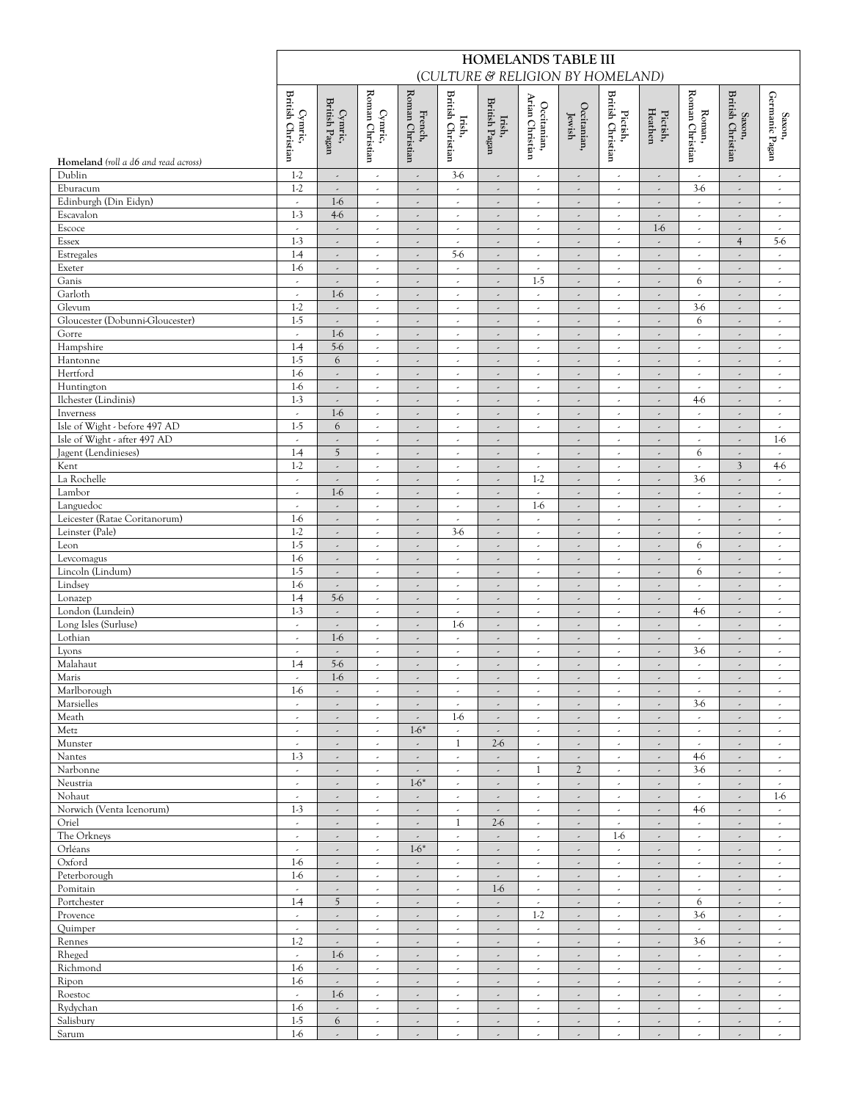|                                                |                                                      |                                                      |                                                      |                                                      |                                                         |                                                      | HOMELANDS TABLE III                                  |                                                      | (CULTURE & RELIGION BY HOMELAND)                     |                                                         |                                              |                                                      |                                                      |
|------------------------------------------------|------------------------------------------------------|------------------------------------------------------|------------------------------------------------------|------------------------------------------------------|---------------------------------------------------------|------------------------------------------------------|------------------------------------------------------|------------------------------------------------------|------------------------------------------------------|---------------------------------------------------------|----------------------------------------------|------------------------------------------------------|------------------------------------------------------|
|                                                | <b>British Christian</b><br>Cymric,                  | British Pagan<br>Cymric,                             | Roman Christian<br>Cymric,                           | Roman Christian<br>French,                           | <b>British Christian</b><br>Irish,                      | British Pagan<br>Irish,                              | Arian Christian<br>Occitanian,                       | Occitanian,<br>Jewish                                | <b>British Christian</b><br>Pictish,                 | Pictish,<br>Heathen                                     | Roman Christian<br>Roman,                    | <b>British Christian</b><br>$\operatorname{Saxon},$  | Germanic Pagan<br>Saxon,                             |
| Homeland (roll a d6 and read across)<br>Dublin | $1-2$                                                | $\overline{\phantom{a}}$                             | $\epsilon$                                           | $\overline{a}$                                       | $3-6$                                                   | $\overline{\phantom{a}}$                             | $\overline{\phantom{a}}$                             | $\overline{\phantom{a}}$                             | $\overline{\phantom{a}}$                             | $\overline{\phantom{a}}$                                | $\epsilon$                                   | $\overline{\phantom{a}}$                             | $\overline{\phantom{a}}$                             |
| Eburacum                                       | $1-2$                                                | $\overline{\phantom{a}}$                             | $\overline{\phantom{a}}$                             | $\overline{\phantom{a}}$                             | $\overline{\phantom{a}}$                                | $\overline{\phantom{a}}$                             | $\overline{\phantom{a}}$                             | $\overline{\phantom{a}}$                             | $\overline{\phantom{a}}$                             | $\sim$                                                  | $3-6$                                        | $\overline{\phantom{a}}$                             | $\overline{\phantom{a}}$                             |
| Edinburgh (Din Eidyn)                          | $\overline{\phantom{a}}$                             | $1-6$                                                | $\overline{\phantom{a}}$                             | $\overline{\phantom{a}}$                             | $\overline{\phantom{a}}$                                | $\overline{\phantom{a}}$                             | $\overline{\phantom{a}}$                             | $\overline{\phantom{a}}$                             | $\overline{\phantom{a}}$                             | ä,                                                      | $\overline{\phantom{a}}$                     | $\overline{\phantom{a}}$                             | $\overline{\phantom{a}}$                             |
| Escavalon                                      | $1-3$                                                | $4-6$                                                | $\epsilon$                                           | $\overline{\phantom{a}}$                             | ٠                                                       | $\overline{\phantom{a}}$                             | ٠                                                    | $\overline{\phantom{a}}$                             | $\overline{\phantom{a}}$                             | $\overline{\phantom{a}}$                                | ٠                                            | $\overline{\phantom{a}}$                             | ٠                                                    |
| Escoce                                         | $\overline{\phantom{a}}$                             | $\overline{\phantom{a}}$                             | $\overline{\phantom{a}}$                             | $\overline{\phantom{a}}$                             | $\overline{\phantom{a}}$                                | $\overline{\phantom{a}}$                             | $\overline{\phantom{a}}$                             | $\overline{\phantom{a}}$                             | $\overline{\phantom{a}}$                             | $1-6$                                                   | $\epsilon$                                   | $\overline{\phantom{a}}$                             | $\overline{\phantom{a}}$                             |
| Essex<br>Estregales                            | $1-3$<br>$1-4$                                       | ,<br>$\omega$                                        | $\overline{\phantom{a}}$<br>$\epsilon$               | $\overline{\phantom{a}}$<br>$\omega$                 | $\overline{\phantom{a}}$<br>$5-6$                       | $\overline{\phantom{a}}$<br>$\overline{\phantom{a}}$ | $\overline{\phantom{a}}$<br>$\epsilon$               | $\overline{\phantom{a}}$<br>$\epsilon$               | $\overline{\phantom{a}}$<br>$\epsilon$               | $\overline{\phantom{a}}$<br>$\mathcal{L}_{\mathcal{A}}$ | $\epsilon$<br>$\omega$                       | $\overline{4}$<br>$\omega$                           | $5-6$<br>$\omega$                                    |
| Exeter                                         | $1-6$                                                | $\overline{\phantom{a}}$                             | $\overline{\phantom{a}}$                             | $\overline{\phantom{a}}$                             | $\overline{\phantom{a}}$                                | $\overline{\phantom{a}}$                             | $\overline{\phantom{a}}$                             | $\overline{\phantom{a}}$                             | $\overline{\phantom{a}}$                             | $\overline{\phantom{a}}$                                | $\overline{\phantom{a}}$                     | $\overline{\phantom{a}}$                             | $\overline{\phantom{a}}$                             |
| Ganis                                          | $\overline{\phantom{a}}$                             | ,                                                    | $\overline{\phantom{a}}$                             | $\overline{\phantom{a}}$                             | $\hat{\phantom{a}}$                                     | ä,                                                   | $1-5$                                                | $\overline{\phantom{a}}$                             | $\overline{\phantom{a}}$                             | $\overline{\phantom{a}}$                                | 6                                            | $\overline{\phantom{a}}$                             | $\overline{\phantom{a}}$                             |
| Garloth                                        | $\overline{\phantom{a}}$                             | $1-6$                                                | $\overline{\phantom{a}}$                             | $\overline{\phantom{a}}$                             | v.                                                      | $\overline{\phantom{a}}$                             | $\overline{\phantom{a}}$                             | $\overline{\phantom{a}}$                             | $\overline{\phantom{a}}$                             | $\sim$                                                  | $\sim$                                       | $\overline{\phantom{a}}$                             | $\epsilon$                                           |
| Glevum                                         | $1-2$                                                | $\overline{\phantom{a}}$                             | $\overline{\phantom{a}}$                             | $\overline{\phantom{a}}$                             | $\overline{\phantom{a}}$                                | $\overline{\phantom{a}}$                             | $\overline{\phantom{a}}$                             | $\overline{\phantom{a}}$                             | $\overline{\phantom{a}}$                             | $\overline{\phantom{a}}$                                | $3-6$                                        | $\overline{\phantom{a}}$                             | $\overline{\phantom{a}}$                             |
| Gloucester (Dobunni-Gloucester)<br>Gorre       | $1-5$<br>$\overline{\phantom{a}}$                    | $\overline{\phantom{a}}$<br>$1-6$                    | $\overline{\phantom{a}}$<br>$\epsilon$               | $\overline{\phantom{a}}$<br>$\overline{\phantom{a}}$ | $\overline{\phantom{a}}$<br>$\mathcal{L}_{\mathcal{A}}$ | $\overline{\phantom{a}}$<br>$\overline{\phantom{a}}$ | $\overline{\phantom{a}}$<br>$\epsilon$               | $\overline{\phantom{a}}$<br>$\overline{\phantom{a}}$ | $\overline{\phantom{a}}$<br>$\overline{\phantom{a}}$ | $\overline{\phantom{a}}$<br>$\omega$                    | 6<br>$\mathcal{L}_{\mathcal{A}}$             | $\overline{\phantom{a}}$<br>$\overline{\phantom{a}}$ | $\overline{\phantom{a}}$<br>$\overline{\phantom{a}}$ |
| Hampshire                                      | $1-4$                                                | $5-6$                                                | $\overline{\phantom{a}}$                             | $\omega$                                             | $\epsilon$                                              | $\overline{\phantom{a}}$                             | $\overline{\phantom{a}}$                             | $\overline{\phantom{a}}$                             | $\overline{\phantom{a}}$                             | $\overline{\phantom{a}}$                                | $\sim$                                       | $\overline{\phantom{a}}$                             | $\overline{\phantom{a}}$                             |
| Hantonne                                       | $1-5$                                                | 6                                                    | $\overline{\phantom{a}}$                             | $\overline{\phantom{a}}$                             | $\overline{\phantom{a}}$                                | $\overline{\phantom{a}}$                             | $\overline{\phantom{a}}$                             | $\overline{\phantom{a}}$                             | $\overline{\phantom{a}}$                             | $\overline{\phantom{a}}$                                | $\epsilon$                                   | $\overline{\phantom{a}}$                             | $\overline{\phantom{a}}$                             |
| Hertford                                       | $1-6$                                                | $\overline{\phantom{a}}$                             | ٠                                                    | $\overline{\phantom{a}}$                             | ٠                                                       | $\overline{\phantom{a}}$                             | ٠                                                    | $\overline{\phantom{a}}$                             | $\overline{\phantom{a}}$                             | $\overline{\phantom{a}}$                                | $\sim$                                       | $\overline{\phantom{a}}$                             | ٠                                                    |
| Huntington                                     | $1-6$                                                | $\overline{\phantom{a}}$                             | $\overline{\phantom{a}}$                             | $\overline{\phantom{a}}$                             | $\epsilon$                                              | $\overline{\phantom{a}}$                             | $\overline{\phantom{a}}$                             | $\overline{\phantom{a}}$                             | $\overline{\phantom{a}}$                             | $\epsilon$                                              | $\epsilon$                                   | $\overline{\phantom{a}}$                             | $\overline{\phantom{a}}$                             |
| Ilchester (Lindinis)                           | $1-3$<br>$\overline{\phantom{a}}$                    | $\overline{\phantom{a}}$<br>$1-6$                    | $\overline{\phantom{a}}$                             | ÷,                                                   | $\epsilon$                                              | $\overline{\phantom{a}}$                             | $\overline{\phantom{a}}$                             | $\overline{\phantom{a}}$                             | $\overline{\phantom{a}}$                             | $\overline{\phantom{a}}$                                | $4-6$<br>$\mathcal{L}_{\mathcal{A}}$         | $\overline{\phantom{a}}$                             | $\overline{\phantom{a}}$                             |
| Inverness<br>Isle of Wight - before 497 AD     | $1-5$                                                | 6                                                    | $\overline{\phantom{a}}$<br>$\epsilon$               | $\omega$<br>$\overline{\phantom{a}}$                 | $\omega$<br>$\epsilon$                                  | $\overline{\phantom{a}}$<br>$\overline{\phantom{a}}$ | $\overline{\phantom{a}}$<br>$\overline{\phantom{a}}$ | $\overline{\phantom{a}}$<br>$\overline{\phantom{a}}$ | $\overline{\phantom{a}}$<br>$\overline{\phantom{a}}$ | $\sim$<br>$\overline{\phantom{a}}$                      | $\sim$                                       | $\overline{\phantom{a}}$<br>$\overline{\phantom{a}}$ | $\overline{\phantom{a}}$<br>$\overline{\phantom{a}}$ |
| Isle of Wight - after 497 AD                   |                                                      | $\overline{\phantom{a}}$                             | $\overline{\phantom{a}}$                             | $\overline{\phantom{a}}$                             | $\epsilon$                                              | ä,                                                   |                                                      | $\overline{\phantom{a}}$                             | $\epsilon$                                           | $\overline{\phantom{a}}$                                | $\epsilon$                                   | $\overline{\phantom{a}}$                             | $1-6$                                                |
| Jagent (Lendinieses)                           | $1-4$                                                | 5                                                    | $\overline{\phantom{a}}$                             | $\omega$                                             | $\epsilon$                                              | $\overline{\phantom{a}}$                             | $\overline{\phantom{a}}$                             | $\overline{\phantom{a}}$                             | $\overline{\phantom{a}}$                             | $\sim$                                                  | 6                                            | $\overline{\phantom{a}}$                             | $\overline{\phantom{a}}$                             |
| Kent                                           | $1-2$                                                | $\overline{\phantom{a}}$                             | $\overline{\phantom{a}}$                             | $\overline{\phantom{a}}$                             | $\epsilon$                                              | $\overline{\phantom{a}}$                             | $\overline{\phantom{a}}$                             | $\overline{\phantom{a}}$                             | $\epsilon$                                           | $\overline{\phantom{a}}$                                | $\sim$                                       | 3                                                    | $4-6$                                                |
| La Rochelle<br>Lambor                          | $\overline{\phantom{a}}$                             | $\overline{\phantom{a}}$                             | $\overline{\phantom{a}}$                             | $\overline{\phantom{a}}$                             | $\overline{\phantom{a}}$                                | $\overline{\phantom{a}}$                             | $1-2$                                                | $\overline{\phantom{a}}$                             | $\overline{\phantom{a}}$                             | $\overline{\phantom{a}}$                                | $3-6$                                        | $\overline{\phantom{a}}$                             | $\epsilon$                                           |
| Languedoc                                      | $\lambda$                                            | $1-6$<br>$\overline{\phantom{a}}$                    | $\epsilon$<br>$\overline{\phantom{a}}$               | $\overline{\phantom{a}}$<br>$\epsilon$               | $\epsilon$<br>$\overline{\phantom{a}}$                  | $\overline{\phantom{a}}$<br>$\overline{\phantom{a}}$ | $\overline{\phantom{a}}$<br>$1-6$                    | $\overline{\phantom{a}}$<br>$\overline{\phantom{a}}$ | $\overline{\phantom{a}}$<br>$\overline{\phantom{a}}$ | $\overline{\phantom{a}}$<br>$\sim$                      | $\mathcal{L}$<br>$\mathcal{L}_{\mathcal{A}}$ | $\overline{\phantom{a}}$<br>$\overline{\phantom{a}}$ | $\overline{\phantom{a}}$<br>$\overline{\phantom{a}}$ |
| Leicester (Ratae Coritanorum)                  | $1-6$                                                | $\overline{\phantom{a}}$                             | $\overline{\phantom{a}}$                             | $\overline{\phantom{a}}$                             | $\epsilon$                                              | ä,                                                   | $\overline{\phantom{a}}$                             | $\overline{\phantom{a}}$                             | $\overline{\phantom{a}}$                             | $\overline{\phantom{a}}$                                | $\epsilon$                                   | $\overline{\phantom{a}}$                             | $\overline{\phantom{a}}$                             |
| Leinster (Pale)                                | $1-2$                                                | $\overline{\phantom{a}}$                             | ٠                                                    | $\overline{\phantom{a}}$                             | $3-6$                                                   | $\overline{\phantom{a}}$                             | ٠                                                    | $\overline{\phantom{a}}$                             | ٠                                                    | $\overline{\phantom{a}}$                                | ٠                                            | $\overline{\phantom{a}}$                             | $\tilde{\phantom{a}}$                                |
| Leon                                           | $1-5$                                                | $\overline{\phantom{a}}$                             | $\overline{\phantom{a}}$                             | $\overline{\phantom{a}}$                             | $\overline{\phantom{a}}$                                | $\overline{\phantom{a}}$                             | $\overline{\phantom{a}}$                             | $\overline{\phantom{a}}$                             | $\overline{\phantom{a}}$                             | $\epsilon$                                              | 6                                            | $\overline{\phantom{a}}$                             | $\overline{\phantom{a}}$                             |
| Levcomagus                                     | $1-6$<br>$1-5$                                       | $\overline{\phantom{a}}$                             | $\overline{\phantom{a}}$                             | ÷,                                                   | $\epsilon$                                              | $\overline{\phantom{a}}$                             | $\overline{\phantom{a}}$                             | $\overline{\phantom{a}}$                             | $\epsilon$                                           | $\overline{\phantom{a}}$                                | $\epsilon$<br>6                              | $\overline{\phantom{a}}$                             | $\overline{\phantom{a}}$                             |
| Lincoln (Lindum)<br>Lindsey                    | $1-6$                                                | $\overline{\phantom{a}}$<br>$\overline{\phantom{a}}$ | $\overline{\phantom{a}}$<br>$\overline{\phantom{a}}$ | $\omega$<br>$\epsilon$                               | $\omega$<br>$\overline{\phantom{a}}$                    | $\overline{\phantom{a}}$<br>$\overline{\phantom{a}}$ | $\overline{\phantom{a}}$<br>$\overline{\phantom{a}}$ | $\epsilon$<br>$\overline{\phantom{a}}$               | $\epsilon$<br>$\overline{\phantom{a}}$               | $\mathcal{L}_{\mathcal{A}}$<br>$\epsilon$               | $\epsilon$                                   | $\overline{\phantom{a}}$<br>$\overline{\phantom{a}}$ | $\epsilon$<br>$\overline{\phantom{a}}$               |
| Lonazep                                        | $1-4$                                                | $5-6$                                                | $\overline{\phantom{a}}$                             | $\overline{\phantom{a}}$                             | $\overline{\phantom{a}}$                                | ä,                                                   | $\overline{\phantom{a}}$                             | $\overline{\phantom{a}}$                             | $\overline{\phantom{a}}$                             | ä,                                                      | $\epsilon$                                   | $\overline{\phantom{a}}$                             | $\overline{\phantom{a}}$                             |
| London (Lundein)                               | $1-3$                                                | $\overline{\phantom{a}}$                             | ٠                                                    | $\overline{\phantom{a}}$                             | $\epsilon$                                              | $\overline{\phantom{a}}$                             | $\overline{\phantom{a}}$                             | $\overline{\phantom{a}}$                             | $\overline{\phantom{a}}$                             | $\epsilon$                                              | $4-6$                                        | $\overline{\phantom{a}}$                             | $\overline{\phantom{a}}$                             |
| Long Isles (Surluse)                           | $\overline{\phantom{a}}$                             | $\overline{\phantom{a}}$                             | $\overline{\phantom{a}}$                             | $\overline{\phantom{a}}$                             | $1-6$                                                   | $\overline{\phantom{a}}$                             | $\overline{\phantom{a}}$                             | $\overline{\phantom{a}}$                             | ٠                                                    | $\overline{\phantom{a}}$                                | $\epsilon$                                   | $\overline{\phantom{a}}$                             | $\overline{\phantom{a}}$                             |
| Lothian<br>Lyons                               | $\epsilon$<br>$\overline{\phantom{a}}$               | $1-6$<br>$\overline{\phantom{a}}$                    | $\epsilon$<br>$\overline{\phantom{a}}$               | $\epsilon$<br>$\overline{\phantom{a}}$               | $\omega$<br>$\overline{\phantom{a}}$                    | $\overline{\phantom{a}}$<br>$\overline{\phantom{a}}$ | $\overline{\phantom{a}}$<br>$\overline{\phantom{a}}$ | $\overline{\phantom{a}}$<br>$\overline{\phantom{a}}$ | $\overline{\phantom{a}}$<br>$\overline{\phantom{a}}$ | $\epsilon$<br>$\overline{\phantom{a}}$                  | $\epsilon$<br>$3-6$                          | $\overline{\phantom{a}}$<br>$\overline{\phantom{a}}$ | $\overline{\phantom{a}}$<br>$\overline{\phantom{a}}$ |
| Malahaut                                       | $1-4$                                                | $5-6$                                                | $\overline{\phantom{a}}$                             | $\overline{\phantom{a}}$                             | $\overline{\phantom{a}}$                                | $\overline{\phantom{a}}$                             | $\overline{\phantom{a}}$                             | $\overline{\phantom{a}}$                             | $\overline{\phantom{a}}$                             | $\epsilon$                                              | ٠                                            | $\overline{\phantom{a}}$                             | $\overline{\phantom{a}}$                             |
| Maris                                          | $\overline{\phantom{a}}$                             | $1-6$                                                | $\overline{\phantom{a}}$                             | ٠                                                    | $\overline{\phantom{a}}$                                | $\overline{\phantom{a}}$                             | $\overline{\phantom{a}}$                             | $\overline{\phantom{a}}$                             | $\overline{\phantom{a}}$                             | $\overline{\phantom{a}}$                                | $\epsilon$                                   | $\overline{\phantom{a}}$                             | $\overline{\phantom{a}}$                             |
| Marlborough                                    | $1-6$                                                | ٠                                                    | ٠                                                    | ٠                                                    | ٠                                                       | $\overline{\phantom{a}}$                             | ٠                                                    | $\overline{\phantom{a}}$                             | ٠                                                    | ٠                                                       | ٠                                            | $\overline{\phantom{a}}$                             | $\hat{\phantom{a}}$                                  |
| Marsielles                                     | $\epsilon$                                           | $\overline{\phantom{a}}$                             | $\overline{\phantom{a}}$                             | $\epsilon$                                           | $\epsilon$                                              | $\overline{\phantom{a}}$                             | $\overline{\phantom{a}}$                             | $\overline{\phantom{a}}$                             | $\overline{\phantom{a}}$                             | $\epsilon$                                              | $3-6$                                        | $\overline{\phantom{a}}$                             | $\overline{\phantom{a}}$                             |
| Meath<br>Metz                                  | $\overline{\phantom{a}}$<br>$\overline{\phantom{a}}$ | ,<br>$\overline{\phantom{a}}$                        | $\overline{\phantom{a}}$<br>$\hat{\phantom{a}}$      | $\overline{\phantom{a}}$<br>$1-6*$                   | $1-6$<br>$\omega$                                       | $\overline{\phantom{a}}$<br>$\overline{\phantom{a}}$ | $\overline{\phantom{a}}$<br>$\overline{\phantom{a}}$ | $\overline{\phantom{a}}$<br>$\epsilon$               | $\overline{\phantom{a}}$<br>$\overline{\phantom{a}}$ | $\overline{\phantom{a}}$<br>$\mathcal{L}_{\mathcal{A}}$ | $\epsilon$<br>$\omega$                       | $\overline{\phantom{a}}$<br>$\overline{\phantom{a}}$ | $\overline{\phantom{a}}$<br>$\sim$                   |
| Munster                                        | $\overline{\phantom{a}}$                             | $\overline{\phantom{a}}$                             | $\overline{\phantom{a}}$                             | $\epsilon$                                           | 1                                                       | $2-6$                                                | $\overline{\phantom{a}}$                             | $\overline{\phantom{a}}$                             | $\overline{\phantom{a}}$                             | $\epsilon$                                              | $\epsilon$                                   | $\overline{\phantom{a}}$                             | $\overline{\phantom{a}}$                             |
| Nantes                                         | $1-3$                                                | ,                                                    | ,                                                    | $\overline{\phantom{a}}$                             | $\overline{\phantom{a}}$                                | $\overline{\phantom{a}}$                             | $\overline{\phantom{a}}$                             |                                                      | $\overline{\phantom{a}}$                             | $\overline{\phantom{a}}$                                | $4-6$                                        | $\overline{\phantom{a}}$                             | $\overline{\phantom{a}}$                             |
| Narbonne                                       | $\overline{\phantom{a}}$                             | $\overline{\phantom{a}}$                             | $\epsilon$                                           | $\overline{\phantom{a}}$                             | $\sim$                                                  | $\overline{\phantom{a}}$                             | $\mathbf{1}$                                         | $\mathfrak{2}$                                       | $\overline{\phantom{a}}$                             | $\epsilon$                                              | $3-6$                                        | $\overline{\phantom{a}}$                             | $\overline{\phantom{a}}$                             |
| Neustria                                       | $\overline{\phantom{a}}$                             | ,                                                    | $\overline{\phantom{a}}$                             | $1-6*$                                               | $\overline{\phantom{a}}$                                | $\overline{\phantom{a}}$                             | $\overline{\phantom{a}}$                             | $\overline{\phantom{a}}$                             | $\overline{\phantom{a}}$                             | ٠                                                       | $\epsilon$                                   | $\overline{\phantom{a}}$                             | $\overline{\phantom{a}}$                             |
| Nohaut<br>Norwich (Venta Icenorum)             | $\overline{\phantom{a}}$<br>$1-3$                    | $\overline{\phantom{a}}$<br>$\overline{\phantom{a}}$ | $\overline{\phantom{a}}$<br>$\epsilon$               | $\overline{\phantom{a}}$<br>$\overline{\phantom{a}}$ | $\epsilon$<br>$\mathcal{L}_{\mathcal{A}}$               | $\overline{\phantom{a}}$<br>$\overline{\phantom{a}}$ | $\overline{\phantom{a}}$<br>$\overline{\phantom{a}}$ | $\overline{\phantom{a}}$<br>$\overline{\phantom{a}}$ | $\overline{\phantom{a}}$<br>$\overline{\phantom{a}}$ | $\epsilon$<br>$\omega$                                  | $\sim$<br>$4-6$                              | $\overline{\phantom{a}}$<br>$\overline{\phantom{a}}$ | $1-6$<br>$\overline{\phantom{a}}$                    |
| Oriel                                          | $\overline{\phantom{a}}$                             | $\overline{\phantom{a}}$                             | $\overline{\phantom{a}}$                             | $\overline{\phantom{a}}$                             | 1                                                       | $2-6$                                                | $\overline{\phantom{a}}$                             | $\overline{\phantom{a}}$                             | $\overline{\phantom{a}}$                             | $\epsilon$                                              | $\epsilon$                                   | $\overline{\phantom{a}}$                             | $\overline{\phantom{a}}$                             |
| The Orkneys                                    | $\overline{\phantom{a}}$                             | $\overline{\phantom{a}}$                             | $\overline{\phantom{a}}$                             | $\overline{\phantom{a}}$                             | ٠                                                       | $\overline{\phantom{a}}$                             | $\overline{\phantom{a}}$                             | $\overline{\phantom{a}}$                             | $1-6$                                                | ä,                                                      | $\epsilon$                                   | $\overline{\phantom{a}}$                             | $\overline{\phantom{a}}$                             |
| Orléans                                        | ٠                                                    | ٠                                                    | ٠                                                    | $1-6*$                                               | ٠                                                       | $\overline{\phantom{a}}$                             | ٠                                                    | $\overline{\phantom{a}}$                             | $\hat{\phantom{a}}$                                  | ٠                                                       | ٠                                            | $\overline{\phantom{a}}$                             | ٠                                                    |
| Oxford<br>Peterborough                         | $1-6$<br>$1-6$                                       | $\overline{\phantom{a}}$                             | $\overline{\phantom{a}}$                             | $\overline{\phantom{a}}$                             | $\epsilon$                                              | $\overline{\phantom{a}}$                             | $\overline{\phantom{a}}$                             | $\overline{\phantom{a}}$                             | $\overline{\phantom{a}}$                             | $\epsilon$                                              | $\epsilon$                                   | $\overline{\phantom{a}}$                             | $\epsilon$                                           |
| Pomitain                                       | $\overline{\phantom{a}}$                             | $\overline{\phantom{a}}$<br>$\overline{\phantom{a}}$ | $\overline{\phantom{a}}$<br>$\overline{\phantom{a}}$ | ÷,<br>$\omega$                                       | $\epsilon$<br>$\omega$                                  | $\overline{\phantom{a}}$<br>$1-6$                    | $\overline{\phantom{a}}$<br>$\overline{\phantom{a}}$ | $\overline{\phantom{a}}$<br>$\overline{\phantom{a}}$ | $\overline{\phantom{a}}$<br>$\overline{\phantom{a}}$ | $\overline{\phantom{a}}$<br>$\sim$                      | $\epsilon$<br>$\mathcal{L}$                  | $\overline{\phantom{a}}$<br>$\omega$                 | $\overline{\phantom{a}}$<br>$\epsilon$               |
| Portchester                                    | $1-4$                                                | 5                                                    | $\overline{\phantom{a}}$                             | $\overline{\phantom{a}}$                             | $\overline{\phantom{a}}$                                | $\overline{\phantom{a}}$                             | $\overline{\phantom{a}}$                             | $\overline{\phantom{a}}$                             | $\overline{\phantom{a}}$                             | $\epsilon$                                              | 6                                            | $\overline{\phantom{a}}$                             | $\overline{\phantom{a}}$                             |
| Provence                                       |                                                      | ,                                                    | $\overline{\phantom{a}}$                             | $\overline{\phantom{a}}$                             | $\overline{\phantom{a}}$                                | $\overline{\phantom{a}}$                             | $1-2$                                                | $\overline{\phantom{a}}$                             | $\overline{\phantom{a}}$                             | $\overline{\phantom{a}}$                                | $3-6$                                        | $\overline{\phantom{a}}$                             | $\overline{\phantom{a}}$                             |
| Quimper                                        | $\overline{\phantom{a}}$                             |                                                      | $\epsilon$                                           | $\overline{\phantom{a}}$                             | ٠                                                       | $\overline{\phantom{a}}$                             | $\overline{\phantom{a}}$                             | $\overline{\phantom{a}}$                             | $\overline{\phantom{a}}$                             | $\epsilon$                                              | v.                                           | $\overline{\phantom{a}}$                             | $\epsilon$                                           |
| Rennes                                         | $1-2$                                                | $\overline{\phantom{a}}$                             | $\overline{\phantom{a}}$                             | $\overline{\phantom{a}}$                             | $\overline{\phantom{a}}$                                | $\overline{\phantom{a}}$                             | $\overline{\phantom{a}}$                             | $\overline{\phantom{a}}$                             | $\overline{\phantom{a}}$                             | $\overline{\phantom{a}}$                                | $3-6$                                        | $\overline{\phantom{a}}$                             | $\overline{\phantom{a}}$                             |
| Rheged<br>Richmond                             | $\overline{\phantom{a}}$<br>$1-6$                    | $1-6$<br>$\overline{\phantom{a}}$                    | $\omega$<br>$\overline{\phantom{a}}$                 | $\omega$<br>$\overline{\phantom{a}}$                 | $\omega$<br>$\epsilon$                                  | $\overline{\phantom{a}}$<br>$\overline{\phantom{a}}$ | $\overline{\phantom{a}}$<br>$\overline{\phantom{a}}$ | $\overline{\phantom{a}}$<br>$\overline{\phantom{a}}$ | $\epsilon$<br>$\overline{\phantom{a}}$               | $\omega$<br>$\overline{\phantom{a}}$                    | $\omega$<br>$\epsilon$                       | $\overline{\phantom{a}}$<br>$\overline{\phantom{a}}$ | $\overline{\phantom{a}}$<br>$\overline{\phantom{a}}$ |
| Ripon                                          | $1-6$                                                | $\overline{\phantom{a}}$                             | $\overline{\phantom{a}}$                             | $\overline{\phantom{a}}$                             | $\overline{\phantom{a}}$                                | $\overline{\phantom{a}}$                             | $\overline{\phantom{a}}$                             | $\overline{\phantom{a}}$                             | $\overline{\phantom{a}}$                             | $\epsilon$                                              | $\epsilon$                                   | $\overline{\phantom{a}}$                             | $\overline{\phantom{a}}$                             |
| Roestoc                                        | $\overline{\phantom{a}}$                             | $1-6$                                                | $\overline{\phantom{a}}$                             | $\overline{\phantom{a}}$                             | $\overline{\phantom{a}}$                                | $\overline{\phantom{a}}$                             | $\overline{\phantom{a}}$                             | $\overline{\phantom{a}}$                             | $\overline{\phantom{a}}$                             | $\epsilon$                                              | $\epsilon$                                   | $\overline{\phantom{a}}$                             | $\overline{\phantom{a}}$                             |
| Rydychan                                       | $1-6$                                                | ٠                                                    | ٠                                                    | ٠                                                    | ٠                                                       | $\overline{\phantom{a}}$                             | ٠                                                    | $\overline{\phantom{a}}$                             | $\tilde{\phantom{a}}$                                | ٠                                                       | ٠                                            | $\overline{\phantom{a}}$                             | ٠                                                    |
| Salisbury                                      | $1-5$                                                | 6                                                    | $\overline{\phantom{a}}$                             | $\epsilon$                                           | $\epsilon$                                              | $\overline{\phantom{a}}$                             | $\overline{\phantom{a}}$                             | $\overline{\phantom{a}}$                             | $\overline{\phantom{a}}$                             | $\epsilon$                                              | $\epsilon$                                   | $\overline{\phantom{a}}$                             | $\sim$                                               |
| Sarum                                          | $1-6$                                                | $\overline{a}$                                       | ä,                                                   | J.                                                   | $\epsilon$                                              |                                                      | $\overline{\phantom{a}}$                             | $\overline{a}$                                       | v.                                                   |                                                         | v.                                           |                                                      | $\epsilon$                                           |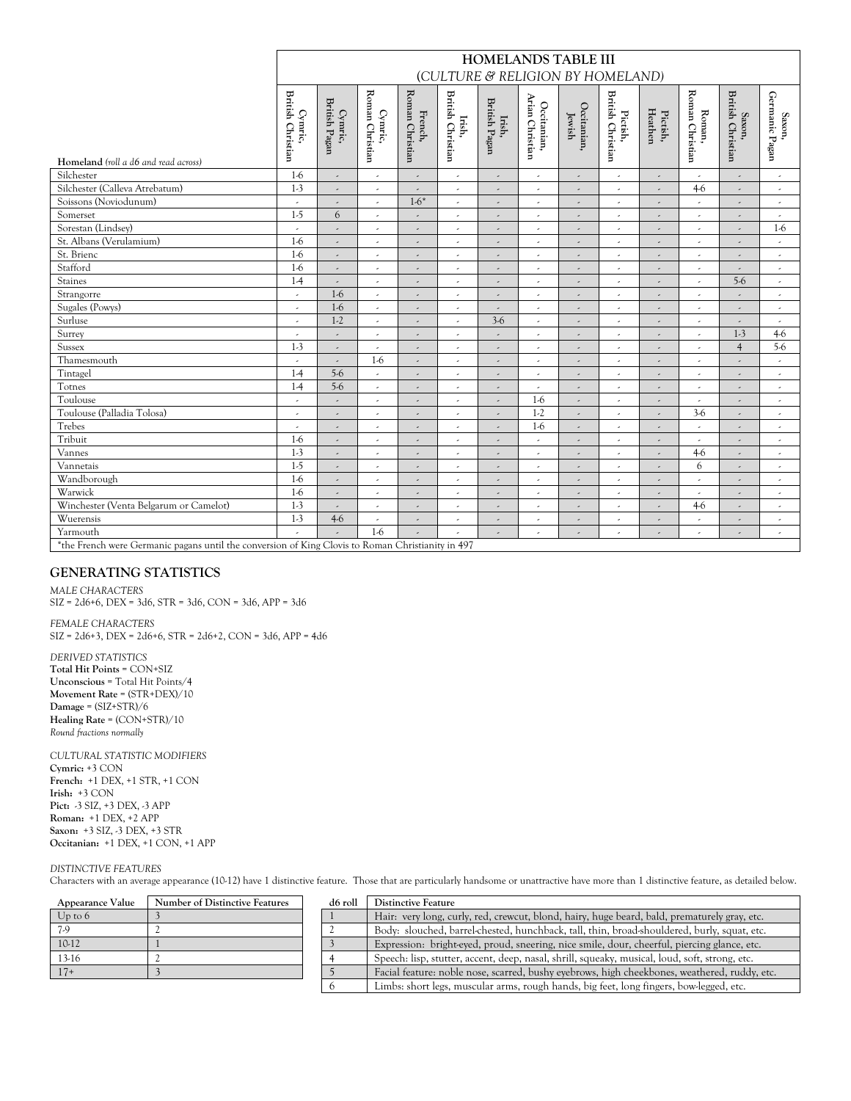|                                                                                                   |                                     |                          |                            |                            | (CULTURE & RELIGION BY HOMELAND)   | <b>HOMELANDS TABLE III</b> |                                |                          |                                      |                          |                           |                                                     |                          |
|---------------------------------------------------------------------------------------------------|-------------------------------------|--------------------------|----------------------------|----------------------------|------------------------------------|----------------------------|--------------------------------|--------------------------|--------------------------------------|--------------------------|---------------------------|-----------------------------------------------------|--------------------------|
| Homeland (roll a d6 and read across)                                                              | <b>British Christian</b><br>Cymric, | British Pagan<br>Cymric, | Roman Christian<br>Cymric, | Roman Christian<br>French, | <b>British Christian</b><br>Irish, | British Pagan<br>Irish,    | Arian Christian<br>Occitanian, | Occitanian,<br>Jewish    | <b>British Christian</b><br>Pictish, | Heathen<br>Pictish,      | Roman Christian<br>Roman, | <b>British Christian</b><br>$\operatorname{Saxon},$ | Germanic Pagan<br>Saxon, |
| Silchester                                                                                        | $1-6$                               |                          | $\overline{\phantom{a}}$   | $\overline{\phantom{a}}$   | ä,                                 |                            |                                |                          | $\overline{\phantom{a}}$             | ٠                        | $\overline{\phantom{a}}$  | $\overline{\phantom{a}}$                            | $\epsilon$               |
| Silchester (Calleva Atrebatum)                                                                    | $1-3$                               | ٠                        | $\overline{\phantom{a}}$   |                            | ٠                                  |                            | ٠                              |                          | $\overline{\phantom{a}}$             | $\overline{\phantom{a}}$ | $4-6$                     | $\overline{\phantom{a}}$                            | $\overline{\phantom{a}}$ |
| Soissons (Noviodunum)                                                                             |                                     | $\overline{\phantom{a}}$ | ×,                         | $1-6*$                     | ٠                                  | $\overline{\phantom{a}}$   | ٠                              | $\overline{\phantom{a}}$ | $\hat{\phantom{a}}$                  | ٠                        | ٠                         | $\overline{\phantom{a}}$                            | $\overline{\phantom{a}}$ |
| Somerset                                                                                          | $1-5$                               | 6                        | ×,                         | ٠                          | ä,                                 | $\overline{\phantom{a}}$   |                                | $\overline{\phantom{a}}$ | $\overline{\phantom{a}}$             | ٠                        | $\overline{\phantom{a}}$  | $\overline{\phantom{a}}$                            | $\overline{\phantom{a}}$ |
| Sorestan (Lindsey)                                                                                |                                     |                          | ,                          | ٠                          | ä,                                 | ٠                          | ٠                              | ٠                        | $\overline{\phantom{a}}$             | ٠                        | ٠                         | $\overline{\phantom{a}}$                            | $1-6$                    |
| St. Albans (Verulamium)                                                                           | $1-6$                               | $\overline{\phantom{a}}$ | $\epsilon$                 | $\overline{\phantom{a}}$   | ä,                                 | $\overline{\phantom{a}}$   | $\overline{\phantom{a}}$       | $\overline{\phantom{a}}$ | $\overline{\phantom{a}}$             | $\overline{\phantom{a}}$ | $\epsilon$                | $\overline{\phantom{a}}$                            | $\epsilon$               |
| St. Brienc                                                                                        | $1-6$                               | $\overline{\phantom{a}}$ | $\overline{\phantom{a}}$   | $\overline{\phantom{a}}$   | J.                                 | $\overline{\phantom{a}}$   | J.                             | $\overline{a}$           | v.                                   | $\overline{a}$           | v.                        | $\overline{a}$                                      | $\overline{\phantom{a}}$ |
| Stafford                                                                                          | $1-6$                               | $\overline{\phantom{a}}$ | $\overline{\phantom{a}}$   | $\overline{\phantom{a}}$   | J.                                 |                            | J.                             | $\overline{a}$           | J.                                   |                          | $\overline{\phantom{a}}$  |                                                     | v.                       |
| Staines                                                                                           | $1-4$                               |                          | ×,                         | ٠                          | ä,                                 | ٠                          | ,                              | $\overline{\phantom{a}}$ | $\overline{\phantom{a}}$             |                          | $\overline{\phantom{a}}$  | $5-6$                                               |                          |
| Strangorre                                                                                        | $\overline{\phantom{a}}$            | $1-6$                    | $\overline{\phantom{a}}$   |                            | ,                                  |                            | ٠                              |                          | ×,                                   |                          | ×,                        |                                                     |                          |
| Sugales (Powys)                                                                                   | ,                                   | $1-6$                    | J,                         | J.                         | $\overline{a}$                     |                            |                                | $\lambda$                | $\lambda$                            |                          | $\lambda$                 |                                                     | $\overline{\phantom{a}}$ |
| Surluse                                                                                           |                                     | $1-2$                    | J,                         | J.                         | J.                                 | $3-6$                      | J.                             | $\lambda$                | ,                                    |                          | $\overline{a}$            |                                                     |                          |
| Surrey                                                                                            | $\epsilon$                          | $\lambda$                | ,                          | J.                         | J,                                 |                            |                                | J.                       | ,                                    |                          | J,                        | $1-3$                                               | $4-6$                    |
| Sussex                                                                                            | $1-3$                               |                          | $\overline{\phantom{a}}$   |                            | J.                                 |                            |                                |                          | ,                                    |                          | $\overline{\phantom{a}}$  | $\overline{4}$                                      | 5.6                      |
| Thamesmouth                                                                                       | $\sim$                              |                          | $1-6$                      | $\overline{a}$             | ä,                                 | $\overline{a}$             |                                | $\overline{a}$           |                                      | $\overline{\phantom{a}}$ | $\overline{\phantom{a}}$  | $\overline{\phantom{a}}$                            | $\overline{\phantom{a}}$ |
| Tintagel                                                                                          | $1-4$                               | $5-6$                    | $\overline{\phantom{a}}$   | $\overline{\phantom{a}}$   | ä,                                 | $\overline{\phantom{a}}$   |                                | $\overline{a}$           | $\overline{\phantom{a}}$             | $\overline{\phantom{a}}$ | $\overline{\phantom{a}}$  | $\overline{\phantom{a}}$                            | $\overline{\phantom{a}}$ |
| Totnes                                                                                            | $1-4$                               | $5-6$                    | $\epsilon$                 | ٠                          | ٠                                  |                            | ٠                              | $\lambda$                | $\overline{\phantom{a}}$             | $\overline{\phantom{a}}$ | $\epsilon$                | $\overline{\phantom{a}}$                            | $\overline{\phantom{a}}$ |
| Toulouse                                                                                          | $\overline{\phantom{a}}$            | ×,                       | $\overline{\phantom{a}}$   | ٠                          | ä,                                 | $\overline{\phantom{a}}$   | $1-6$                          | $\overline{\phantom{a}}$ | $\overline{\phantom{a}}$             | ٠                        | $\epsilon$                | $\overline{\phantom{a}}$                            | $\epsilon$               |
| Toulouse (Palladia Tolosa)                                                                        | $\overline{\phantom{a}}$            | ×,                       | $\epsilon$                 | ٠                          | ä,                                 | $\overline{\phantom{a}}$   | $1-2$                          | $\overline{\phantom{a}}$ | $\overline{\phantom{a}}$             | $\overline{\phantom{a}}$ | $3-6$                     | $\overline{\phantom{a}}$                            | $\overline{\phantom{a}}$ |
| Trebes                                                                                            | $\overline{\phantom{a}}$            | ٠                        | $\epsilon$                 | ٠                          | ٠                                  | $\overline{\phantom{a}}$   | $1-6$                          | ٠                        | $\hat{\phantom{a}}$                  | ٠                        | $\epsilon$                | $\overline{\phantom{a}}$                            | $\overline{\phantom{a}}$ |
| Tribuit                                                                                           | $1-6$                               | $\overline{\phantom{a}}$ | $\overline{\phantom{a}}$   | $\overline{\phantom{a}}$   | k,                                 | $\overline{\phantom{a}}$   | ×                              | ,                        | $\overline{\phantom{a}}$             | ٠                        | $\overline{\phantom{a}}$  | $\overline{\phantom{a}}$                            | $\overline{\phantom{a}}$ |
| Vannes                                                                                            | $1-3$                               | ,                        | $\overline{\phantom{a}}$   | ٠                          | k,                                 | $\overline{\phantom{a}}$   | ×                              | $\overline{\phantom{a}}$ | $\overline{\phantom{a}}$             | ٠                        | $4-6$                     | $\overline{\phantom{a}}$                            | $\overline{\phantom{a}}$ |
| Vannetais                                                                                         | $1-5$                               |                          | ,                          |                            | ,                                  |                            |                                |                          |                                      |                          | 6                         |                                                     | $\overline{\phantom{a}}$ |
| Wandborough                                                                                       | $1-6$                               |                          | ,                          | ٠                          | J.                                 |                            | ,                              |                          | ,                                    |                          | $\overline{\phantom{a}}$  |                                                     | $\overline{\phantom{a}}$ |
| Warwick                                                                                           | $1-6$                               |                          | ,                          |                            | ,                                  |                            | ٠                              |                          | ×,                                   |                          |                           |                                                     | $\hat{\phantom{a}}$      |
| Winchester (Venta Belgarum or Camelot)                                                            | $1-3$                               | $\overline{a}$           | J.                         | J.                         | J.                                 |                            | J.                             | $\lambda$                | $\lambda$                            |                          | $4-6$                     |                                                     | $\overline{\phantom{a}}$ |
| Wuerensis                                                                                         | $1-3$                               | $4-6$                    | J.                         | J.                         | $\overline{a}$                     |                            |                                | $\lambda$                | $\lambda$                            | $\overline{\phantom{a}}$ | $\overline{a}$            | $\overline{a}$                                      | $\overline{\phantom{a}}$ |
| Yarmouth                                                                                          |                                     |                          | $1-6$                      |                            |                                    |                            |                                |                          |                                      |                          |                           |                                                     |                          |
| *the French were Germanic pagans until the conversion of King Clovis to Roman Christianity in 497 |                                     |                          |                            |                            |                                    |                            |                                |                          |                                      |                          |                           |                                                     |                          |

# **GENERATING STATISTICS**

*MALE CHARACTERS*   $SIZ = 2d6+6$ ,  $DEX = 3d6$ ,  $STR = 3d6$ ,  $CON = 3d6$ ,  $APP = 3d6$ 

*FEMALE CHARACTERS*   $SIZ = 2d6+3$ ,  $DEX = 2d6+6$ ,  $STR = 2d6+2$ ,  $CON = 3d6$ ,  $APP = 4d6$ 

*DERIVED STATISTICS*  **Total Hit Points** = CON+SIZ **Unconscious** = Total Hit Points/4 **Movement Rate** = (STR+DEX)/10 **Damage** = (SIZ+STR)/6 **Healing Rate** = (CON+STR)/10 *Round fractions normally*

*CULTURAL STATISTIC MODIFIERS*  **Cymric:** +3 CON **French:** +1 DEX, +1 STR, +1 CON **Irish:** +3 CON **Pict:** -3 SIZ, +3 DEX, -3 APP **Roman:** +1 DEX, +2 APP **Saxon:** +3 SIZ, -3 DEX, +3 STR **Occitanian:** +1 DEX, +1 CON, +1 APP

#### *DISTINCTIVE FEATURES*

Characters with an average appearance (10-12) have 1 distinctive feature. Those that are particularly handsome or unattractive have more than 1 distinctive feature, as detailed below.

| Appearance Value | Number of Distinctive Features | d6 roll | <b>Distinctive Feature</b>                                                                     |
|------------------|--------------------------------|---------|------------------------------------------------------------------------------------------------|
| $Up$ to $6$      |                                |         | Hair: very long, curly, red, crewcut, blond, hairy, huge beard, bald, prematurely gray, etc.   |
| 7.9              |                                |         | Body: slouched, barrel-chested, hunchback, tall, thin, broad-shouldered, burly, squat, etc.    |
| $10-12$          |                                |         | Expression: bright-eyed, proud, sneering, nice smile, dour, cheerful, piercing glance, etc.    |
| $13-16$          |                                |         | Speech: lisp, stutter, accent, deep, nasal, shrill, squeaky, musical, loud, soft, strong, etc. |
|                  |                                |         | Facial feature: noble nose, scarred, bushy evebrows, high cheekbones, weathered, ruddy, etc.   |
|                  |                                |         | Limbs: short legs, muscular arms, rough hands, big feet, long fingers, bow-legged, etc.        |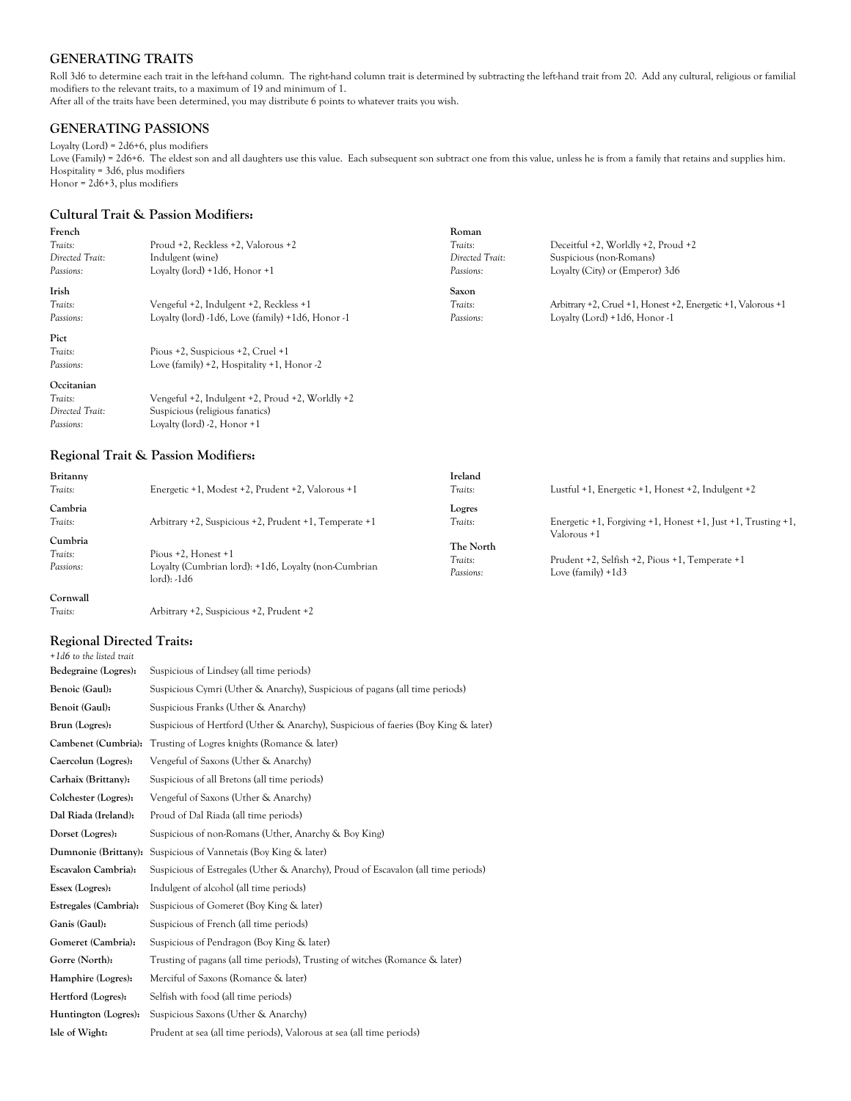## **GENERATING TRAITS**

Roll 3d6 to determine each trait in the left-hand column. The right-hand column trait is determined by subtracting the left-hand trait from 20. Add any cultural, religious or familial modifiers to the relevant traits, to a maximum of 19 and minimum of 1. After all of the traits have been determined, you may distribute 6 points to whatever traits you wish.

### **GENERATING PASSIONS**

### Loyalty (Lord) = 2d6+6, plus modifiers

Love (Family) = 2d6+6. The eldest son and all daughters use this value. Each subsequent son subtract one from this value, unless he is from a family that retains and supplies him. Hospitality = 3d6, plus modifiers Honor = 2d6+3, plus modifiers

## **Cultural Trait & Passion Modifiers:**

| French          |                                                   | Roman           |                                                              |
|-----------------|---------------------------------------------------|-----------------|--------------------------------------------------------------|
| Traits:         | Proud +2, Reckless +2, Valorous +2                | Traits:         | Deceitful $+2$ , Worldly $+2$ , Proud $+2$                   |
| Directed Trait: | Indulgent (wine)                                  | Directed Trait: | Suspicious (non-Romans)                                      |
| Passions:       | Lovalty (lord) $+1d6$ , Honor $+1$                | Passions:       | Loyalty (City) or (Emperor) 3d6                              |
| Irish           |                                                   | Saxon           |                                                              |
| Traits:         | Vengeful +2, Indulgent +2, Reckless +1            | Traits:         | Arbitrary +2, Cruel +1, Honest +2, Energetic +1, Valorous +1 |
| Passions:       | Loyalty (lord) -1d6, Love (family) +1d6, Honor -1 | Passions:       | Loyalty (Lord) $+1d6$ , Honor -1                             |
| Pict            |                                                   |                 |                                                              |
| Traits:         | Pious +2, Suspicious +2, Cruel +1                 |                 |                                                              |
| Passions:       | Love (family) $+2$ , Hospitality $+1$ , Honor -2  |                 |                                                              |
| Occitanian      |                                                   |                 |                                                              |
| Traits:         | Vengeful +2, Indulgent +2, Proud +2, Worldly +2   |                 |                                                              |
| Directed Trait: | Suspicious (religious fanatics)                   |                 |                                                              |
| Passions:       | Loyalty (lord) $-2$ , Honor $+1$                  |                 |                                                              |

## **Regional Trait & Passion Modifiers:**

| Britanny           |                                                                     | Ireland              |                                                                                            |
|--------------------|---------------------------------------------------------------------|----------------------|--------------------------------------------------------------------------------------------|
| Traits:            | Energetic +1, Modest +2, Prudent +2, Valorous +1                    | Traits:              | Lustful $+1$ , Energetic $+1$ , Honest $+2$ , Indulgent $+2$                               |
| Cambria            |                                                                     | Logres               |                                                                                            |
| Traits:<br>Cumbria | Arbitrary +2, Suspicious +2, Prudent +1, Temperate +1               | Traits:              | Energetic $+1$ , Forgiving $+1$ , Honest $+1$ , Just $+1$ , Trusting $+1$ ,<br>Valorous +1 |
| Traits:            | Pious $+2$ . Honest $+1$                                            | The North<br>Traits: | Prudent +2, Selfish +2, Pious +1, Temperate +1                                             |
| Passions:          | Loyalty (Cumbrian lord): +1d6, Loyalty (non-Cumbrian<br>lord): -1d6 | Passions:            | Love $(family) + 1d3$                                                                      |
| Cornwall           |                                                                     |                      |                                                                                            |

*Traits:*Arbitrary +2, Suspicious +2, Prudent +2

## **Regional Directed Traits:**

| +1d6 to the listed trait |                                                                                    |
|--------------------------|------------------------------------------------------------------------------------|
| Bedegraine (Logres):     | Suspicious of Lindsey (all time periods)                                           |
| Benoic (Gaul):           | Suspicious Cymri (Uther & Anarchy), Suspicious of pagans (all time periods)        |
| Benoit (Gaul):           | Suspicious Franks (Uther & Anarchy)                                                |
| Brun (Logres):           | Suspicious of Hertford (Uther & Anarchy), Suspicious of faeries (Boy King & later) |
| Cambenet (Cumbria):      | Trusting of Logres knights (Romance & later)                                       |
| Caercolun (Logres):      | Vengeful of Saxons (Uther & Anarchy)                                               |
| Carhaix (Brittany):      | Suspicious of all Bretons (all time periods)                                       |
| Colchester (Logres):     | Vengeful of Saxons (Uther & Anarchy)                                               |
| Dal Riada (Ireland):     | Proud of Dal Riada (all time periods)                                              |
| Dorset (Logres):         | Suspicious of non-Romans (Uther, Anarchy & Boy King)                               |
| Dumnonie (Brittany):     | Suspicious of Vannetais (Boy King & later)                                         |
| Escavalon Cambria):      | Suspicious of Estregales (Uther & Anarchy), Proud of Escavalon (all time periods)  |
| Essex (Logres):          | Indulgent of alcohol (all time periods)                                            |
| Estregales (Cambria):    | Suspicious of Gomeret (Boy King & later)                                           |
| Ganis (Gaul):            | Suspicious of French (all time periods)                                            |
| Gomeret (Cambria):       | Suspicious of Pendragon (Boy King & later)                                         |
| Gorre (North):           | Trusting of pagans (all time periods), Trusting of witches (Romance & later)       |
| Hamphire (Logres):       | Merciful of Saxons (Romance & later)                                               |
| Hertford (Logres):       | Selfish with food (all time periods)                                               |
| Huntington (Logres):     | Suspicious Saxons (Uther & Anarchy)                                                |
| Isle of Wight:           | Prudent at sea (all time periods), Valorous at sea (all time periods)              |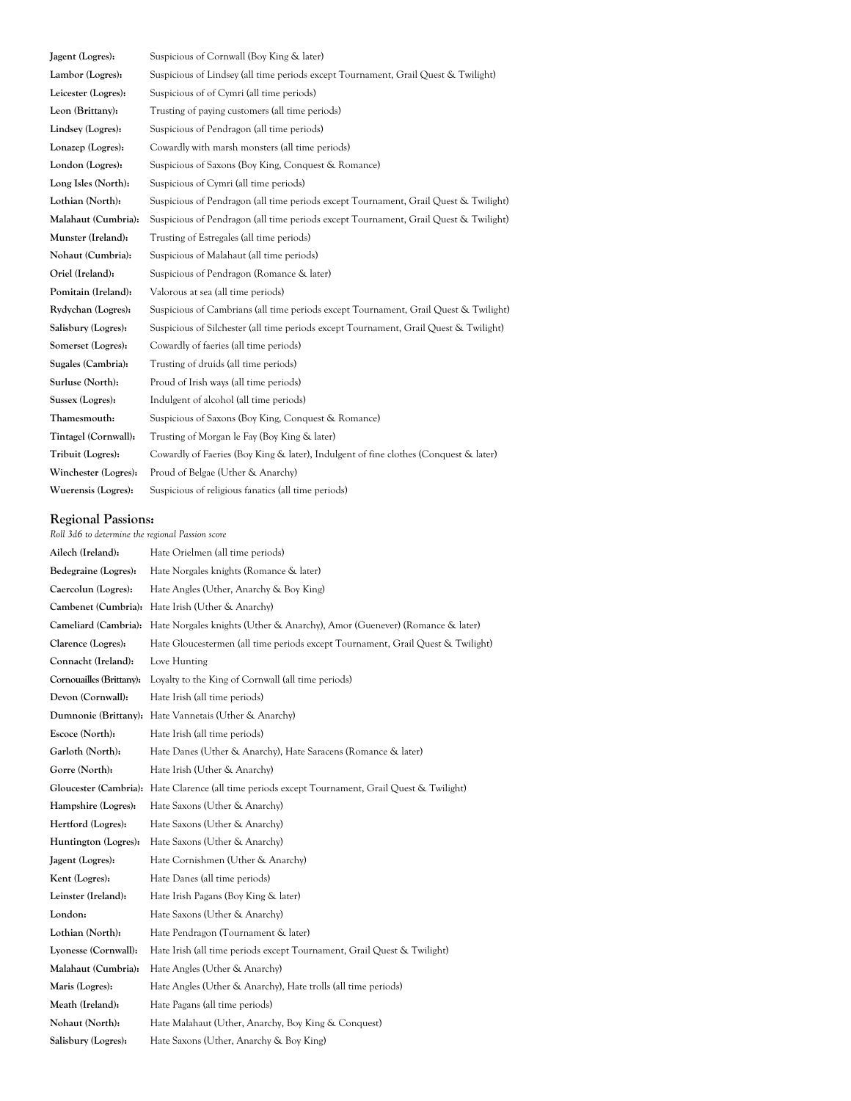**Jagent (Logres):** Suspicious of Cornwall (Boy King & later) **Lambor (Logres):** Suspicious of Lindsey (all time periods except Tournament, Grail Quest & Twilight) Leicester (Logres): Suspicious of of Cymri (all time periods) Leon (Brittany): Trusting of paying customers (all time periods) **Lindsey (Logres):** Suspicious of Pendragon (all time periods) **Lonazep (Logres):** Cowardly with marsh monsters (all time periods) **London (Logres):** Suspicious of Saxons (Boy King, Conquest & Romance) Long Isles (North): Suspicious of Cymri (all time periods) **Lothian (North):** Suspicious of Pendragon (all time periods except Tournament, Grail Quest & Twilight) **Malahaut (Cumbria):** Suspicious of Pendragon (all time periods except Tournament, Grail Quest & Twilight) **Munster (Ireland):** Trusting of Estregales (all time periods) **Nohaut (Cumbria):** Suspicious of Malahaut (all time periods) **Oriel (Ireland):** Suspicious of Pendragon (Romance & later) **Pomitain (Ireland):** Valorous at sea (all time periods) **Rydychan (Logres):** Suspicious of Cambrians (all time periods except Tournament, Grail Quest & Twilight) **Salisbury (Logres):** Suspicious of Silchester (all time periods except Tournament, Grail Quest & Twilight) **Somerset (Logres):** Cowardly of faeries (all time periods) **Sugales (Cambria):** Trusting of druids (all time periods) **Surluse (North):** Proud of Irish ways (all time periods) **Sussex (Logres):** Indulgent of alcohol (all time periods) **Thamesmouth:** Suspicious of Saxons (Boy King, Conquest & Romance) **Tintagel (Cornwall):** Trusting of Morgan le Fay (Boy King & later) **Tribuit (Logres):** Cowardly of Faeries (Boy King & later), Indulgent of fine clothes (Conquest & later) **Winchester (Logres):** Proud of Belgae (Uther & Anarchy) **Wuerensis (Logres):** Suspicious of religious fanatics (all time periods)

### **Regional Passions:**

| Roll 3d6 to determine the regional Passion score |                                                                                                  |  |  |  |  |  |  |
|--------------------------------------------------|--------------------------------------------------------------------------------------------------|--|--|--|--|--|--|
| Ailech (Ireland):                                | Hate Orielmen (all time periods)                                                                 |  |  |  |  |  |  |
| Bedegraine (Logres):                             | Hate Norgales knights (Romance & later)                                                          |  |  |  |  |  |  |
| Caercolun (Logres):                              | Hate Angles (Uther, Anarchy & Boy King)                                                          |  |  |  |  |  |  |
| Cambenet (Cumbria):                              | Hate Irish (Uther & Anarchy)                                                                     |  |  |  |  |  |  |
| Cameliard (Cambria):                             | Hate Norgales knights (Uther & Anarchy), Amor (Guenever) (Romance & later)                       |  |  |  |  |  |  |
| Clarence (Logres):                               | Hate Gloucestermen (all time periods except Tournament, Grail Quest & Twilight)                  |  |  |  |  |  |  |
| Connacht (Ireland):                              | Love Hunting                                                                                     |  |  |  |  |  |  |
| Cornouailles (Brittany):                         | Loyalty to the King of Cornwall (all time periods)                                               |  |  |  |  |  |  |
| Devon (Cornwall):                                | Hate Irish (all time periods)                                                                    |  |  |  |  |  |  |
|                                                  | Dumnonie (Brittany): Hate Vannetais (Uther & Anarchy)                                            |  |  |  |  |  |  |
| Escoce (North):                                  | Hate Irish (all time periods)                                                                    |  |  |  |  |  |  |
| Garloth (North):                                 | Hate Danes (Uther & Anarchy), Hate Saracens (Romance & later)                                    |  |  |  |  |  |  |
| Gorre (North):                                   | Hate Irish (Uther & Anarchy)                                                                     |  |  |  |  |  |  |
|                                                  | Gloucester (Cambria): Hate Clarence (all time periods except Tournament, Grail Quest & Twilight) |  |  |  |  |  |  |
| Hampshire (Logres):                              | Hate Saxons (Uther & Anarchy)                                                                    |  |  |  |  |  |  |
| Hertford (Logres):                               | Hate Saxons (Uther & Anarchy)                                                                    |  |  |  |  |  |  |
| Huntington (Logres):                             | Hate Saxons (Uther & Anarchy)                                                                    |  |  |  |  |  |  |
| Jagent (Logres):                                 | Hate Cornishmen (Uther & Anarchy)                                                                |  |  |  |  |  |  |
| Kent (Logres):                                   | Hate Danes (all time periods)                                                                    |  |  |  |  |  |  |
| Leinster (Ireland):                              | Hate Irish Pagans (Boy King & later)                                                             |  |  |  |  |  |  |
| London:                                          | Hate Saxons (Uther & Anarchy)                                                                    |  |  |  |  |  |  |
| Lothian (North):                                 | Hate Pendragon (Tournament & later)                                                              |  |  |  |  |  |  |
| Lyonesse (Cornwall):                             | Hate Irish (all time periods except Tournament, Grail Quest & Twilight)                          |  |  |  |  |  |  |
| Malahaut (Cumbria):                              | Hate Angles (Uther & Anarchy)                                                                    |  |  |  |  |  |  |
| Maris (Logres):                                  | Hate Angles (Uther & Anarchy), Hate trolls (all time periods)                                    |  |  |  |  |  |  |
| Meath (Ireland):                                 | Hate Pagans (all time periods)                                                                   |  |  |  |  |  |  |
| Nohaut (North):                                  | Hate Malahaut (Uther, Anarchy, Boy King & Conquest)                                              |  |  |  |  |  |  |
| Salisbury (Logres):                              | Hate Saxons (Uther, Anarchy & Boy King)                                                          |  |  |  |  |  |  |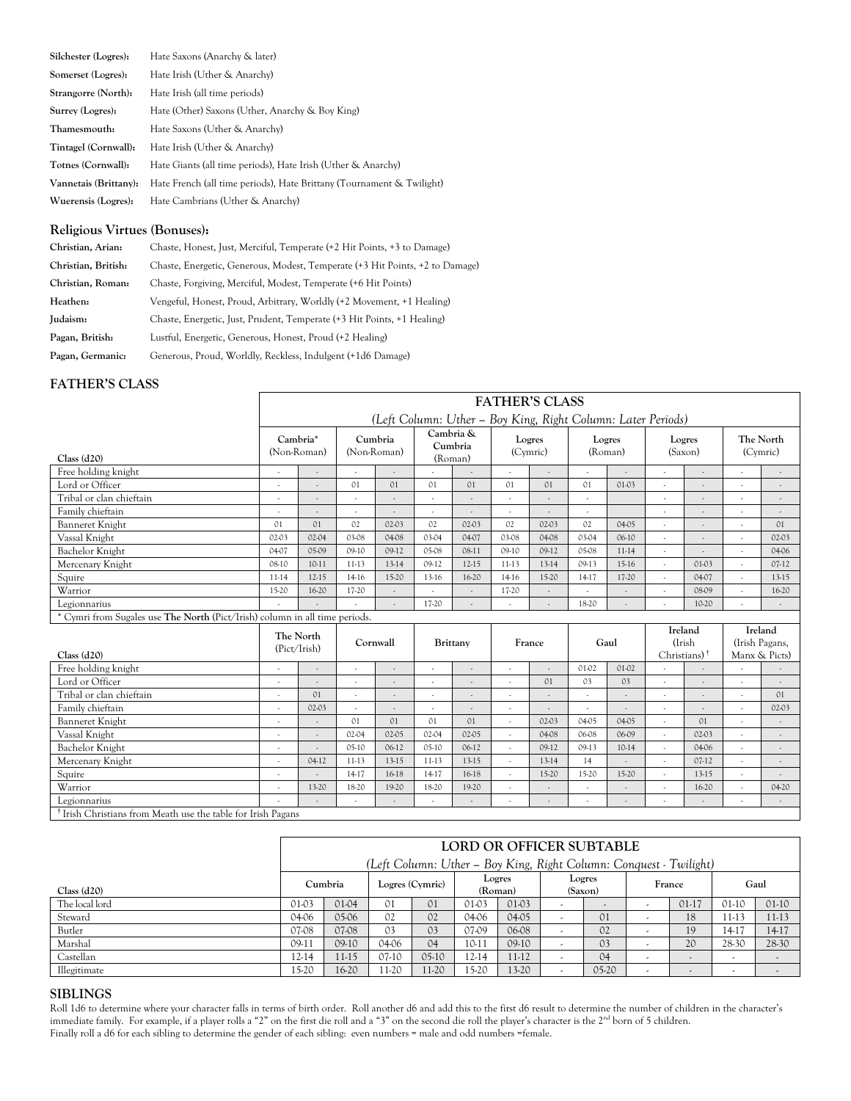| Silchester (Logres):  | Hate Saxons (Anarchy & later)                                         |
|-----------------------|-----------------------------------------------------------------------|
| Somerset (Logres):    | Hate Irish (Uther & Anarchy)                                          |
| Strangorre (North):   | Hate Irish (all time periods)                                         |
| Surrey (Logres):      | Hate (Other) Saxons (Uther, Anarchy & Boy King)                       |
| Thamesmouth:          | Hate Saxons (Uther & Anarchy)                                         |
| Tintagel (Cornwall):  | Hate Irish (Uther & Anarchy)                                          |
| Totnes (Cornwall):    | Hate Giants (all time periods), Hate Irish (Uther & Anarchy)          |
| Vannetais (Brittany): | Hate French (all time periods), Hate Brittany (Tournament & Twilight) |
| Wuerensis (Logres):   | Hate Cambrians (Uther & Anarchy)                                      |

# **Religious Virtues (Bonuses):**

| Christian, Arian:   | Chaste, Honest, Just, Merciful, Temperate (+2 Hit Points, +3 to Damage)      |
|---------------------|------------------------------------------------------------------------------|
| Christian, British: | Chaste, Energetic, Generous, Modest, Temperate (+3 Hit Points, +2 to Damage) |
| Christian, Roman:   | Chaste, Forgiving, Merciful, Modest, Temperate (+6 Hit Points)               |
| Heathen:            | Vengeful, Honest, Proud, Arbitrary, Worldly (+2 Movement, +1 Healing)        |
| Judaism:            | Chaste, Energetic, Just, Prudent, Temperate (+3 Hit Points, +1 Healing)      |
| Pagan, British:     | Lustful, Energetic, Generous, Honest, Proud (+2 Healing)                     |
| Pagan, Germanic:    | Generous, Proud, Worldly, Reckless, Indulgent (+1d6 Damage)                  |

# **FATHER'S CLASS**

|                                                                             | <b>FATHER'S CLASS</b>                                        |                          |                          |                          |            |                                 |                             |                    |                          |                |                             |                   |            |                          |
|-----------------------------------------------------------------------------|--------------------------------------------------------------|--------------------------|--------------------------|--------------------------|------------|---------------------------------|-----------------------------|--------------------|--------------------------|----------------|-----------------------------|-------------------|------------|--------------------------|
|                                                                             | (Left Column: Uther - Boy King, Right Column: Later Periods) |                          |                          |                          |            |                                 |                             |                    |                          |                |                             |                   |            |                          |
| Class (d20)                                                                 |                                                              | Cambria*<br>(Non-Roman)  |                          | Cumbria<br>(Non-Roman)   |            | Cambria &<br>Cumbria<br>(Roman) |                             | Logres<br>(Cymric) | (Roman)                  | Logres         |                             | Logres<br>(Saxon) |            | The North<br>(Cymric)    |
|                                                                             |                                                              |                          |                          |                          |            |                                 |                             |                    |                          |                |                             |                   |            |                          |
| Free holding knight                                                         |                                                              |                          |                          |                          |            |                                 |                             |                    |                          |                |                             |                   |            |                          |
| Lord or Officer                                                             |                                                              |                          | 01                       | 01                       | 01         | 01                              | $^{\circ}$                  | 01                 | $^{01}$                  | 01-03          |                             |                   |            |                          |
| Tribal or clan chieftain                                                    |                                                              |                          | ×                        | $\overline{\phantom{a}}$ | ٠          | $\overline{\phantom{a}}$        |                             |                    |                          |                | $\epsilon$                  | ×                 | ٠          |                          |
| Family chieftain                                                            |                                                              |                          |                          |                          | ٠          | $\overline{\phantom{a}}$        | $\epsilon$                  | ×                  |                          |                | $\epsilon$                  | ×                 | ٠          |                          |
| Banneret Knight                                                             | 01                                                           | 01                       | 02                       | 02-03                    | 02         | 02-03                           | 02                          | 02-03              | 02                       | 04-05          | $\mathcal{L}_{\mathcal{A}}$ |                   | ×          | 01                       |
| Vassal Knight                                                               | 02-03                                                        | 02-04                    | 03-08                    | 04-08                    | 03-04      | 04-07                           | 03-08                       | 04-08              | 03-04                    | $06-10$        |                             | ۰                 |            | 02-03                    |
| Bachelor Knight                                                             | 04-07                                                        | 05-09                    | $09-10$                  | $09-12$                  | 05-08      | $08-11$                         | $09-10$                     | $09-12$            | 05-08                    | $11-14$        | $\mathcal{L}_{\mathcal{A}}$ |                   | ×          | 04-06                    |
| Mercenary Knight                                                            | $08-10$                                                      | $10-11$                  | 11-13                    | $13-14$                  | $09-12$    | $12-15$                         | $11-13$                     | $13-14$            | $09-13$                  | $15-16$        |                             | $01-03$           |            | $07-12$                  |
| Squire                                                                      | $11-14$                                                      | $12-15$                  | $14-16$                  | 15-20                    | 13-16      | 16-20                           | $14-16$                     | 15-20              | $14-17$                  | 17-20          |                             | 04-07             |            | 13-15                    |
| Warrior                                                                     | 15-20                                                        | 16-20                    | 17-20                    |                          |            |                                 | 17-20                       |                    |                          |                |                             | 08-09             |            | 16-20                    |
| Legionnarius                                                                |                                                              |                          |                          |                          | 17-20      |                                 |                             |                    | 18-20                    |                |                             | 10-20             |            |                          |
|                                                                             |                                                              |                          |                          |                          |            |                                 |                             |                    |                          |                |                             |                   |            |                          |
| * Cymri from Sugales use The North (Pict/Irish) column in all time periods. |                                                              |                          |                          |                          |            |                                 |                             |                    |                          |                |                             |                   |            |                          |
|                                                                             |                                                              |                          |                          |                          |            |                                 |                             |                    |                          |                |                             | Ireland           |            | Ireland                  |
|                                                                             |                                                              | The North                |                          | Cornwall                 |            | <b>Brittany</b>                 |                             | France             |                          | Gaul           |                             | (Irish)           |            | (Irish Pagans,           |
| Class $(d20)$                                                               |                                                              | (Pict/Irish)             |                          |                          |            |                                 |                             |                    |                          |                | Christians) <sup>†</sup>    |                   |            | Manx & Picts)            |
| Free holding knight                                                         |                                                              | $\overline{\phantom{a}}$ | $\overline{\phantom{a}}$ | $\overline{\phantom{a}}$ | $\epsilon$ | $\overline{\phantom{a}}$        | $\epsilon$                  |                    | 01-02                    | 01-02          |                             |                   |            |                          |
| Lord or Officer                                                             |                                                              |                          | ×                        | $\overline{a}$           | ٠          | $\lambda$                       | $\mathcal{L}_{\mathcal{A}}$ | 01                 | 03                       | 0 <sub>3</sub> | $\mathcal{L}_{\mathcal{A}}$ |                   |            |                          |
| Tribal or clan chieftain                                                    | ×                                                            | 01                       |                          |                          | ä,         | $\overline{\phantom{a}}$        | $\lambda$                   |                    |                          | ×              | $\mathcal{L}_{\mathcal{A}}$ |                   |            | 01                       |
| Family chieftain                                                            |                                                              | 02-03                    | ×                        | $\overline{\phantom{a}}$ | $\epsilon$ | $\overline{\phantom{a}}$        | $\overline{\phantom{a}}$    |                    |                          | ٠              | $\sim$                      | ۰                 |            | 02-03                    |
| Banneret Knight                                                             |                                                              |                          | 01                       | 01                       | 01         | 01                              |                             | 02-03              | 04-05                    | 04-05          |                             | 01                |            |                          |
| Vassal Knight                                                               | ×                                                            | $\lambda$                | 02-04                    | 02-05                    | 02-04      | 02-05                           | $\lambda$                   | 04-08              | 06-08                    | 06-09          | $\mathcal{L}_{\mathcal{A}}$ | 02-03             | ×          |                          |
| Bachelor Knight                                                             | ٠                                                            |                          | $05-10$                  | $06-12$                  | $05-10$    | $06-12$                         | $\overline{a}$              | $09-12$            | $09-13$                  | $10-14$        |                             | 04-06             |            | $\overline{\phantom{a}}$ |
| Mercenary Knight                                                            | ×                                                            | $04-12$                  | 11-13                    | 13-15                    | $11-13$    | $13-15$                         | ×                           | $13-14$            | 14                       |                |                             | $07-12$           | ×          |                          |
| Squire                                                                      | ×                                                            |                          | $14-17$                  | 16-18                    | $14-17$    | $16-18$                         | ÷.                          | $15-20$            | 15-20                    | 15-20          | $\overline{\phantom{a}}$    | $13-15$           | $\epsilon$ |                          |
| Warrior                                                                     | ٠                                                            | 13-20                    | 18-20                    | 19-20                    | 18-20      | 19-20                           | $\epsilon$                  | ٠                  | $\overline{\phantom{a}}$ | ×              | $\epsilon$                  | 16-20             |            | $04 - 20$                |
| Legionnarius                                                                |                                                              |                          |                          |                          |            |                                 |                             |                    |                          |                |                             |                   |            |                          |

|                | <b>LORD OR OFFICER SUBTABLE</b> |         |         |                 |         |                   |                                                                    |                |     |                          |                          |         |
|----------------|---------------------------------|---------|---------|-----------------|---------|-------------------|--------------------------------------------------------------------|----------------|-----|--------------------------|--------------------------|---------|
|                |                                 |         |         |                 |         |                   | (Left Column: Uther – Boy King, Right Column: Conquest - Twilight) |                |     |                          |                          |         |
| Class (d20)    |                                 | Cumbria |         | Logres (Cymric) |         | Logres<br>(Roman) | Logres<br>(Saxon)                                                  |                |     | France                   |                          | Gaul    |
| The local lord | 01-03                           | 01-04   | 01      | 01              | 01-03   | 01-03             |                                                                    |                |     | $01-17$                  | 01-10                    | $01-10$ |
| Steward        | 04-06                           | 05-06   | 02      | 02              | 04-06   | 04-05             |                                                                    | $_{01}$        |     | 18                       | $11-13$                  | 11-13   |
| Butler         | 07-08                           | 07-08   | $^{03}$ | 0 <sub>3</sub>  | 07-09   | 06-08             |                                                                    | 02             | ۰.  | 19                       | 14-17                    | 14-17   |
| Marshal        | $09-11$                         | $09-10$ | 04-06   | 04              | $10-11$ | $09-10$           |                                                                    | 0 <sub>3</sub> |     | 20                       | 28-30                    | 28-30   |
| Castellan      | $12-14$                         | 11-15   | $07-10$ | $05-10$         | 12-14   | 11-12             |                                                                    | 04             |     | $\overline{\phantom{a}}$ | $\overline{\phantom{a}}$ |         |
| Illegitimate   | 15-20                           | 16-20   | 11-20   | $1-20$          | 15-20   | 13-20             |                                                                    | $05-20$        | - 1 | $\overline{a}$           | $\overline{\phantom{a}}$ |         |

## **SIBLINGS**

Roll 1d6 to determine where your character falls in terms of birth order. Roll another d6 and add this to the first d6 result to determine the number of children in the character's immediate family. For example, if a player rolls a "2" on the first die roll and a "3" on the second die roll the player's character is the 2<sup>nd</sup> born of 5 children. Finally roll a d6 for each sibling to determine the gender of each sibling: even numbers = male and odd numbers =female.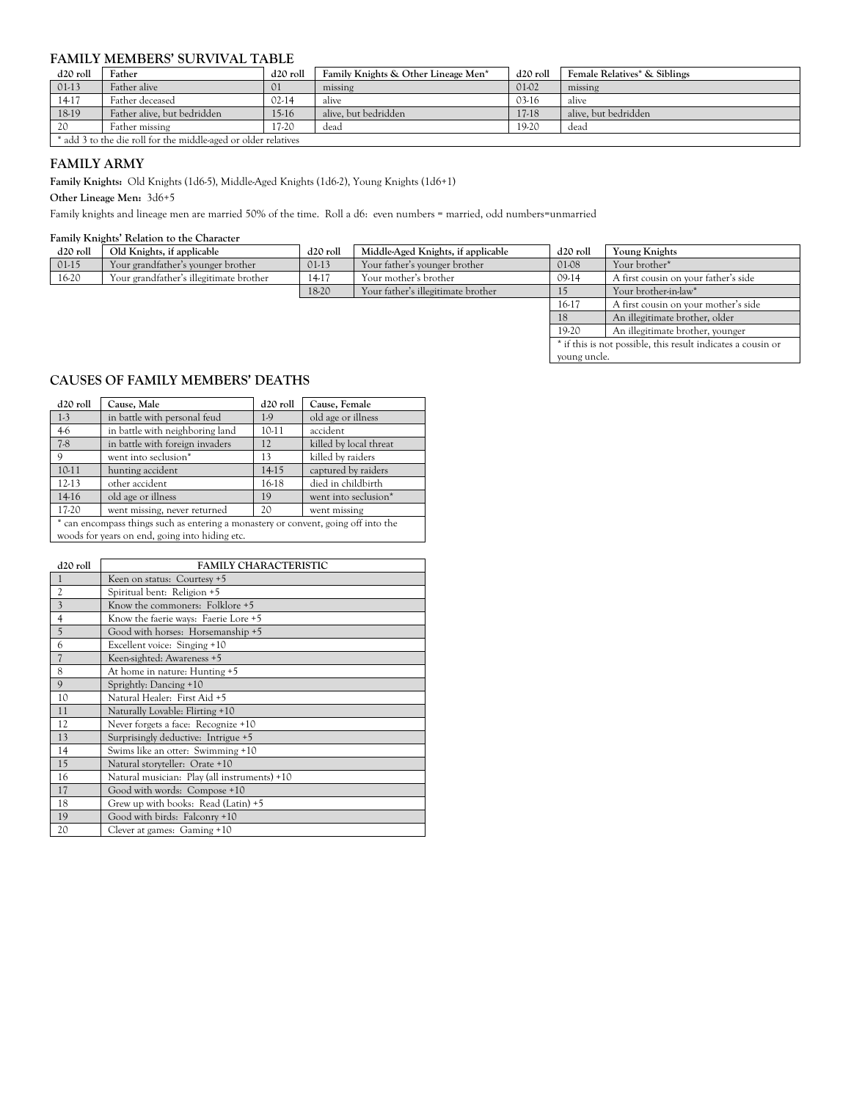### **FAMILY MEMBERS' SURVIVAL TABLE**

| d <sub>20</sub> roll | Father                                                         | d <sub>20</sub> roll | Family Knights & Other Lineage Men* | d <sub>20</sub> roll | <b>Female Relatives* &amp; Siblings</b> |  |  |  |
|----------------------|----------------------------------------------------------------|----------------------|-------------------------------------|----------------------|-----------------------------------------|--|--|--|
| $01-13$              | Father alive                                                   | $_{01}$              | missing                             | 01-02                | missing                                 |  |  |  |
| 14-17                | Father deceased                                                | $02-14$              | alive                               | $03-16$              | alive                                   |  |  |  |
| 18-19                | Father alive, but bedridden                                    | 15-16                | alive. but bedridden                | 17-18                | alive. but bedridden                    |  |  |  |
| 20                   | Father missing                                                 | 17-20                | dead                                | 19-20                | dead                                    |  |  |  |
|                      | * add 3 to the die roll for the middle-aged or older relatives |                      |                                     |                      |                                         |  |  |  |

# **FAMILY ARMY**

**Family Knights:** Old Knights (1d6-5), Middle-Aged Knights (1d6-2), Young Knights (1d6+1)

**Other Lineage Men:** 3d6+5

Family knights and lineage men are married 50% of the time. Roll a d6: even numbers = married, odd numbers=unmarried

#### **Family Knights' Relation to the Character**

| d <sub>20</sub> roll | Old Knights, if applicable              | d <sub>20</sub> roll | Middle-Aged Knights, if applicable | Young Knights |                                                              |
|----------------------|-----------------------------------------|----------------------|------------------------------------|---------------|--------------------------------------------------------------|
| $01-15$              | Your grandfather's younger brother      | $01-13$              | Your father's younger brother      | 01-08         | Your brother*                                                |
| 16-20                | Your grandfather's illegitimate brother | 14-17                | Your mother's brother              | $09-14$       | A first cousin on your father's side                         |
|                      |                                         | 18-20                | Your father's illegitimate brother |               | Your brother-in-law*                                         |
|                      |                                         |                      |                                    | 16-17         | A first cousin on your mother's side                         |
|                      |                                         |                      |                                    | 18            | An illegitimate brother, older                               |
|                      |                                         |                      |                                    | 19-20         | An illegitimate brother, younger                             |
|                      |                                         |                      |                                    |               | * if this is not possible, this result indicates a cousin or |
|                      |                                         |                      |                                    | young uncle.  |                                                              |

# **CAUSES OF FAMILY MEMBERS' DEATHS**

| d <sub>20</sub> roll | Cause, Male                                                                        | d <sub>20</sub> roll | Cause, Female          |  |  |  |  |  |  |  |
|----------------------|------------------------------------------------------------------------------------|----------------------|------------------------|--|--|--|--|--|--|--|
| $1-3$                | in battle with personal feud                                                       | 1.9                  | old age or illness     |  |  |  |  |  |  |  |
| $4-6$                | in battle with neighboring land                                                    | 10-11                | accident               |  |  |  |  |  |  |  |
| $7-8$                | in battle with foreign invaders                                                    | 12                   | killed by local threat |  |  |  |  |  |  |  |
| 9                    | went into seclusion*                                                               | 13                   | killed by raiders      |  |  |  |  |  |  |  |
| $10-11$              | hunting accident                                                                   | 14-15                | captured by raiders    |  |  |  |  |  |  |  |
| $12-13$              | other accident                                                                     | 16-18                | died in childbirth     |  |  |  |  |  |  |  |
| 14-16                | old age or illness                                                                 | 19                   | went into seclusion*   |  |  |  |  |  |  |  |
| 17-20                | went missing, never returned                                                       | 20                   | went missing           |  |  |  |  |  |  |  |
|                      | * can encompass things such as entering a monastery or convent, going off into the |                      |                        |  |  |  |  |  |  |  |
|                      | woods for years on end, going into hiding etc.                                     |                      |                        |  |  |  |  |  |  |  |

| d <sub>20</sub> roll | <b>FAMILY CHARACTERISTIC</b>                 |
|----------------------|----------------------------------------------|
|                      | Keen on status: Courtesy +5                  |
| $\overline{c}$       | Spiritual bent: Religion +5                  |
| 3                    | Know the commoners: Folklore +5              |
| $\overline{4}$       | Know the faerie ways: Faerie Lore +5         |
| 5                    | Good with horses: Horsemanship +5            |
| 6                    | Excellent voice: Singing +10                 |
| $\overline{7}$       | Keen-sighted: Awareness +5                   |
| 8                    | At home in nature: Hunting +5                |
| $\mathbf{Q}$         | Sprightly: Dancing +10                       |
| 10                   | Natural Healer: First Aid +5                 |
| 11                   | Naturally Lovable: Flirting +10              |
| 12                   | Never forgets a face: Recognize +10          |
| 13                   | Surprisingly deductive: Intrigue +5          |
| 14                   | Swims like an otter: Swimming +10            |
| 15                   | Natural storyteller: Orate +10               |
| 16                   | Natural musician: Play (all instruments) +10 |
| 17                   | Good with words: Compose +10                 |
| 18                   | Grew up with books: Read (Latin) +5          |
| 19                   | Good with birds: Falconry +10                |
| 20                   | Clever at games: Gaming +10                  |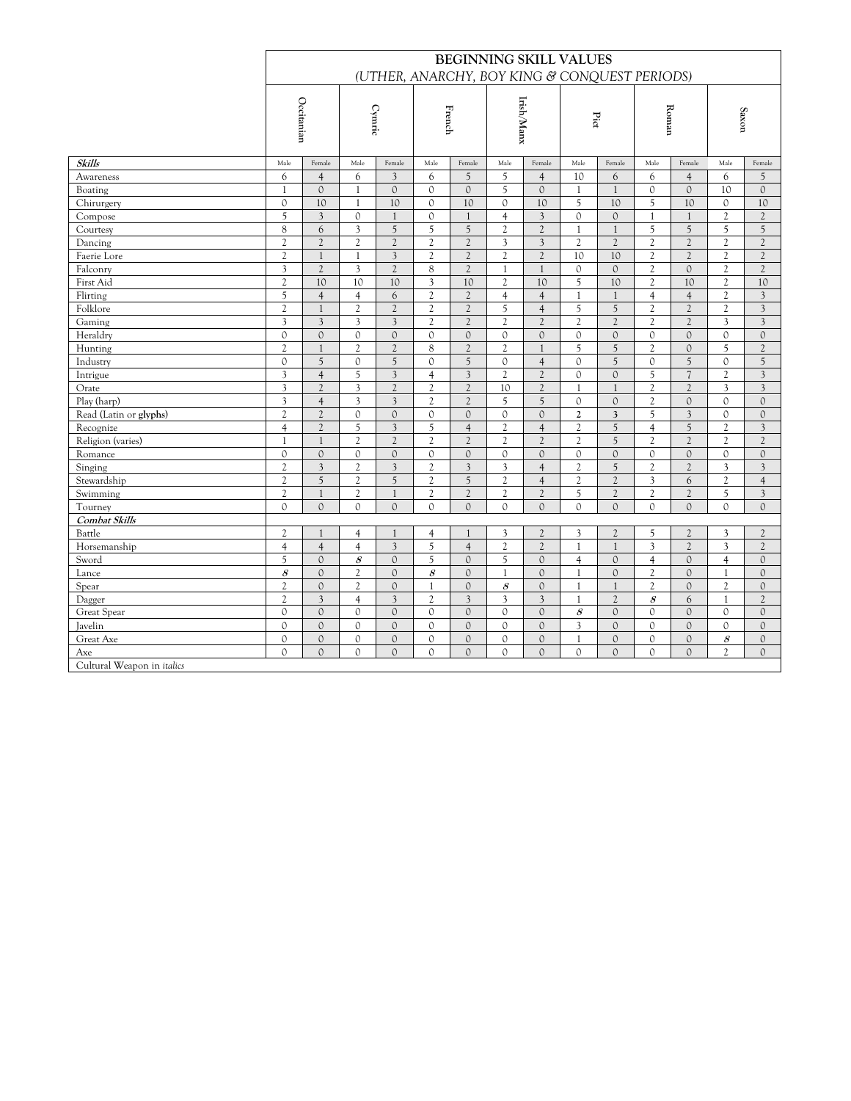|                            | <b>BEGINNING SKILL VALUES</b>                 |                                         |                               |                                |                                |                                    |                                |                                |                   |                                |                         |                                |                                |                                |
|----------------------------|-----------------------------------------------|-----------------------------------------|-------------------------------|--------------------------------|--------------------------------|------------------------------------|--------------------------------|--------------------------------|-------------------|--------------------------------|-------------------------|--------------------------------|--------------------------------|--------------------------------|
|                            | (UTHER, ANARCHY, BOY KING & CONQUEST PERIODS) |                                         |                               |                                |                                |                                    |                                |                                |                   |                                |                         |                                |                                |                                |
|                            | Occitanian                                    |                                         | Cymric                        |                                | French                         |                                    | Irish/Manx                     |                                | Pict              |                                | Roman                   |                                | Saxon                          |                                |
| <b>Skills</b>              | Male                                          | Female                                  | Male                          | Female                         | Male                           | Female                             | Male                           | Female                         | Male              | Female                         | Male                    | Female                         | Male                           | Female                         |
| Awareness                  | 6                                             | $\overline{4}$                          | 6                             | $\overline{3}$                 | 6                              | 5                                  | 5                              | $\overline{4}$                 | 10                | 6                              | 6                       | $\overline{4}$                 | 6                              | 5                              |
| Boating                    | $\mathbf{1}$                                  | $\Omega$                                | $\mathbf{1}$                  | $\mathbf{0}$                   | $\Omega$                       | $\Omega$                           | 5                              | $\Omega$                       | $\mathbf{1}$      | $\mathbf{1}$                   | $\Omega$                | $\Omega$                       | 10                             | $\mathcal{O}$                  |
| Chirurgery                 | $\mathbf{0}$                                  | 10                                      | $\mathbf{1}$                  | 10                             | $\mathbf{0}$                   | 10                                 | $\mathcal{O}$                  | 10                             | 5                 | 10                             | 5                       | 10                             | $\mathcal{O}$                  | 10                             |
| Compose                    | 5                                             | 3                                       | $\mathbb O$                   | $\mathbf{1}$                   | $\mathcal{O}$                  | $\mathbf{1}$                       | $\overline{4}$                 | 3                              | $\mathcal{O}$     | $\mathcal{O}$                  | 1                       | $\mathbf{1}$                   | $\mathfrak{2}$                 | $\mathfrak{2}$                 |
| Courtesy                   | $\,8\,$                                       | 6                                       | $\mathfrak{Z}$                | 5                              | 5                              | 5                                  | $\mathfrak{2}$                 | $\overline{c}$                 | $\mathbf{1}$      | $\mathbf{1}$                   | 5                       | 5                              | 5                              | 5                              |
| Dancing                    | $\overline{2}$                                | $\mathfrak{2}$                          | $\mathfrak{2}$                | $\mathfrak{2}$                 | $\mathfrak{2}$                 | $\mathfrak{2}$                     | 3                              | 3                              | 2                 | $\overline{c}$                 | 2                       | $\overline{c}$                 | 2                              | $\mathfrak{2}$                 |
| Faerie Lore                | $\overline{c}$                                | $\mathbf{1}$                            | $\mathbf{1}$                  | $\overline{\mathbf{3}}$        | $\overline{c}$                 | $\overline{c}$                     | $\overline{c}$                 | $\overline{c}$                 | 10                | 10                             | $\overline{c}$          | $\overline{c}$                 | $\overline{2}$                 | $\overline{c}$                 |
| Falconry                   | 3                                             | $\overline{c}$                          | 3                             | $\overline{c}$                 | 8                              | $\overline{c}$                     | $\mathbf{1}$                   | $\overline{1}$                 | $\Omega$          | $\mathbf{0}$                   | $\mathfrak{2}$          | $\Omega$                       | $\mathfrak{2}$                 | $\overline{c}$                 |
| First Aid                  | $\overline{c}$                                | 10                                      | 10                            | 10                             | 3                              | 10                                 | $\mathfrak{2}$                 | 10                             | 5                 | 10                             | $\overline{c}$          | 10                             | $\overline{c}$                 | 10                             |
| Flirting                   | 5                                             | $\overline{4}$                          | $\overline{4}$                | 6                              | $\overline{c}$                 | $\overline{2}$                     | $\overline{4}$                 | $\overline{4}$                 | $\mathbf{1}$      | $\mathbf{1}$                   | $\overline{4}$          | $\overline{4}$                 | $\overline{c}$                 | $\overline{3}$                 |
| Folklore                   | $\overline{c}$                                | $\mathbf{1}$                            | $\mathfrak{2}$                | $\mathfrak{2}$                 | $\mathfrak{2}$                 | $\mathfrak{2}$                     | 5                              | $\overline{4}$                 | 5                 | 5                              | $\overline{c}$          | $\overline{c}$                 | 2                              | $\mathfrak{Z}$                 |
| Gaming                     | 3                                             | $\overline{\mathbf{3}}$                 | $\mathfrak{Z}$                | $\mathfrak{Z}$                 | $\mathfrak{2}$                 | $\overline{c}$                     | $\overline{c}$                 | $\overline{2}$                 | $\overline{c}$    | $\overline{c}$                 | $\overline{c}$          | $\overline{2}$                 | 3                              | $\overline{3}$                 |
| Heraldry                   | $\mathcal{O}$                                 | $\mathcal{O}$                           | $\circ$                       | $\mathcal{O}$                  | $\mathbf{0}$                   | $\mathcal{O}$                      | $\circ$                        | $\mathcal{O}$                  | $\mathcal{O}$     | $\mathcal{O}$                  | $\circ$                 | $\circ$                        | $\mathbf{0}$                   | $\mathcal{O}$                  |
| Hunting                    | $\mathfrak{2}$                                | $\mathbf{1}$                            | $\mathfrak{2}$                | $\mathfrak{2}$                 | 8                              | $\mathfrak{2}$                     | $\mathfrak{2}$                 | $\mathbf{1}$                   | 5                 | 5                              | $\mathfrak{2}$          | $\mathcal{O}$                  | 5                              | $\mathfrak{2}$                 |
| Industry                   | $\mathbf{0}$                                  | 5                                       | $\circ$                       | 5                              | $\mathbf{0}$                   | 5                                  | $\mathcal{O}$                  | $\overline{4}$                 | $\mathbf{0}$      | 5                              | $\circ$                 | 5                              | $\circ$                        | 5                              |
| Intrigue                   | 3                                             | $\overline{4}$                          | 5                             | $\overline{\mathbf{3}}$        | $\overline{4}$                 | $\overline{\mathbf{3}}$            | $\overline{c}$                 | $\overline{c}$                 | $\Omega$          | $\Omega$                       | 5                       | $\overline{7}$                 | $\mathfrak{2}$                 | $\overline{3}$                 |
| Orate                      | $\overline{3}$                                | $\mathfrak{2}$                          | 3                             | $\overline{c}$                 | $\mathfrak{2}$                 | $\overline{c}$                     | 10                             | $\overline{c}$                 | $\mathbf{1}$      | $\mathbf{1}$                   | $\overline{c}$          | $\overline{c}$                 | $\overline{3}$                 | $\overline{3}$                 |
| Play (harp)                | 3                                             | $\overline{4}$                          | $\overline{\mathbf{3}}$       | $\overline{\mathbf{3}}$        | $\mathfrak{2}$                 | $\overline{2}$                     | 5                              | 5                              | $\mathbf{0}$      | $\mathbf{0}$                   | $\mathfrak{2}$          | $\mathcal{O}$                  | $\circ$                        | $\mathcal{O}$                  |
| Read (Latin or glyphs)     | $\mathfrak{2}$                                | $\mathfrak{2}$                          | $\mathcal{O}$                 | $\mathbf{0}$                   | $\mathcal{O}$                  | $\mathcal{O}$                      | $\mathcal{O}$                  | $\mathcal{O}$                  | $\mathfrak{2}$    | 3                              | 5                       | $\overline{\mathbf{3}}$        | $\Omega$                       | $\mathcal{O}$                  |
| Recognize                  | $\overline{4}$                                | $\mathfrak{2}$                          | 5                             | $\overline{3}$                 | 5                              | $\overline{4}$                     | $\mathfrak{2}$                 | $\overline{4}$                 | $\mathfrak{2}$    | 5                              | $\overline{4}$          | 5                              | $\mathfrak{2}$                 | $\overline{3}$                 |
| Religion (varies)          | 1                                             | $\mathbf{1}$                            | $\mathfrak{2}$                | $\overline{2}$                 | $\overline{c}$                 | $\overline{2}$                     | $\overline{2}$                 | $\overline{2}$                 | 2                 | 5                              | $\overline{c}$          | $\overline{c}$                 | $\overline{c}$                 | 2                              |
| Romance                    | $\mathbf 0$                                   | $\mathbf{0}$                            | $\mathbb O$                   | $\mathbf{0}$                   | $\mathbf{0}$                   | $\mathbf 0$                        | $\mathbf{0}$                   | $\mathcal{O}$                  | $\mathbf{0}$      | $\mathbf{0}$                   | $\circ$                 | $\circ$                        | $\circ$                        | $\mathbf{0}$                   |
| Singing                    | $\overline{c}$                                | 3                                       | $\mathfrak{2}$                | $\overline{\mathbf{3}}$        | $\sqrt{2}$                     | $\overline{3}$                     | 3                              | $\overline{4}$                 | $\overline{c}$    | 5                              | $\overline{c}$          | $\overline{c}$                 | 3                              | 3                              |
| Stewardship                | $\overline{c}$                                | 5                                       | $\overline{c}$                | 5                              | $\overline{c}$                 | 5                                  | $\mathfrak{2}$                 | $\overline{4}$                 | $\overline{c}$    | $\overline{c}$                 | $\overline{\mathbf{3}}$ | 6                              | $\overline{c}$                 | $\overline{4}$                 |
| Swimming                   | $\mathfrak{2}$                                | $\mathbf{1}$                            | $\mathfrak{2}$                | $\mathbf{1}$                   | $\mathfrak{2}$                 | $\overline{c}$                     | $\mathfrak{2}$                 | $\overline{c}$                 | 5                 | $\overline{c}$                 | $\mathfrak{2}$          | $\overline{c}$                 | 5                              | $\overline{3}$                 |
| Tourney                    | $\mathbf{0}$                                  | $\mathbf{0}$                            | $\Omega$                      | $\Omega$                       | $\Omega$                       | $\mathbf{0}$                       | $\Omega$                       | $\Omega$                       | $\Omega$          | $\Omega$                       | $\Omega$                | $\Omega$                       | $\Omega$                       | $\Omega$                       |
| Combat Skills              |                                               |                                         |                               |                                |                                |                                    |                                |                                |                   |                                |                         |                                |                                |                                |
| Battle                     | $\mathfrak{2}$                                | $\mathbf{1}$                            | $\overline{4}$                | $\mathbf{1}$                   | $\overline{4}$                 | $\mathbf{1}$                       | 3                              | $\overline{2}$                 | 3                 | $\overline{2}$                 | 5                       | $\overline{c}$                 | 3                              | $\mathfrak{2}$                 |
| Horsemanship               | $\overline{4}$                                | $\overline{4}$                          | $\overline{4}$                | $\overline{\mathbf{3}}$        | 5                              | $\overline{4}$                     | $\mathfrak{2}$                 | $\overline{c}$                 | $\mathbf{1}$      | $\mathbf{1}$                   | $\overline{3}$          | $\overline{c}$                 | $\overline{3}$                 | $\mathfrak{2}$                 |
| Sword                      | 5                                             | $\mathbf{0}$                            | $\mathcal S$                  | $\mathbf{0}$                   | 5                              | $\mathbf{0}$                       | 5                              | $\mathcal{O}$                  | $\overline{4}$    | $\mathcal{O}$                  | $\overline{4}$          | $\mathcal{O}$                  | $\overline{4}$                 | $\mathcal{O}$                  |
| Lance                      | $\mathcal{S}_{\mathcal{S}}$                   | $\mathcal{O}$                           | $\mathfrak{2}$                | $\mathcal{O}$                  | $\mathcal S$                   | $\mathcal{O}$                      | $\mathbf{1}$                   | $\mathbf{0}$                   | $\mathbf{1}$      | $\mathcal{O}$                  | $\mathfrak{2}$          | $\mathcal{O}$                  | 1                              | $\mathcal{O}$                  |
| Spear                      | $\overline{c}$<br>$\overline{c}$              | $\mathbf{0}$<br>$\overline{\mathbf{3}}$ | $\overline{c}$                | $\mathbf{0}$<br>$\mathfrak{Z}$ | $\mathbf{1}$<br>$\mathfrak{2}$ | $\circ$<br>$\overline{\mathbf{3}}$ | $\mathcal S$<br>$\mathfrak{Z}$ | $\mathbf{0}$<br>3              | $\mathbf{1}$      | $\mathbf{1}$<br>$\overline{2}$ | $\overline{c}$          | $\mathcal{O}$                  | $\overline{2}$<br>$\mathbf{1}$ | $\mathbf{0}$<br>$\overline{c}$ |
| Dagger                     | $\mathbf{0}$                                  | $\mathbf{0}$                            | $\overline{4}$<br>$\circ$     | $\mathbf{0}$                   | $\mathbf{0}$                   | $\circ$                            | $\mathcal{O}$                  | $\mathbf{0}$                   | $\overline{1}$    | $\mathcal{O}$                  | $\mathcal S$<br>$\circ$ | 6<br>$\mathcal{O}$             |                                |                                |
| Great Spear                |                                               |                                         |                               |                                |                                |                                    |                                |                                | $\mathcal S$      |                                |                         |                                | $\mathbf{0}$                   | $\mathbf{0}$                   |
| Javelin                    | $\mathbf{0}$                                  | $\mathbf{0}$                            | $\mathcal{O}$<br>$\mathbf{0}$ | $\mathcal{O}$                  | $\mathbf{0}$                   | $\mathcal{O}$                      | $\mathcal{O}$                  | $\mathcal{O}$                  | 3<br>$\mathbf{1}$ | $\mathcal{O}$                  | $\circ$                 | $\mathcal{O}$                  | $\Omega$                       | $\mathcal{O}$                  |
| Great Axe<br>Axe           | $\mathbf{O}$<br>$\mathcal{O}$                 | $\mathbf{0}$<br>$\mathbf{0}$            | $\mathbf{0}$                  | $\mathbf{0}$<br>$\mathbf{0}$   | 0<br>$\mathcal{O}$             | $\mathbf{0}$<br>$\mathbf{0}$       | $\mathbf{0}$<br>$\mathcal{O}$  | $\mathcal{O}$<br>$\mathcal{O}$ | $\mathbf{0}$      | $\mathcal{O}$<br>$\mathbf{0}$  | 0<br>$\mathcal{O}$      | $\mathcal{O}$<br>$\mathcal{O}$ | 8<br>$\overline{c}$            | $\mathbf{0}$<br>$\mathcal{O}$  |
| Cultural Weapon in italics |                                               |                                         |                               |                                |                                |                                    |                                |                                |                   |                                |                         |                                |                                |                                |
|                            |                                               |                                         |                               |                                |                                |                                    |                                |                                |                   |                                |                         |                                |                                |                                |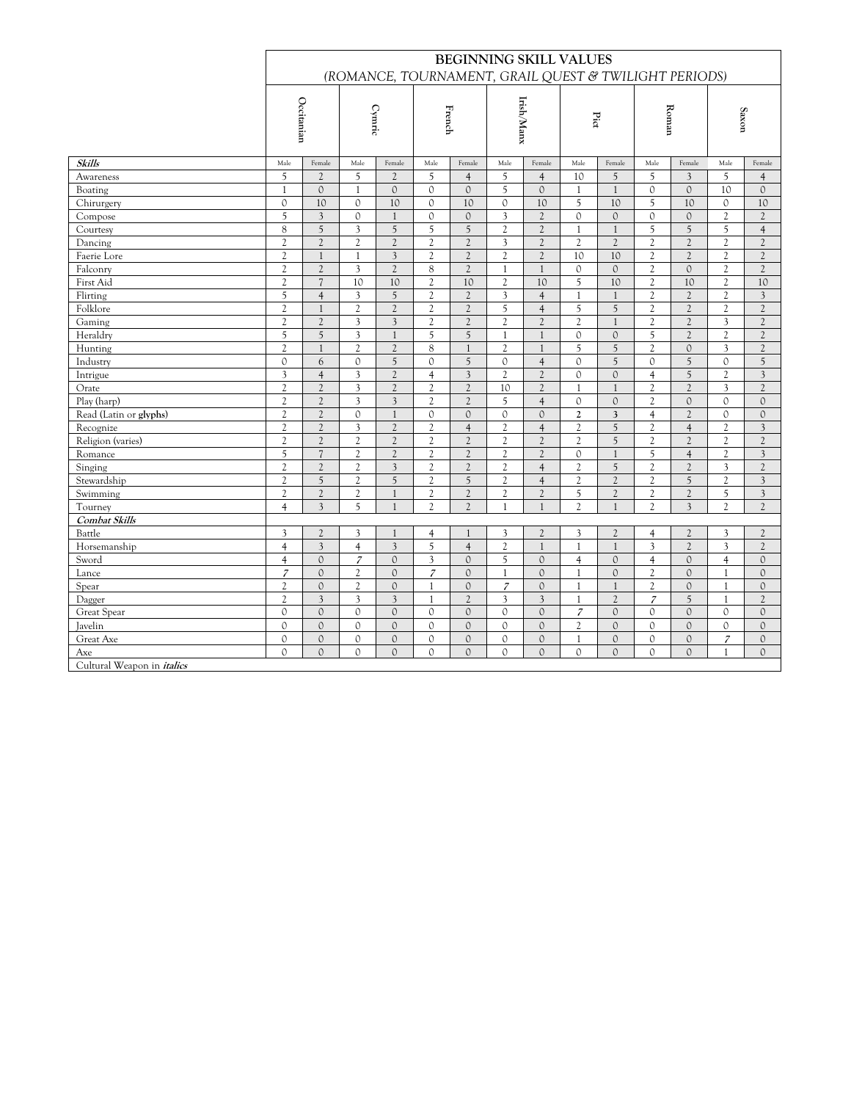| (ROMANCE, TOURNAMENT, GRAIL QUEST & TWILIGHT PERIODS)<br>Irish/Manx<br>Occitanian<br>Cymric<br>Roman<br>French<br>Saxon<br>Pict<br>Skills<br>Male<br>Female<br>Male<br>Female<br>Male<br>Female<br>Male<br>Female<br>Male<br>Female<br>Male<br>Female<br>Male<br>Female<br>5<br>5<br>5<br>$\overline{2}$<br>$\overline{c}$<br>5<br>10<br>5<br>5<br>$\overline{\mathcal{E}}$<br>5<br>Awareness<br>$\overline{4}$<br>$\overline{4}$<br>$\overline{4}$<br>$\mathbf{0}$<br>$\mathcal{O}$<br>5<br>$\Omega$<br>10<br>$\mathcal{O}$<br>$\mathcal{O}$<br>$\mathbf{0}$<br>$\mathcal{O}$<br>$\mathcal{O}$<br>Boating<br>$\mathbf{1}$<br>$\mathbf{1}$<br>$\mathbf{1}$<br>$\mathbf{1}$<br>5<br>$\mathbf 0$<br>$\mathcal{O}$<br>5<br>Chirurgery<br>10<br>$\mathcal{O}$<br>10<br>10<br>$\mathcal{O}$<br>10<br>10<br>10<br>$\circ$<br>10<br>5<br>3<br>$\circ$<br>$\mathcal{O}$<br>$\mathcal{O}$<br>3<br>$\overline{2}$<br>$\circ$<br>$\mathcal{O}$<br>$\circ$<br>$\mathcal{O}$<br>$\mathfrak{2}$<br>$\overline{2}$<br>Compose<br>$\mathbf{1}$<br>$\,8\,$<br>$\sqrt{5}$<br>$\mathfrak{Z}$<br>$\sqrt{5}$<br>5<br>5<br>$\mathfrak{2}$<br>$\overline{c}$<br>5<br>5<br>5<br>Courtesy<br>$\mathbf{1}$<br>$\mathbf{1}$<br>$\overline{4}$<br>$\mathfrak{2}$<br>$\sqrt{2}$<br>$\overline{2}$<br>$\mathfrak{2}$<br>$\mathfrak{2}$<br>$\mathfrak{2}$<br>3<br>$\overline{c}$<br>$\mathfrak{2}$<br>$\mathfrak{2}$<br>$\mathfrak{2}$<br>Dancing<br>$\overline{2}$<br>$\overline{c}$<br>2<br>$\overline{\mathcal{E}}$<br>$\overline{c}$<br>$\overline{c}$<br>$\mathbf{1}$<br>$\overline{c}$<br>$\overline{2}$<br>$\overline{2}$<br>$\overline{c}$<br>$\overline{2}$<br>$\overline{c}$<br>$\overline{c}$<br>Faerie Lore<br>$\mathbf{1}$<br>10<br>10<br>$\mathfrak{2}$<br>$\overline{c}$<br>3<br>$\overline{c}$<br>$\overline{c}$<br>8<br>$\overline{c}$<br>$\mathfrak{2}$<br>$\mathbf{0}$<br>$\mathfrak{2}$<br>Falconry<br>$\mathbf{0}$<br>$\mathcal{O}$<br>$\mathbf{1}$<br>$\overline{1}$<br>$\overline{c}$<br>$\mathfrak{2}$<br>$\overline{7}$<br>10<br>5<br>10<br>First Aid<br>10<br>10<br>$\mathfrak{2}$<br>10<br>10<br>$\overline{c}$<br>$\overline{c}$<br>10<br>5<br>$\overline{4}$<br>$\mathfrak{Z}$<br>5<br>$\mathfrak{2}$<br>$\mathfrak{2}$<br>$\mathfrak{Z}$<br>$\overline{c}$<br>$\overline{c}$<br>$\overline{3}$<br>Flirting<br>$\overline{4}$<br>$\mathbf{1}$<br>$\mathbf{1}$<br>$\overline{c}$<br>$\mathfrak{2}$<br>$\mathfrak{2}$<br>5<br>5<br>Folklore<br>$\mathfrak{2}$<br>$\mathfrak{2}$<br>$\mathfrak{2}$<br>5<br>$\mathfrak{2}$<br>$\overline{c}$<br>$\overline{c}$<br>$\mathbf{1}$<br>$\overline{4}$<br>$\overline{c}$<br>$\overline{c}$<br>$\overline{\mathbf{3}}$<br>$\overline{c}$<br>$\overline{2}$<br>3<br>$\overline{c}$<br>$\overline{c}$<br>$\overline{c}$<br>$\overline{c}$<br>$\overline{c}$<br>$\overline{3}$<br>$\mathfrak{2}$<br>Gaming<br>$\overline{c}$<br>$\mathbf{1}$<br>5<br>$\sqrt{5}$<br>$\mathfrak{Z}$<br>$\mathfrak{2}$<br>$\mathfrak{2}$<br>Heraldry<br>$\mathbf{1}$<br>5<br>$\sqrt{5}$<br>$\mathbf{0}$<br>$\mathbf{0}$<br>5<br>$\mathfrak{2}$<br>$\mathbf{1}$<br>$\overline{1}$<br>$\mathfrak{2}$<br>$\mathfrak{2}$<br>$\mathfrak{2}$<br>8<br>5<br>5<br>$\mathbf{1}$<br>$\mathfrak{2}$<br>$\circ$<br>3<br>$\mathfrak{2}$<br>Hunting<br>$\mathbf{1}$<br>2<br>1<br>5<br>5<br>$\mathcal{O}$<br>6<br>$\circ$<br>5<br>$\Omega$<br>$\overline{4}$<br>$\overline{5}$<br>$\Omega$<br>5<br>Industry<br>$\Omega$<br>$\Omega$<br>$\Omega$<br>5<br>$\overline{3}$<br>$\overline{\mathbf{3}}$<br>$\overline{c}$<br>$\overline{4}$<br>$\mathfrak{Z}$<br>$\overline{c}$<br>$\overline{c}$<br>$\Omega$<br>$\mathbf{0}$<br>$\overline{3}$<br>$\overline{4}$<br>$\overline{4}$<br>$\overline{c}$<br>Intrigue<br>$\overline{\mathbf{3}}$<br>$\overline{c}$<br>$\overline{c}$<br>$\overline{c}$<br>$\overline{c}$<br>$\overline{c}$<br>$\overline{c}$<br>$\overline{c}$<br>$\overline{c}$<br>$\overline{\mathbf{3}}$<br>$\overline{c}$<br>10<br>$\mathbf{1}$<br>$\mathbf{1}$<br>Orate<br>$\overline{c}$<br>$\overline{c}$<br>3<br>$\overline{\mathbf{3}}$<br>$\mathfrak{2}$<br>$\mathfrak{2}$<br>$\mathfrak{2}$<br>Play (harp)<br>5<br>$\overline{4}$<br>$\mathbf{0}$<br>$\mathbf{0}$<br>$\circ$<br>$\Omega$<br>$\mathcal{O}$<br>Read (Latin or glyphs)<br>$\mathfrak{2}$<br>$\overline{c}$<br>$\mathbf{0}$<br>$\mathbf{0}$<br>$\overline{c}$<br>$\mathbf{1}$<br>$\mathcal{O}$<br>$\mathcal{O}$<br>$\mathcal{O}$<br>$\mathfrak{2}$<br>$\circ$<br>$\mathcal{O}$<br>3<br>$\overline{4}$<br>$\mathfrak{2}$<br>$\mathfrak{2}$<br>$\mathfrak{2}$<br>$\sqrt{2}$<br>$\mathfrak{2}$<br>5<br>$\overline{4}$<br>Recognize<br>3<br>$\overline{4}$<br>$\overline{4}$<br>$\overline{c}$<br>$\mathfrak{2}$<br>$\overline{c}$<br>3<br>$\mathfrak{2}$<br>$\mathfrak{2}$<br>$\mathfrak{2}$<br>$\mathfrak{2}$<br>5<br>Religion (varies)<br>$\mathfrak{2}$<br>$\mathfrak{2}$<br>$\mathfrak{2}$<br>$\overline{2}$<br>$\overline{c}$<br>$\overline{c}$<br>$\overline{c}$<br>$\overline{c}$<br>2<br>5<br>$\sqrt{7}$<br>$\mathfrak{2}$<br>$\mathfrak{2}$<br>$\mathfrak{2}$<br>$\mathfrak{2}$<br>$\mathfrak{2}$<br>$\overline{2}$<br>5<br>$\mathfrak{2}$<br>Romance<br>$\mathbf{0}$<br>$\overline{4}$<br>$\mathfrak{Z}$<br>$\mathbf{1}$<br>$\overline{c}$<br>$\mathfrak{2}$<br>$\mathfrak{2}$<br>$\overline{3}$<br>$\mathfrak{2}$<br>$\mathfrak{2}$<br>$\mathfrak{2}$<br>$\overline{c}$<br>5<br>$\overline{c}$<br>$\mathfrak{2}$<br>$\overline{c}$<br>Singing<br>$\overline{4}$<br>3<br>5<br>5<br>$\overline{c}$<br>5<br>$\overline{2}$<br>$\mathfrak{2}$<br>5<br>$\mathfrak{2}$<br>$\overline{c}$<br>$\overline{c}$<br>$\overline{c}$<br>$\overline{c}$<br>$\overline{3}$<br>Stewardship<br>$\overline{4}$<br>$\overline{c}$<br>$\overline{c}$<br>$\overline{c}$<br>$\overline{c}$<br>$\mathfrak{2}$<br>$\mathfrak{2}$<br>$\overline{c}$<br>5<br>$\overline{c}$<br>$\mathfrak{2}$<br>$\mathfrak{2}$<br>5<br>$\overline{3}$<br>Swimming<br>$\mathbf{1}$<br>$\overline{\mathbf{3}}$<br>$\overline{5}$<br>$\overline{c}$<br>$\overline{c}$<br>$\overline{\mathcal{E}}$<br>Tourney<br>$\overline{4}$<br>$\mathbf{1}$<br>$\overline{c}$<br>$\mathfrak{2}$<br>$\mathcal{L}$<br>$\overline{2}$<br>$\mathbf{1}$<br>$\mathbf{1}$<br>$\mathbf{1}$<br>Combat Skills<br>Battle<br>3<br>$\mathfrak{2}$<br>3<br>3<br>$\overline{2}$<br>3<br>$\overline{2}$<br>$\mathfrak{2}$<br>3<br>2<br>$\mathbf{1}$<br>$\overline{4}$<br>$\mathbf{1}$<br>4<br>5<br>$\overline{\mathbf{3}}$<br>$\overline{\mathbf{3}}$<br>$\mathfrak{2}$<br>$\overline{3}$<br>$\overline{c}$<br>$\overline{3}$<br>$\mathfrak{2}$<br>$\overline{4}$<br>$\overline{4}$<br>$\overline{4}$<br>$\overline{1}$<br>Horsemanship<br>$\mathbf{1}$<br>$\mathbf{1}$<br>3<br>5<br>Sword<br>$\mathbf{0}$<br>$\overline{7}$<br>$\mathbf{0}$<br>$\mathbf{0}$<br>$\overline{4}$<br>$\mathbf{0}$<br>$\overline{4}$<br>$\mathcal{O}$<br>$\overline{4}$<br>0<br>$\mathcal{O}$<br>$\overline{4}$<br>$\overline{z}$<br>$\mathbf{0}$<br>$\overline{z}$<br>$\mathbf{0}$<br>$\overline{c}$<br>$\Omega$<br>$\mathcal{O}$<br>$\mathfrak{2}$<br>$\Omega$<br>$\Omega$<br>$\mathcal{O}$<br>Lance<br>$\mathbf{1}$<br>$\mathbf{1}$<br>1<br>$\mathfrak{2}$<br>$\mathfrak{2}$<br>$\mathfrak{2}$<br>$\mathbf{0}$<br>$\mathbf{0}$<br>$\mathcal{O}$<br>$\overline{z}$<br>$\mathcal{O}$<br>$\circ$<br>$\mathbf 0$<br>Spear<br>$\mathbf{1}$<br>$\mathbf{1}$<br>$\mathbf{1}$<br>1<br>$\overline{\mathbf{3}}$<br>$\overline{\mathbf{3}}$<br>5<br>$\overline{c}$<br>3<br>$\overline{2}$<br>3<br>3<br>$\overline{c}$<br>Dagger<br>$\mathbf{1}$<br>$\overline{c}$<br>$\overline{z}$<br>$\mathbf{1}$<br>1<br>$\mathbf{0}$<br>$\mathbf{0}$<br>$\mathbf{0}$<br>$\mathcal{O}$<br>$\mathbf{0}$<br>$\circ$<br>$\mathcal{O}$<br>$\mathcal{O}$<br>$\mathcal{O}$<br>$\overline{z}$<br>$\mathcal{O}$<br>$\circ$<br>$\circ$<br>$\mathcal{O}$<br>Great Spear<br>$\mathcal{O}$<br>$\mathbf{0}$<br>$\mathcal{O}$<br>$\mathfrak{2}$<br>Javelin<br>$\mathcal{O}$<br>$\mathbf{0}$<br>$\mathbf{0}$<br>$\mathcal{O}$<br>$\mathcal{O}$<br>$\mathcal{O}$<br>$\mathcal{O}$<br>$\mathcal{O}$<br>$\mathcal{O}$<br>$\mathcal{O}$<br>$\mathbb O$<br>$\mathbf{0}$<br>$\mathbb O$<br>$\circ$<br>$\mathbf{0}$<br>$\mathcal{O}$<br>$\overline{z}$<br>Great Axe<br>$\mathcal{O}$<br>$\circ$<br>$\mathbf{0}$<br>$\mathbf{0}$<br>$\mathbf{1}$<br>$\mathcal{O}$<br>$\mathcal{O}$<br>$\Omega$<br>$\Omega$<br>$\Omega$<br>$\Omega$<br>$\Omega$<br>$\mathcal{O}$<br>$\Omega$<br>$\Omega$<br>$\Omega$<br>$\Omega$<br>$\Omega$<br>$\Omega$<br>$\mathcal{O}$<br>Axe<br>1<br>Cultural Weapon in <i>italics</i> | <b>BEGINNING SKILL VALUES</b> |  |  |  |  |  |  |  |  |  |  |  |
|---------------------------------------------------------------------------------------------------------------------------------------------------------------------------------------------------------------------------------------------------------------------------------------------------------------------------------------------------------------------------------------------------------------------------------------------------------------------------------------------------------------------------------------------------------------------------------------------------------------------------------------------------------------------------------------------------------------------------------------------------------------------------------------------------------------------------------------------------------------------------------------------------------------------------------------------------------------------------------------------------------------------------------------------------------------------------------------------------------------------------------------------------------------------------------------------------------------------------------------------------------------------------------------------------------------------------------------------------------------------------------------------------------------------------------------------------------------------------------------------------------------------------------------------------------------------------------------------------------------------------------------------------------------------------------------------------------------------------------------------------------------------------------------------------------------------------------------------------------------------------------------------------------------------------------------------------------------------------------------------------------------------------------------------------------------------------------------------------------------------------------------------------------------------------------------------------------------------------------------------------------------------------------------------------------------------------------------------------------------------------------------------------------------------------------------------------------------------------------------------------------------------------------------------------------------------------------------------------------------------------------------------------------------------------------------------------------------------------------------------------------------------------------------------------------------------------------------------------------------------------------------------------------------------------------------------------------------------------------------------------------------------------------------------------------------------------------------------------------------------------------------------------------------------------------------------------------------------------------------------------------------------------------------------------------------------------------------------------------------------------------------------------------------------------------------------------------------------------------------------------------------------------------------------------------------------------------------------------------------------------------------------------------------------------------------------------------------------------------------------------------------------------------------------------------------------------------------------------------------------------------------------------------------------------------------------------------------------------------------------------------------------------------------------------------------------------------------------------------------------------------------------------------------------------------------------------------------------------------------------------------------------------------------------------------------------------------------------------------------------------------------------------------------------------------------------------------------------------------------------------------------------------------------------------------------------------------------------------------------------------------------------------------------------------------------------------------------------------------------------------------------------------------------------------------------------------------------------------------------------------------------------------------------------------------------------------------------------------------------------------------------------------------------------------------------------------------------------------------------------------------------------------------------------------------------------------------------------------------------------------------------------------------------------------------------------------------------------------------------------------------------------------------------------------------------------------------------------------------------------------------------------------------------------------------------------------------------------------------------------------------------------------------------------------------------------------------------------------------------------------------------------------------------------------------------------------------------------------------------------------------------------------------------------------------------------------------------------------------------------------------------------------------------------------------------------------------------------------------------------------------------------------------------------------------------------------------------------------------------------------------------------------------------------------------------------------------------------------------------------------------------------------------------------------------------------------------------------------------------------------------------------------------------------------------------------------------------------------------------------------------------------------------------------------------------------------------------------------------------------------------------------------------------------------------------------------------------------------------------------------------------------------------------------------------------------------------------------------------------------------------------------------------------------------------------------------------------------------------------------------------------------------------------------------------------------------------------------------------------------------------------------------------------------------------------------------------------------------------------------------------------------------------------------------------------------------------------------------------------------------------------------------------------------------------------------------------------------------------------------------------------------------------------------------------------------------------------------------------------------------------------------------------------------------------------------------------------------------------------------------------------------------------------------------------------------------------------------------------------------------------------------------------------------------------------------------------------------------------------------------------------------------------------------------------------------------------------------------------------------------------------------------------------------------------------------------------------------------------------------------------------------------------------------------------------------------------------------------------------------------------------------------------------------------|-------------------------------|--|--|--|--|--|--|--|--|--|--|--|
|                                                                                                                                                                                                                                                                                                                                                                                                                                                                                                                                                                                                                                                                                                                                                                                                                                                                                                                                                                                                                                                                                                                                                                                                                                                                                                                                                                                                                                                                                                                                                                                                                                                                                                                                                                                                                                                                                                                                                                                                                                                                                                                                                                                                                                                                                                                                                                                                                                                                                                                                                                                                                                                                                                                                                                                                                                                                                                                                                                                                                                                                                                                                                                                                                                                                                                                                                                                                                                                                                                                                                                                                                                                                                                                                                                                                                                                                                                                                                                                                                                                                                                                                                                                                                                                                                                                                                                                                                                                                                                                                                                                                                                                                                                                                                                                                                                                                                                                                                                                                                                                                                                                                                                                                                                                                                                                                                                                                                                                                                                                                                                                                                                                                                                                                                                                                                                                                                                                                                                                                                                                                                                                                                                                                                                                                                                                                                                                                                                                                                                                                                                                                                                                                                                                                                                                                                                                                                                                                                                                                                                                                                                                                                                                                                                                                                                                                                                                                                                                                                                                                                                                                                                                                                                                                                                                                                                                                                                                                                                                                                                                                                                                                                                                                                                                                                                                                                                                                                                                                                                                                                   |                               |  |  |  |  |  |  |  |  |  |  |  |
|                                                                                                                                                                                                                                                                                                                                                                                                                                                                                                                                                                                                                                                                                                                                                                                                                                                                                                                                                                                                                                                                                                                                                                                                                                                                                                                                                                                                                                                                                                                                                                                                                                                                                                                                                                                                                                                                                                                                                                                                                                                                                                                                                                                                                                                                                                                                                                                                                                                                                                                                                                                                                                                                                                                                                                                                                                                                                                                                                                                                                                                                                                                                                                                                                                                                                                                                                                                                                                                                                                                                                                                                                                                                                                                                                                                                                                                                                                                                                                                                                                                                                                                                                                                                                                                                                                                                                                                                                                                                                                                                                                                                                                                                                                                                                                                                                                                                                                                                                                                                                                                                                                                                                                                                                                                                                                                                                                                                                                                                                                                                                                                                                                                                                                                                                                                                                                                                                                                                                                                                                                                                                                                                                                                                                                                                                                                                                                                                                                                                                                                                                                                                                                                                                                                                                                                                                                                                                                                                                                                                                                                                                                                                                                                                                                                                                                                                                                                                                                                                                                                                                                                                                                                                                                                                                                                                                                                                                                                                                                                                                                                                                                                                                                                                                                                                                                                                                                                                                                                                                                                                                   |                               |  |  |  |  |  |  |  |  |  |  |  |
|                                                                                                                                                                                                                                                                                                                                                                                                                                                                                                                                                                                                                                                                                                                                                                                                                                                                                                                                                                                                                                                                                                                                                                                                                                                                                                                                                                                                                                                                                                                                                                                                                                                                                                                                                                                                                                                                                                                                                                                                                                                                                                                                                                                                                                                                                                                                                                                                                                                                                                                                                                                                                                                                                                                                                                                                                                                                                                                                                                                                                                                                                                                                                                                                                                                                                                                                                                                                                                                                                                                                                                                                                                                                                                                                                                                                                                                                                                                                                                                                                                                                                                                                                                                                                                                                                                                                                                                                                                                                                                                                                                                                                                                                                                                                                                                                                                                                                                                                                                                                                                                                                                                                                                                                                                                                                                                                                                                                                                                                                                                                                                                                                                                                                                                                                                                                                                                                                                                                                                                                                                                                                                                                                                                                                                                                                                                                                                                                                                                                                                                                                                                                                                                                                                                                                                                                                                                                                                                                                                                                                                                                                                                                                                                                                                                                                                                                                                                                                                                                                                                                                                                                                                                                                                                                                                                                                                                                                                                                                                                                                                                                                                                                                                                                                                                                                                                                                                                                                                                                                                                                                   |                               |  |  |  |  |  |  |  |  |  |  |  |
|                                                                                                                                                                                                                                                                                                                                                                                                                                                                                                                                                                                                                                                                                                                                                                                                                                                                                                                                                                                                                                                                                                                                                                                                                                                                                                                                                                                                                                                                                                                                                                                                                                                                                                                                                                                                                                                                                                                                                                                                                                                                                                                                                                                                                                                                                                                                                                                                                                                                                                                                                                                                                                                                                                                                                                                                                                                                                                                                                                                                                                                                                                                                                                                                                                                                                                                                                                                                                                                                                                                                                                                                                                                                                                                                                                                                                                                                                                                                                                                                                                                                                                                                                                                                                                                                                                                                                                                                                                                                                                                                                                                                                                                                                                                                                                                                                                                                                                                                                                                                                                                                                                                                                                                                                                                                                                                                                                                                                                                                                                                                                                                                                                                                                                                                                                                                                                                                                                                                                                                                                                                                                                                                                                                                                                                                                                                                                                                                                                                                                                                                                                                                                                                                                                                                                                                                                                                                                                                                                                                                                                                                                                                                                                                                                                                                                                                                                                                                                                                                                                                                                                                                                                                                                                                                                                                                                                                                                                                                                                                                                                                                                                                                                                                                                                                                                                                                                                                                                                                                                                                                                   |                               |  |  |  |  |  |  |  |  |  |  |  |
|                                                                                                                                                                                                                                                                                                                                                                                                                                                                                                                                                                                                                                                                                                                                                                                                                                                                                                                                                                                                                                                                                                                                                                                                                                                                                                                                                                                                                                                                                                                                                                                                                                                                                                                                                                                                                                                                                                                                                                                                                                                                                                                                                                                                                                                                                                                                                                                                                                                                                                                                                                                                                                                                                                                                                                                                                                                                                                                                                                                                                                                                                                                                                                                                                                                                                                                                                                                                                                                                                                                                                                                                                                                                                                                                                                                                                                                                                                                                                                                                                                                                                                                                                                                                                                                                                                                                                                                                                                                                                                                                                                                                                                                                                                                                                                                                                                                                                                                                                                                                                                                                                                                                                                                                                                                                                                                                                                                                                                                                                                                                                                                                                                                                                                                                                                                                                                                                                                                                                                                                                                                                                                                                                                                                                                                                                                                                                                                                                                                                                                                                                                                                                                                                                                                                                                                                                                                                                                                                                                                                                                                                                                                                                                                                                                                                                                                                                                                                                                                                                                                                                                                                                                                                                                                                                                                                                                                                                                                                                                                                                                                                                                                                                                                                                                                                                                                                                                                                                                                                                                                                                   |                               |  |  |  |  |  |  |  |  |  |  |  |
|                                                                                                                                                                                                                                                                                                                                                                                                                                                                                                                                                                                                                                                                                                                                                                                                                                                                                                                                                                                                                                                                                                                                                                                                                                                                                                                                                                                                                                                                                                                                                                                                                                                                                                                                                                                                                                                                                                                                                                                                                                                                                                                                                                                                                                                                                                                                                                                                                                                                                                                                                                                                                                                                                                                                                                                                                                                                                                                                                                                                                                                                                                                                                                                                                                                                                                                                                                                                                                                                                                                                                                                                                                                                                                                                                                                                                                                                                                                                                                                                                                                                                                                                                                                                                                                                                                                                                                                                                                                                                                                                                                                                                                                                                                                                                                                                                                                                                                                                                                                                                                                                                                                                                                                                                                                                                                                                                                                                                                                                                                                                                                                                                                                                                                                                                                                                                                                                                                                                                                                                                                                                                                                                                                                                                                                                                                                                                                                                                                                                                                                                                                                                                                                                                                                                                                                                                                                                                                                                                                                                                                                                                                                                                                                                                                                                                                                                                                                                                                                                                                                                                                                                                                                                                                                                                                                                                                                                                                                                                                                                                                                                                                                                                                                                                                                                                                                                                                                                                                                                                                                                                   |                               |  |  |  |  |  |  |  |  |  |  |  |
|                                                                                                                                                                                                                                                                                                                                                                                                                                                                                                                                                                                                                                                                                                                                                                                                                                                                                                                                                                                                                                                                                                                                                                                                                                                                                                                                                                                                                                                                                                                                                                                                                                                                                                                                                                                                                                                                                                                                                                                                                                                                                                                                                                                                                                                                                                                                                                                                                                                                                                                                                                                                                                                                                                                                                                                                                                                                                                                                                                                                                                                                                                                                                                                                                                                                                                                                                                                                                                                                                                                                                                                                                                                                                                                                                                                                                                                                                                                                                                                                                                                                                                                                                                                                                                                                                                                                                                                                                                                                                                                                                                                                                                                                                                                                                                                                                                                                                                                                                                                                                                                                                                                                                                                                                                                                                                                                                                                                                                                                                                                                                                                                                                                                                                                                                                                                                                                                                                                                                                                                                                                                                                                                                                                                                                                                                                                                                                                                                                                                                                                                                                                                                                                                                                                                                                                                                                                                                                                                                                                                                                                                                                                                                                                                                                                                                                                                                                                                                                                                                                                                                                                                                                                                                                                                                                                                                                                                                                                                                                                                                                                                                                                                                                                                                                                                                                                                                                                                                                                                                                                                                   |                               |  |  |  |  |  |  |  |  |  |  |  |
|                                                                                                                                                                                                                                                                                                                                                                                                                                                                                                                                                                                                                                                                                                                                                                                                                                                                                                                                                                                                                                                                                                                                                                                                                                                                                                                                                                                                                                                                                                                                                                                                                                                                                                                                                                                                                                                                                                                                                                                                                                                                                                                                                                                                                                                                                                                                                                                                                                                                                                                                                                                                                                                                                                                                                                                                                                                                                                                                                                                                                                                                                                                                                                                                                                                                                                                                                                                                                                                                                                                                                                                                                                                                                                                                                                                                                                                                                                                                                                                                                                                                                                                                                                                                                                                                                                                                                                                                                                                                                                                                                                                                                                                                                                                                                                                                                                                                                                                                                                                                                                                                                                                                                                                                                                                                                                                                                                                                                                                                                                                                                                                                                                                                                                                                                                                                                                                                                                                                                                                                                                                                                                                                                                                                                                                                                                                                                                                                                                                                                                                                                                                                                                                                                                                                                                                                                                                                                                                                                                                                                                                                                                                                                                                                                                                                                                                                                                                                                                                                                                                                                                                                                                                                                                                                                                                                                                                                                                                                                                                                                                                                                                                                                                                                                                                                                                                                                                                                                                                                                                                                                   |                               |  |  |  |  |  |  |  |  |  |  |  |
|                                                                                                                                                                                                                                                                                                                                                                                                                                                                                                                                                                                                                                                                                                                                                                                                                                                                                                                                                                                                                                                                                                                                                                                                                                                                                                                                                                                                                                                                                                                                                                                                                                                                                                                                                                                                                                                                                                                                                                                                                                                                                                                                                                                                                                                                                                                                                                                                                                                                                                                                                                                                                                                                                                                                                                                                                                                                                                                                                                                                                                                                                                                                                                                                                                                                                                                                                                                                                                                                                                                                                                                                                                                                                                                                                                                                                                                                                                                                                                                                                                                                                                                                                                                                                                                                                                                                                                                                                                                                                                                                                                                                                                                                                                                                                                                                                                                                                                                                                                                                                                                                                                                                                                                                                                                                                                                                                                                                                                                                                                                                                                                                                                                                                                                                                                                                                                                                                                                                                                                                                                                                                                                                                                                                                                                                                                                                                                                                                                                                                                                                                                                                                                                                                                                                                                                                                                                                                                                                                                                                                                                                                                                                                                                                                                                                                                                                                                                                                                                                                                                                                                                                                                                                                                                                                                                                                                                                                                                                                                                                                                                                                                                                                                                                                                                                                                                                                                                                                                                                                                                                                   |                               |  |  |  |  |  |  |  |  |  |  |  |
|                                                                                                                                                                                                                                                                                                                                                                                                                                                                                                                                                                                                                                                                                                                                                                                                                                                                                                                                                                                                                                                                                                                                                                                                                                                                                                                                                                                                                                                                                                                                                                                                                                                                                                                                                                                                                                                                                                                                                                                                                                                                                                                                                                                                                                                                                                                                                                                                                                                                                                                                                                                                                                                                                                                                                                                                                                                                                                                                                                                                                                                                                                                                                                                                                                                                                                                                                                                                                                                                                                                                                                                                                                                                                                                                                                                                                                                                                                                                                                                                                                                                                                                                                                                                                                                                                                                                                                                                                                                                                                                                                                                                                                                                                                                                                                                                                                                                                                                                                                                                                                                                                                                                                                                                                                                                                                                                                                                                                                                                                                                                                                                                                                                                                                                                                                                                                                                                                                                                                                                                                                                                                                                                                                                                                                                                                                                                                                                                                                                                                                                                                                                                                                                                                                                                                                                                                                                                                                                                                                                                                                                                                                                                                                                                                                                                                                                                                                                                                                                                                                                                                                                                                                                                                                                                                                                                                                                                                                                                                                                                                                                                                                                                                                                                                                                                                                                                                                                                                                                                                                                                                   |                               |  |  |  |  |  |  |  |  |  |  |  |
|                                                                                                                                                                                                                                                                                                                                                                                                                                                                                                                                                                                                                                                                                                                                                                                                                                                                                                                                                                                                                                                                                                                                                                                                                                                                                                                                                                                                                                                                                                                                                                                                                                                                                                                                                                                                                                                                                                                                                                                                                                                                                                                                                                                                                                                                                                                                                                                                                                                                                                                                                                                                                                                                                                                                                                                                                                                                                                                                                                                                                                                                                                                                                                                                                                                                                                                                                                                                                                                                                                                                                                                                                                                                                                                                                                                                                                                                                                                                                                                                                                                                                                                                                                                                                                                                                                                                                                                                                                                                                                                                                                                                                                                                                                                                                                                                                                                                                                                                                                                                                                                                                                                                                                                                                                                                                                                                                                                                                                                                                                                                                                                                                                                                                                                                                                                                                                                                                                                                                                                                                                                                                                                                                                                                                                                                                                                                                                                                                                                                                                                                                                                                                                                                                                                                                                                                                                                                                                                                                                                                                                                                                                                                                                                                                                                                                                                                                                                                                                                                                                                                                                                                                                                                                                                                                                                                                                                                                                                                                                                                                                                                                                                                                                                                                                                                                                                                                                                                                                                                                                                                                   |                               |  |  |  |  |  |  |  |  |  |  |  |
|                                                                                                                                                                                                                                                                                                                                                                                                                                                                                                                                                                                                                                                                                                                                                                                                                                                                                                                                                                                                                                                                                                                                                                                                                                                                                                                                                                                                                                                                                                                                                                                                                                                                                                                                                                                                                                                                                                                                                                                                                                                                                                                                                                                                                                                                                                                                                                                                                                                                                                                                                                                                                                                                                                                                                                                                                                                                                                                                                                                                                                                                                                                                                                                                                                                                                                                                                                                                                                                                                                                                                                                                                                                                                                                                                                                                                                                                                                                                                                                                                                                                                                                                                                                                                                                                                                                                                                                                                                                                                                                                                                                                                                                                                                                                                                                                                                                                                                                                                                                                                                                                                                                                                                                                                                                                                                                                                                                                                                                                                                                                                                                                                                                                                                                                                                                                                                                                                                                                                                                                                                                                                                                                                                                                                                                                                                                                                                                                                                                                                                                                                                                                                                                                                                                                                                                                                                                                                                                                                                                                                                                                                                                                                                                                                                                                                                                                                                                                                                                                                                                                                                                                                                                                                                                                                                                                                                                                                                                                                                                                                                                                                                                                                                                                                                                                                                                                                                                                                                                                                                                                                   |                               |  |  |  |  |  |  |  |  |  |  |  |
|                                                                                                                                                                                                                                                                                                                                                                                                                                                                                                                                                                                                                                                                                                                                                                                                                                                                                                                                                                                                                                                                                                                                                                                                                                                                                                                                                                                                                                                                                                                                                                                                                                                                                                                                                                                                                                                                                                                                                                                                                                                                                                                                                                                                                                                                                                                                                                                                                                                                                                                                                                                                                                                                                                                                                                                                                                                                                                                                                                                                                                                                                                                                                                                                                                                                                                                                                                                                                                                                                                                                                                                                                                                                                                                                                                                                                                                                                                                                                                                                                                                                                                                                                                                                                                                                                                                                                                                                                                                                                                                                                                                                                                                                                                                                                                                                                                                                                                                                                                                                                                                                                                                                                                                                                                                                                                                                                                                                                                                                                                                                                                                                                                                                                                                                                                                                                                                                                                                                                                                                                                                                                                                                                                                                                                                                                                                                                                                                                                                                                                                                                                                                                                                                                                                                                                                                                                                                                                                                                                                                                                                                                                                                                                                                                                                                                                                                                                                                                                                                                                                                                                                                                                                                                                                                                                                                                                                                                                                                                                                                                                                                                                                                                                                                                                                                                                                                                                                                                                                                                                                                                   |                               |  |  |  |  |  |  |  |  |  |  |  |
|                                                                                                                                                                                                                                                                                                                                                                                                                                                                                                                                                                                                                                                                                                                                                                                                                                                                                                                                                                                                                                                                                                                                                                                                                                                                                                                                                                                                                                                                                                                                                                                                                                                                                                                                                                                                                                                                                                                                                                                                                                                                                                                                                                                                                                                                                                                                                                                                                                                                                                                                                                                                                                                                                                                                                                                                                                                                                                                                                                                                                                                                                                                                                                                                                                                                                                                                                                                                                                                                                                                                                                                                                                                                                                                                                                                                                                                                                                                                                                                                                                                                                                                                                                                                                                                                                                                                                                                                                                                                                                                                                                                                                                                                                                                                                                                                                                                                                                                                                                                                                                                                                                                                                                                                                                                                                                                                                                                                                                                                                                                                                                                                                                                                                                                                                                                                                                                                                                                                                                                                                                                                                                                                                                                                                                                                                                                                                                                                                                                                                                                                                                                                                                                                                                                                                                                                                                                                                                                                                                                                                                                                                                                                                                                                                                                                                                                                                                                                                                                                                                                                                                                                                                                                                                                                                                                                                                                                                                                                                                                                                                                                                                                                                                                                                                                                                                                                                                                                                                                                                                                                                   |                               |  |  |  |  |  |  |  |  |  |  |  |
|                                                                                                                                                                                                                                                                                                                                                                                                                                                                                                                                                                                                                                                                                                                                                                                                                                                                                                                                                                                                                                                                                                                                                                                                                                                                                                                                                                                                                                                                                                                                                                                                                                                                                                                                                                                                                                                                                                                                                                                                                                                                                                                                                                                                                                                                                                                                                                                                                                                                                                                                                                                                                                                                                                                                                                                                                                                                                                                                                                                                                                                                                                                                                                                                                                                                                                                                                                                                                                                                                                                                                                                                                                                                                                                                                                                                                                                                                                                                                                                                                                                                                                                                                                                                                                                                                                                                                                                                                                                                                                                                                                                                                                                                                                                                                                                                                                                                                                                                                                                                                                                                                                                                                                                                                                                                                                                                                                                                                                                                                                                                                                                                                                                                                                                                                                                                                                                                                                                                                                                                                                                                                                                                                                                                                                                                                                                                                                                                                                                                                                                                                                                                                                                                                                                                                                                                                                                                                                                                                                                                                                                                                                                                                                                                                                                                                                                                                                                                                                                                                                                                                                                                                                                                                                                                                                                                                                                                                                                                                                                                                                                                                                                                                                                                                                                                                                                                                                                                                                                                                                                                                   |                               |  |  |  |  |  |  |  |  |  |  |  |
|                                                                                                                                                                                                                                                                                                                                                                                                                                                                                                                                                                                                                                                                                                                                                                                                                                                                                                                                                                                                                                                                                                                                                                                                                                                                                                                                                                                                                                                                                                                                                                                                                                                                                                                                                                                                                                                                                                                                                                                                                                                                                                                                                                                                                                                                                                                                                                                                                                                                                                                                                                                                                                                                                                                                                                                                                                                                                                                                                                                                                                                                                                                                                                                                                                                                                                                                                                                                                                                                                                                                                                                                                                                                                                                                                                                                                                                                                                                                                                                                                                                                                                                                                                                                                                                                                                                                                                                                                                                                                                                                                                                                                                                                                                                                                                                                                                                                                                                                                                                                                                                                                                                                                                                                                                                                                                                                                                                                                                                                                                                                                                                                                                                                                                                                                                                                                                                                                                                                                                                                                                                                                                                                                                                                                                                                                                                                                                                                                                                                                                                                                                                                                                                                                                                                                                                                                                                                                                                                                                                                                                                                                                                                                                                                                                                                                                                                                                                                                                                                                                                                                                                                                                                                                                                                                                                                                                                                                                                                                                                                                                                                                                                                                                                                                                                                                                                                                                                                                                                                                                                                                   |                               |  |  |  |  |  |  |  |  |  |  |  |
|                                                                                                                                                                                                                                                                                                                                                                                                                                                                                                                                                                                                                                                                                                                                                                                                                                                                                                                                                                                                                                                                                                                                                                                                                                                                                                                                                                                                                                                                                                                                                                                                                                                                                                                                                                                                                                                                                                                                                                                                                                                                                                                                                                                                                                                                                                                                                                                                                                                                                                                                                                                                                                                                                                                                                                                                                                                                                                                                                                                                                                                                                                                                                                                                                                                                                                                                                                                                                                                                                                                                                                                                                                                                                                                                                                                                                                                                                                                                                                                                                                                                                                                                                                                                                                                                                                                                                                                                                                                                                                                                                                                                                                                                                                                                                                                                                                                                                                                                                                                                                                                                                                                                                                                                                                                                                                                                                                                                                                                                                                                                                                                                                                                                                                                                                                                                                                                                                                                                                                                                                                                                                                                                                                                                                                                                                                                                                                                                                                                                                                                                                                                                                                                                                                                                                                                                                                                                                                                                                                                                                                                                                                                                                                                                                                                                                                                                                                                                                                                                                                                                                                                                                                                                                                                                                                                                                                                                                                                                                                                                                                                                                                                                                                                                                                                                                                                                                                                                                                                                                                                                                   |                               |  |  |  |  |  |  |  |  |  |  |  |
|                                                                                                                                                                                                                                                                                                                                                                                                                                                                                                                                                                                                                                                                                                                                                                                                                                                                                                                                                                                                                                                                                                                                                                                                                                                                                                                                                                                                                                                                                                                                                                                                                                                                                                                                                                                                                                                                                                                                                                                                                                                                                                                                                                                                                                                                                                                                                                                                                                                                                                                                                                                                                                                                                                                                                                                                                                                                                                                                                                                                                                                                                                                                                                                                                                                                                                                                                                                                                                                                                                                                                                                                                                                                                                                                                                                                                                                                                                                                                                                                                                                                                                                                                                                                                                                                                                                                                                                                                                                                                                                                                                                                                                                                                                                                                                                                                                                                                                                                                                                                                                                                                                                                                                                                                                                                                                                                                                                                                                                                                                                                                                                                                                                                                                                                                                                                                                                                                                                                                                                                                                                                                                                                                                                                                                                                                                                                                                                                                                                                                                                                                                                                                                                                                                                                                                                                                                                                                                                                                                                                                                                                                                                                                                                                                                                                                                                                                                                                                                                                                                                                                                                                                                                                                                                                                                                                                                                                                                                                                                                                                                                                                                                                                                                                                                                                                                                                                                                                                                                                                                                                                   |                               |  |  |  |  |  |  |  |  |  |  |  |
|                                                                                                                                                                                                                                                                                                                                                                                                                                                                                                                                                                                                                                                                                                                                                                                                                                                                                                                                                                                                                                                                                                                                                                                                                                                                                                                                                                                                                                                                                                                                                                                                                                                                                                                                                                                                                                                                                                                                                                                                                                                                                                                                                                                                                                                                                                                                                                                                                                                                                                                                                                                                                                                                                                                                                                                                                                                                                                                                                                                                                                                                                                                                                                                                                                                                                                                                                                                                                                                                                                                                                                                                                                                                                                                                                                                                                                                                                                                                                                                                                                                                                                                                                                                                                                                                                                                                                                                                                                                                                                                                                                                                                                                                                                                                                                                                                                                                                                                                                                                                                                                                                                                                                                                                                                                                                                                                                                                                                                                                                                                                                                                                                                                                                                                                                                                                                                                                                                                                                                                                                                                                                                                                                                                                                                                                                                                                                                                                                                                                                                                                                                                                                                                                                                                                                                                                                                                                                                                                                                                                                                                                                                                                                                                                                                                                                                                                                                                                                                                                                                                                                                                                                                                                                                                                                                                                                                                                                                                                                                                                                                                                                                                                                                                                                                                                                                                                                                                                                                                                                                                                                   |                               |  |  |  |  |  |  |  |  |  |  |  |
|                                                                                                                                                                                                                                                                                                                                                                                                                                                                                                                                                                                                                                                                                                                                                                                                                                                                                                                                                                                                                                                                                                                                                                                                                                                                                                                                                                                                                                                                                                                                                                                                                                                                                                                                                                                                                                                                                                                                                                                                                                                                                                                                                                                                                                                                                                                                                                                                                                                                                                                                                                                                                                                                                                                                                                                                                                                                                                                                                                                                                                                                                                                                                                                                                                                                                                                                                                                                                                                                                                                                                                                                                                                                                                                                                                                                                                                                                                                                                                                                                                                                                                                                                                                                                                                                                                                                                                                                                                                                                                                                                                                                                                                                                                                                                                                                                                                                                                                                                                                                                                                                                                                                                                                                                                                                                                                                                                                                                                                                                                                                                                                                                                                                                                                                                                                                                                                                                                                                                                                                                                                                                                                                                                                                                                                                                                                                                                                                                                                                                                                                                                                                                                                                                                                                                                                                                                                                                                                                                                                                                                                                                                                                                                                                                                                                                                                                                                                                                                                                                                                                                                                                                                                                                                                                                                                                                                                                                                                                                                                                                                                                                                                                                                                                                                                                                                                                                                                                                                                                                                                                                   |                               |  |  |  |  |  |  |  |  |  |  |  |
|                                                                                                                                                                                                                                                                                                                                                                                                                                                                                                                                                                                                                                                                                                                                                                                                                                                                                                                                                                                                                                                                                                                                                                                                                                                                                                                                                                                                                                                                                                                                                                                                                                                                                                                                                                                                                                                                                                                                                                                                                                                                                                                                                                                                                                                                                                                                                                                                                                                                                                                                                                                                                                                                                                                                                                                                                                                                                                                                                                                                                                                                                                                                                                                                                                                                                                                                                                                                                                                                                                                                                                                                                                                                                                                                                                                                                                                                                                                                                                                                                                                                                                                                                                                                                                                                                                                                                                                                                                                                                                                                                                                                                                                                                                                                                                                                                                                                                                                                                                                                                                                                                                                                                                                                                                                                                                                                                                                                                                                                                                                                                                                                                                                                                                                                                                                                                                                                                                                                                                                                                                                                                                                                                                                                                                                                                                                                                                                                                                                                                                                                                                                                                                                                                                                                                                                                                                                                                                                                                                                                                                                                                                                                                                                                                                                                                                                                                                                                                                                                                                                                                                                                                                                                                                                                                                                                                                                                                                                                                                                                                                                                                                                                                                                                                                                                                                                                                                                                                                                                                                                                                   |                               |  |  |  |  |  |  |  |  |  |  |  |
|                                                                                                                                                                                                                                                                                                                                                                                                                                                                                                                                                                                                                                                                                                                                                                                                                                                                                                                                                                                                                                                                                                                                                                                                                                                                                                                                                                                                                                                                                                                                                                                                                                                                                                                                                                                                                                                                                                                                                                                                                                                                                                                                                                                                                                                                                                                                                                                                                                                                                                                                                                                                                                                                                                                                                                                                                                                                                                                                                                                                                                                                                                                                                                                                                                                                                                                                                                                                                                                                                                                                                                                                                                                                                                                                                                                                                                                                                                                                                                                                                                                                                                                                                                                                                                                                                                                                                                                                                                                                                                                                                                                                                                                                                                                                                                                                                                                                                                                                                                                                                                                                                                                                                                                                                                                                                                                                                                                                                                                                                                                                                                                                                                                                                                                                                                                                                                                                                                                                                                                                                                                                                                                                                                                                                                                                                                                                                                                                                                                                                                                                                                                                                                                                                                                                                                                                                                                                                                                                                                                                                                                                                                                                                                                                                                                                                                                                                                                                                                                                                                                                                                                                                                                                                                                                                                                                                                                                                                                                                                                                                                                                                                                                                                                                                                                                                                                                                                                                                                                                                                                                                   |                               |  |  |  |  |  |  |  |  |  |  |  |
|                                                                                                                                                                                                                                                                                                                                                                                                                                                                                                                                                                                                                                                                                                                                                                                                                                                                                                                                                                                                                                                                                                                                                                                                                                                                                                                                                                                                                                                                                                                                                                                                                                                                                                                                                                                                                                                                                                                                                                                                                                                                                                                                                                                                                                                                                                                                                                                                                                                                                                                                                                                                                                                                                                                                                                                                                                                                                                                                                                                                                                                                                                                                                                                                                                                                                                                                                                                                                                                                                                                                                                                                                                                                                                                                                                                                                                                                                                                                                                                                                                                                                                                                                                                                                                                                                                                                                                                                                                                                                                                                                                                                                                                                                                                                                                                                                                                                                                                                                                                                                                                                                                                                                                                                                                                                                                                                                                                                                                                                                                                                                                                                                                                                                                                                                                                                                                                                                                                                                                                                                                                                                                                                                                                                                                                                                                                                                                                                                                                                                                                                                                                                                                                                                                                                                                                                                                                                                                                                                                                                                                                                                                                                                                                                                                                                                                                                                                                                                                                                                                                                                                                                                                                                                                                                                                                                                                                                                                                                                                                                                                                                                                                                                                                                                                                                                                                                                                                                                                                                                                                                                   |                               |  |  |  |  |  |  |  |  |  |  |  |
|                                                                                                                                                                                                                                                                                                                                                                                                                                                                                                                                                                                                                                                                                                                                                                                                                                                                                                                                                                                                                                                                                                                                                                                                                                                                                                                                                                                                                                                                                                                                                                                                                                                                                                                                                                                                                                                                                                                                                                                                                                                                                                                                                                                                                                                                                                                                                                                                                                                                                                                                                                                                                                                                                                                                                                                                                                                                                                                                                                                                                                                                                                                                                                                                                                                                                                                                                                                                                                                                                                                                                                                                                                                                                                                                                                                                                                                                                                                                                                                                                                                                                                                                                                                                                                                                                                                                                                                                                                                                                                                                                                                                                                                                                                                                                                                                                                                                                                                                                                                                                                                                                                                                                                                                                                                                                                                                                                                                                                                                                                                                                                                                                                                                                                                                                                                                                                                                                                                                                                                                                                                                                                                                                                                                                                                                                                                                                                                                                                                                                                                                                                                                                                                                                                                                                                                                                                                                                                                                                                                                                                                                                                                                                                                                                                                                                                                                                                                                                                                                                                                                                                                                                                                                                                                                                                                                                                                                                                                                                                                                                                                                                                                                                                                                                                                                                                                                                                                                                                                                                                                                                   |                               |  |  |  |  |  |  |  |  |  |  |  |
|                                                                                                                                                                                                                                                                                                                                                                                                                                                                                                                                                                                                                                                                                                                                                                                                                                                                                                                                                                                                                                                                                                                                                                                                                                                                                                                                                                                                                                                                                                                                                                                                                                                                                                                                                                                                                                                                                                                                                                                                                                                                                                                                                                                                                                                                                                                                                                                                                                                                                                                                                                                                                                                                                                                                                                                                                                                                                                                                                                                                                                                                                                                                                                                                                                                                                                                                                                                                                                                                                                                                                                                                                                                                                                                                                                                                                                                                                                                                                                                                                                                                                                                                                                                                                                                                                                                                                                                                                                                                                                                                                                                                                                                                                                                                                                                                                                                                                                                                                                                                                                                                                                                                                                                                                                                                                                                                                                                                                                                                                                                                                                                                                                                                                                                                                                                                                                                                                                                                                                                                                                                                                                                                                                                                                                                                                                                                                                                                                                                                                                                                                                                                                                                                                                                                                                                                                                                                                                                                                                                                                                                                                                                                                                                                                                                                                                                                                                                                                                                                                                                                                                                                                                                                                                                                                                                                                                                                                                                                                                                                                                                                                                                                                                                                                                                                                                                                                                                                                                                                                                                                                   |                               |  |  |  |  |  |  |  |  |  |  |  |
|                                                                                                                                                                                                                                                                                                                                                                                                                                                                                                                                                                                                                                                                                                                                                                                                                                                                                                                                                                                                                                                                                                                                                                                                                                                                                                                                                                                                                                                                                                                                                                                                                                                                                                                                                                                                                                                                                                                                                                                                                                                                                                                                                                                                                                                                                                                                                                                                                                                                                                                                                                                                                                                                                                                                                                                                                                                                                                                                                                                                                                                                                                                                                                                                                                                                                                                                                                                                                                                                                                                                                                                                                                                                                                                                                                                                                                                                                                                                                                                                                                                                                                                                                                                                                                                                                                                                                                                                                                                                                                                                                                                                                                                                                                                                                                                                                                                                                                                                                                                                                                                                                                                                                                                                                                                                                                                                                                                                                                                                                                                                                                                                                                                                                                                                                                                                                                                                                                                                                                                                                                                                                                                                                                                                                                                                                                                                                                                                                                                                                                                                                                                                                                                                                                                                                                                                                                                                                                                                                                                                                                                                                                                                                                                                                                                                                                                                                                                                                                                                                                                                                                                                                                                                                                                                                                                                                                                                                                                                                                                                                                                                                                                                                                                                                                                                                                                                                                                                                                                                                                                                                   |                               |  |  |  |  |  |  |  |  |  |  |  |
|                                                                                                                                                                                                                                                                                                                                                                                                                                                                                                                                                                                                                                                                                                                                                                                                                                                                                                                                                                                                                                                                                                                                                                                                                                                                                                                                                                                                                                                                                                                                                                                                                                                                                                                                                                                                                                                                                                                                                                                                                                                                                                                                                                                                                                                                                                                                                                                                                                                                                                                                                                                                                                                                                                                                                                                                                                                                                                                                                                                                                                                                                                                                                                                                                                                                                                                                                                                                                                                                                                                                                                                                                                                                                                                                                                                                                                                                                                                                                                                                                                                                                                                                                                                                                                                                                                                                                                                                                                                                                                                                                                                                                                                                                                                                                                                                                                                                                                                                                                                                                                                                                                                                                                                                                                                                                                                                                                                                                                                                                                                                                                                                                                                                                                                                                                                                                                                                                                                                                                                                                                                                                                                                                                                                                                                                                                                                                                                                                                                                                                                                                                                                                                                                                                                                                                                                                                                                                                                                                                                                                                                                                                                                                                                                                                                                                                                                                                                                                                                                                                                                                                                                                                                                                                                                                                                                                                                                                                                                                                                                                                                                                                                                                                                                                                                                                                                                                                                                                                                                                                                                                   |                               |  |  |  |  |  |  |  |  |  |  |  |
|                                                                                                                                                                                                                                                                                                                                                                                                                                                                                                                                                                                                                                                                                                                                                                                                                                                                                                                                                                                                                                                                                                                                                                                                                                                                                                                                                                                                                                                                                                                                                                                                                                                                                                                                                                                                                                                                                                                                                                                                                                                                                                                                                                                                                                                                                                                                                                                                                                                                                                                                                                                                                                                                                                                                                                                                                                                                                                                                                                                                                                                                                                                                                                                                                                                                                                                                                                                                                                                                                                                                                                                                                                                                                                                                                                                                                                                                                                                                                                                                                                                                                                                                                                                                                                                                                                                                                                                                                                                                                                                                                                                                                                                                                                                                                                                                                                                                                                                                                                                                                                                                                                                                                                                                                                                                                                                                                                                                                                                                                                                                                                                                                                                                                                                                                                                                                                                                                                                                                                                                                                                                                                                                                                                                                                                                                                                                                                                                                                                                                                                                                                                                                                                                                                                                                                                                                                                                                                                                                                                                                                                                                                                                                                                                                                                                                                                                                                                                                                                                                                                                                                                                                                                                                                                                                                                                                                                                                                                                                                                                                                                                                                                                                                                                                                                                                                                                                                                                                                                                                                                                                   |                               |  |  |  |  |  |  |  |  |  |  |  |
|                                                                                                                                                                                                                                                                                                                                                                                                                                                                                                                                                                                                                                                                                                                                                                                                                                                                                                                                                                                                                                                                                                                                                                                                                                                                                                                                                                                                                                                                                                                                                                                                                                                                                                                                                                                                                                                                                                                                                                                                                                                                                                                                                                                                                                                                                                                                                                                                                                                                                                                                                                                                                                                                                                                                                                                                                                                                                                                                                                                                                                                                                                                                                                                                                                                                                                                                                                                                                                                                                                                                                                                                                                                                                                                                                                                                                                                                                                                                                                                                                                                                                                                                                                                                                                                                                                                                                                                                                                                                                                                                                                                                                                                                                                                                                                                                                                                                                                                                                                                                                                                                                                                                                                                                                                                                                                                                                                                                                                                                                                                                                                                                                                                                                                                                                                                                                                                                                                                                                                                                                                                                                                                                                                                                                                                                                                                                                                                                                                                                                                                                                                                                                                                                                                                                                                                                                                                                                                                                                                                                                                                                                                                                                                                                                                                                                                                                                                                                                                                                                                                                                                                                                                                                                                                                                                                                                                                                                                                                                                                                                                                                                                                                                                                                                                                                                                                                                                                                                                                                                                                                                   |                               |  |  |  |  |  |  |  |  |  |  |  |
|                                                                                                                                                                                                                                                                                                                                                                                                                                                                                                                                                                                                                                                                                                                                                                                                                                                                                                                                                                                                                                                                                                                                                                                                                                                                                                                                                                                                                                                                                                                                                                                                                                                                                                                                                                                                                                                                                                                                                                                                                                                                                                                                                                                                                                                                                                                                                                                                                                                                                                                                                                                                                                                                                                                                                                                                                                                                                                                                                                                                                                                                                                                                                                                                                                                                                                                                                                                                                                                                                                                                                                                                                                                                                                                                                                                                                                                                                                                                                                                                                                                                                                                                                                                                                                                                                                                                                                                                                                                                                                                                                                                                                                                                                                                                                                                                                                                                                                                                                                                                                                                                                                                                                                                                                                                                                                                                                                                                                                                                                                                                                                                                                                                                                                                                                                                                                                                                                                                                                                                                                                                                                                                                                                                                                                                                                                                                                                                                                                                                                                                                                                                                                                                                                                                                                                                                                                                                                                                                                                                                                                                                                                                                                                                                                                                                                                                                                                                                                                                                                                                                                                                                                                                                                                                                                                                                                                                                                                                                                                                                                                                                                                                                                                                                                                                                                                                                                                                                                                                                                                                                                   |                               |  |  |  |  |  |  |  |  |  |  |  |
|                                                                                                                                                                                                                                                                                                                                                                                                                                                                                                                                                                                                                                                                                                                                                                                                                                                                                                                                                                                                                                                                                                                                                                                                                                                                                                                                                                                                                                                                                                                                                                                                                                                                                                                                                                                                                                                                                                                                                                                                                                                                                                                                                                                                                                                                                                                                                                                                                                                                                                                                                                                                                                                                                                                                                                                                                                                                                                                                                                                                                                                                                                                                                                                                                                                                                                                                                                                                                                                                                                                                                                                                                                                                                                                                                                                                                                                                                                                                                                                                                                                                                                                                                                                                                                                                                                                                                                                                                                                                                                                                                                                                                                                                                                                                                                                                                                                                                                                                                                                                                                                                                                                                                                                                                                                                                                                                                                                                                                                                                                                                                                                                                                                                                                                                                                                                                                                                                                                                                                                                                                                                                                                                                                                                                                                                                                                                                                                                                                                                                                                                                                                                                                                                                                                                                                                                                                                                                                                                                                                                                                                                                                                                                                                                                                                                                                                                                                                                                                                                                                                                                                                                                                                                                                                                                                                                                                                                                                                                                                                                                                                                                                                                                                                                                                                                                                                                                                                                                                                                                                                                                   |                               |  |  |  |  |  |  |  |  |  |  |  |
|                                                                                                                                                                                                                                                                                                                                                                                                                                                                                                                                                                                                                                                                                                                                                                                                                                                                                                                                                                                                                                                                                                                                                                                                                                                                                                                                                                                                                                                                                                                                                                                                                                                                                                                                                                                                                                                                                                                                                                                                                                                                                                                                                                                                                                                                                                                                                                                                                                                                                                                                                                                                                                                                                                                                                                                                                                                                                                                                                                                                                                                                                                                                                                                                                                                                                                                                                                                                                                                                                                                                                                                                                                                                                                                                                                                                                                                                                                                                                                                                                                                                                                                                                                                                                                                                                                                                                                                                                                                                                                                                                                                                                                                                                                                                                                                                                                                                                                                                                                                                                                                                                                                                                                                                                                                                                                                                                                                                                                                                                                                                                                                                                                                                                                                                                                                                                                                                                                                                                                                                                                                                                                                                                                                                                                                                                                                                                                                                                                                                                                                                                                                                                                                                                                                                                                                                                                                                                                                                                                                                                                                                                                                                                                                                                                                                                                                                                                                                                                                                                                                                                                                                                                                                                                                                                                                                                                                                                                                                                                                                                                                                                                                                                                                                                                                                                                                                                                                                                                                                                                                                                   |                               |  |  |  |  |  |  |  |  |  |  |  |
|                                                                                                                                                                                                                                                                                                                                                                                                                                                                                                                                                                                                                                                                                                                                                                                                                                                                                                                                                                                                                                                                                                                                                                                                                                                                                                                                                                                                                                                                                                                                                                                                                                                                                                                                                                                                                                                                                                                                                                                                                                                                                                                                                                                                                                                                                                                                                                                                                                                                                                                                                                                                                                                                                                                                                                                                                                                                                                                                                                                                                                                                                                                                                                                                                                                                                                                                                                                                                                                                                                                                                                                                                                                                                                                                                                                                                                                                                                                                                                                                                                                                                                                                                                                                                                                                                                                                                                                                                                                                                                                                                                                                                                                                                                                                                                                                                                                                                                                                                                                                                                                                                                                                                                                                                                                                                                                                                                                                                                                                                                                                                                                                                                                                                                                                                                                                                                                                                                                                                                                                                                                                                                                                                                                                                                                                                                                                                                                                                                                                                                                                                                                                                                                                                                                                                                                                                                                                                                                                                                                                                                                                                                                                                                                                                                                                                                                                                                                                                                                                                                                                                                                                                                                                                                                                                                                                                                                                                                                                                                                                                                                                                                                                                                                                                                                                                                                                                                                                                                                                                                                                                   |                               |  |  |  |  |  |  |  |  |  |  |  |
|                                                                                                                                                                                                                                                                                                                                                                                                                                                                                                                                                                                                                                                                                                                                                                                                                                                                                                                                                                                                                                                                                                                                                                                                                                                                                                                                                                                                                                                                                                                                                                                                                                                                                                                                                                                                                                                                                                                                                                                                                                                                                                                                                                                                                                                                                                                                                                                                                                                                                                                                                                                                                                                                                                                                                                                                                                                                                                                                                                                                                                                                                                                                                                                                                                                                                                                                                                                                                                                                                                                                                                                                                                                                                                                                                                                                                                                                                                                                                                                                                                                                                                                                                                                                                                                                                                                                                                                                                                                                                                                                                                                                                                                                                                                                                                                                                                                                                                                                                                                                                                                                                                                                                                                                                                                                                                                                                                                                                                                                                                                                                                                                                                                                                                                                                                                                                                                                                                                                                                                                                                                                                                                                                                                                                                                                                                                                                                                                                                                                                                                                                                                                                                                                                                                                                                                                                                                                                                                                                                                                                                                                                                                                                                                                                                                                                                                                                                                                                                                                                                                                                                                                                                                                                                                                                                                                                                                                                                                                                                                                                                                                                                                                                                                                                                                                                                                                                                                                                                                                                                                                                   |                               |  |  |  |  |  |  |  |  |  |  |  |
|                                                                                                                                                                                                                                                                                                                                                                                                                                                                                                                                                                                                                                                                                                                                                                                                                                                                                                                                                                                                                                                                                                                                                                                                                                                                                                                                                                                                                                                                                                                                                                                                                                                                                                                                                                                                                                                                                                                                                                                                                                                                                                                                                                                                                                                                                                                                                                                                                                                                                                                                                                                                                                                                                                                                                                                                                                                                                                                                                                                                                                                                                                                                                                                                                                                                                                                                                                                                                                                                                                                                                                                                                                                                                                                                                                                                                                                                                                                                                                                                                                                                                                                                                                                                                                                                                                                                                                                                                                                                                                                                                                                                                                                                                                                                                                                                                                                                                                                                                                                                                                                                                                                                                                                                                                                                                                                                                                                                                                                                                                                                                                                                                                                                                                                                                                                                                                                                                                                                                                                                                                                                                                                                                                                                                                                                                                                                                                                                                                                                                                                                                                                                                                                                                                                                                                                                                                                                                                                                                                                                                                                                                                                                                                                                                                                                                                                                                                                                                                                                                                                                                                                                                                                                                                                                                                                                                                                                                                                                                                                                                                                                                                                                                                                                                                                                                                                                                                                                                                                                                                                                                   |                               |  |  |  |  |  |  |  |  |  |  |  |
|                                                                                                                                                                                                                                                                                                                                                                                                                                                                                                                                                                                                                                                                                                                                                                                                                                                                                                                                                                                                                                                                                                                                                                                                                                                                                                                                                                                                                                                                                                                                                                                                                                                                                                                                                                                                                                                                                                                                                                                                                                                                                                                                                                                                                                                                                                                                                                                                                                                                                                                                                                                                                                                                                                                                                                                                                                                                                                                                                                                                                                                                                                                                                                                                                                                                                                                                                                                                                                                                                                                                                                                                                                                                                                                                                                                                                                                                                                                                                                                                                                                                                                                                                                                                                                                                                                                                                                                                                                                                                                                                                                                                                                                                                                                                                                                                                                                                                                                                                                                                                                                                                                                                                                                                                                                                                                                                                                                                                                                                                                                                                                                                                                                                                                                                                                                                                                                                                                                                                                                                                                                                                                                                                                                                                                                                                                                                                                                                                                                                                                                                                                                                                                                                                                                                                                                                                                                                                                                                                                                                                                                                                                                                                                                                                                                                                                                                                                                                                                                                                                                                                                                                                                                                                                                                                                                                                                                                                                                                                                                                                                                                                                                                                                                                                                                                                                                                                                                                                                                                                                                                                   |                               |  |  |  |  |  |  |  |  |  |  |  |
|                                                                                                                                                                                                                                                                                                                                                                                                                                                                                                                                                                                                                                                                                                                                                                                                                                                                                                                                                                                                                                                                                                                                                                                                                                                                                                                                                                                                                                                                                                                                                                                                                                                                                                                                                                                                                                                                                                                                                                                                                                                                                                                                                                                                                                                                                                                                                                                                                                                                                                                                                                                                                                                                                                                                                                                                                                                                                                                                                                                                                                                                                                                                                                                                                                                                                                                                                                                                                                                                                                                                                                                                                                                                                                                                                                                                                                                                                                                                                                                                                                                                                                                                                                                                                                                                                                                                                                                                                                                                                                                                                                                                                                                                                                                                                                                                                                                                                                                                                                                                                                                                                                                                                                                                                                                                                                                                                                                                                                                                                                                                                                                                                                                                                                                                                                                                                                                                                                                                                                                                                                                                                                                                                                                                                                                                                                                                                                                                                                                                                                                                                                                                                                                                                                                                                                                                                                                                                                                                                                                                                                                                                                                                                                                                                                                                                                                                                                                                                                                                                                                                                                                                                                                                                                                                                                                                                                                                                                                                                                                                                                                                                                                                                                                                                                                                                                                                                                                                                                                                                                                                                   |                               |  |  |  |  |  |  |  |  |  |  |  |
|                                                                                                                                                                                                                                                                                                                                                                                                                                                                                                                                                                                                                                                                                                                                                                                                                                                                                                                                                                                                                                                                                                                                                                                                                                                                                                                                                                                                                                                                                                                                                                                                                                                                                                                                                                                                                                                                                                                                                                                                                                                                                                                                                                                                                                                                                                                                                                                                                                                                                                                                                                                                                                                                                                                                                                                                                                                                                                                                                                                                                                                                                                                                                                                                                                                                                                                                                                                                                                                                                                                                                                                                                                                                                                                                                                                                                                                                                                                                                                                                                                                                                                                                                                                                                                                                                                                                                                                                                                                                                                                                                                                                                                                                                                                                                                                                                                                                                                                                                                                                                                                                                                                                                                                                                                                                                                                                                                                                                                                                                                                                                                                                                                                                                                                                                                                                                                                                                                                                                                                                                                                                                                                                                                                                                                                                                                                                                                                                                                                                                                                                                                                                                                                                                                                                                                                                                                                                                                                                                                                                                                                                                                                                                                                                                                                                                                                                                                                                                                                                                                                                                                                                                                                                                                                                                                                                                                                                                                                                                                                                                                                                                                                                                                                                                                                                                                                                                                                                                                                                                                                                                   |                               |  |  |  |  |  |  |  |  |  |  |  |
|                                                                                                                                                                                                                                                                                                                                                                                                                                                                                                                                                                                                                                                                                                                                                                                                                                                                                                                                                                                                                                                                                                                                                                                                                                                                                                                                                                                                                                                                                                                                                                                                                                                                                                                                                                                                                                                                                                                                                                                                                                                                                                                                                                                                                                                                                                                                                                                                                                                                                                                                                                                                                                                                                                                                                                                                                                                                                                                                                                                                                                                                                                                                                                                                                                                                                                                                                                                                                                                                                                                                                                                                                                                                                                                                                                                                                                                                                                                                                                                                                                                                                                                                                                                                                                                                                                                                                                                                                                                                                                                                                                                                                                                                                                                                                                                                                                                                                                                                                                                                                                                                                                                                                                                                                                                                                                                                                                                                                                                                                                                                                                                                                                                                                                                                                                                                                                                                                                                                                                                                                                                                                                                                                                                                                                                                                                                                                                                                                                                                                                                                                                                                                                                                                                                                                                                                                                                                                                                                                                                                                                                                                                                                                                                                                                                                                                                                                                                                                                                                                                                                                                                                                                                                                                                                                                                                                                                                                                                                                                                                                                                                                                                                                                                                                                                                                                                                                                                                                                                                                                                                                   |                               |  |  |  |  |  |  |  |  |  |  |  |
|                                                                                                                                                                                                                                                                                                                                                                                                                                                                                                                                                                                                                                                                                                                                                                                                                                                                                                                                                                                                                                                                                                                                                                                                                                                                                                                                                                                                                                                                                                                                                                                                                                                                                                                                                                                                                                                                                                                                                                                                                                                                                                                                                                                                                                                                                                                                                                                                                                                                                                                                                                                                                                                                                                                                                                                                                                                                                                                                                                                                                                                                                                                                                                                                                                                                                                                                                                                                                                                                                                                                                                                                                                                                                                                                                                                                                                                                                                                                                                                                                                                                                                                                                                                                                                                                                                                                                                                                                                                                                                                                                                                                                                                                                                                                                                                                                                                                                                                                                                                                                                                                                                                                                                                                                                                                                                                                                                                                                                                                                                                                                                                                                                                                                                                                                                                                                                                                                                                                                                                                                                                                                                                                                                                                                                                                                                                                                                                                                                                                                                                                                                                                                                                                                                                                                                                                                                                                                                                                                                                                                                                                                                                                                                                                                                                                                                                                                                                                                                                                                                                                                                                                                                                                                                                                                                                                                                                                                                                                                                                                                                                                                                                                                                                                                                                                                                                                                                                                                                                                                                                                                   |                               |  |  |  |  |  |  |  |  |  |  |  |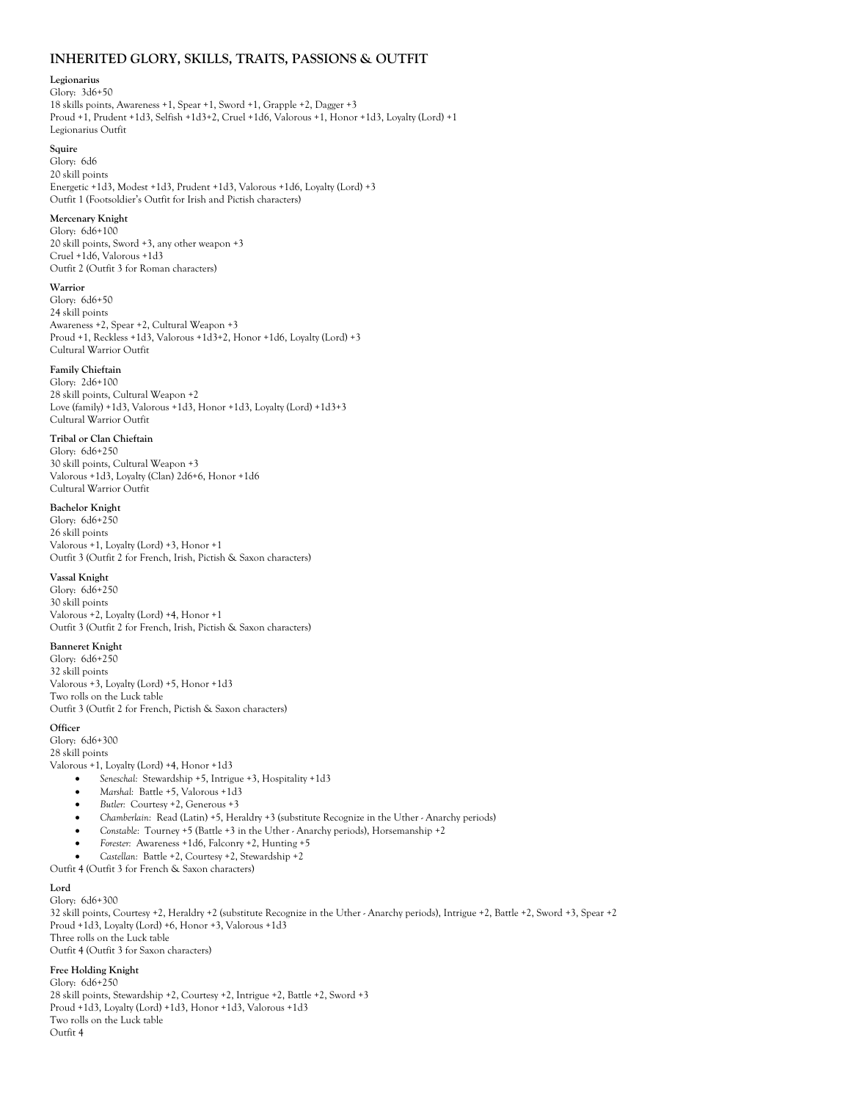## **INHERITED GLORY, SKILLS, TRAITS, PASSIONS & OUTFIT**

#### **Legionarius**

Glory: 3d6+50 18 skills points, Awareness +1, Spear +1, Sword +1, Grapple +2, Dagger +3 Proud +1, Prudent +1d3, Selfish +1d3+2, Cruel +1d6, Valorous +1, Honor +1d3, Loyalty (Lord) +1 Legionarius Outfit

#### **Squire**

Glory: 6d6 20 skill points Energetic +1d3, Modest +1d3, Prudent +1d3, Valorous +1d6, Loyalty (Lord) +3 Outfit 1 (Footsoldier's Outfit for Irish and Pictish characters)

### **Mercenary Knight**

Glory: 6d6+100 20 skill points, Sword +3, any other weapon +3 Cruel +1d6, Valorous +1d3 Outfit 2 (Outfit 3 for Roman characters)

#### **Warrior**

Glory: 6d6+50 24 skill points Awareness +2, Spear +2, Cultural Weapon +3 Proud +1, Reckless +1d3, Valorous +1d3+2, Honor +1d6, Loyalty (Lord) +3 Cultural Warrior Outfit

### **Family Chieftain**

Glory: 2d6+100 28 skill points, Cultural Weapon +2 Love (family) +1d3, Valorous +1d3, Honor +1d3, Loyalty (Lord) +1d3+3 Cultural Warrior Outfit

#### **Tribal or Clan Chieftain**

Glory: 6d6+250 30 skill points, Cultural Weapon +3 Valorous +1d3, Loyalty (Clan) 2d6+6, Honor +1d6 Cultural Warrior Outfit

#### **Bachelor Knight**

Glory: 6d6+250 26 skill points Valorous +1, Loyalty (Lord) +3, Honor +1 Outfit 3 (Outfit 2 for French, Irish, Pictish & Saxon characters)

#### **Vassal Knight**

Glory: 6d6+250 30 skill points Valorous +2, Loyalty (Lord) +4, Honor +1 Outfit 3 (Outfit 2 for French, Irish, Pictish & Saxon characters)

#### **Banneret Knight**

Glory: 6d6+250 32 skill points Valorous +3, Loyalty (Lord) +5, Honor +1d3 Two rolls on the Luck table Outfit 3 (Outfit 2 for French, Pictish & Saxon characters)

#### **Officer**

Glory: 6d6+300 28 skill points Valorous +1, Loyalty (Lord) +4, Honor +1d3

- *Seneschal:* Stewardship +5, Intrigue +3, Hospitality +1d3
- *Marshal:* Battle +5, Valorous +1d3
- *Butler:* Courtesy +2, Generous +3
- *Chamberlain:* Read (Latin) +5, Heraldry +3 (substitute Recognize in the Uther Anarchy periods)
- *Constable:* Tourney +5 (Battle +3 in the Uther Anarchy periods), Horsemanship +2
- *Forester:* Awareness +1d6, Falconry +2, Hunting +5
- *Castellan:* Battle +2, Courtesy +2, Stewardship +2

Outfit 4 (Outfit 3 for French & Saxon characters)

#### **Lord**

Glory: 6d6+300 32 skill points, Courtesy +2, Heraldry +2 (substitute Recognize in the Uther - Anarchy periods), Intrigue +2, Battle +2, Sword +3, Spear +2 Proud +1d3, Loyalty (Lord) +6, Honor +3, Valorous +1d3 Three rolls on the Luck table Outfit 4 (Outfit 3 for Saxon characters)

# **Free Holding Knight**

Glory: 6d6+250 28 skill points, Stewardship +2, Courtesy +2, Intrigue +2, Battle +2, Sword +3 Proud +1d3, Loyalty (Lord) +1d3, Honor +1d3, Valorous +1d3 Two rolls on the Luck table Outfit 4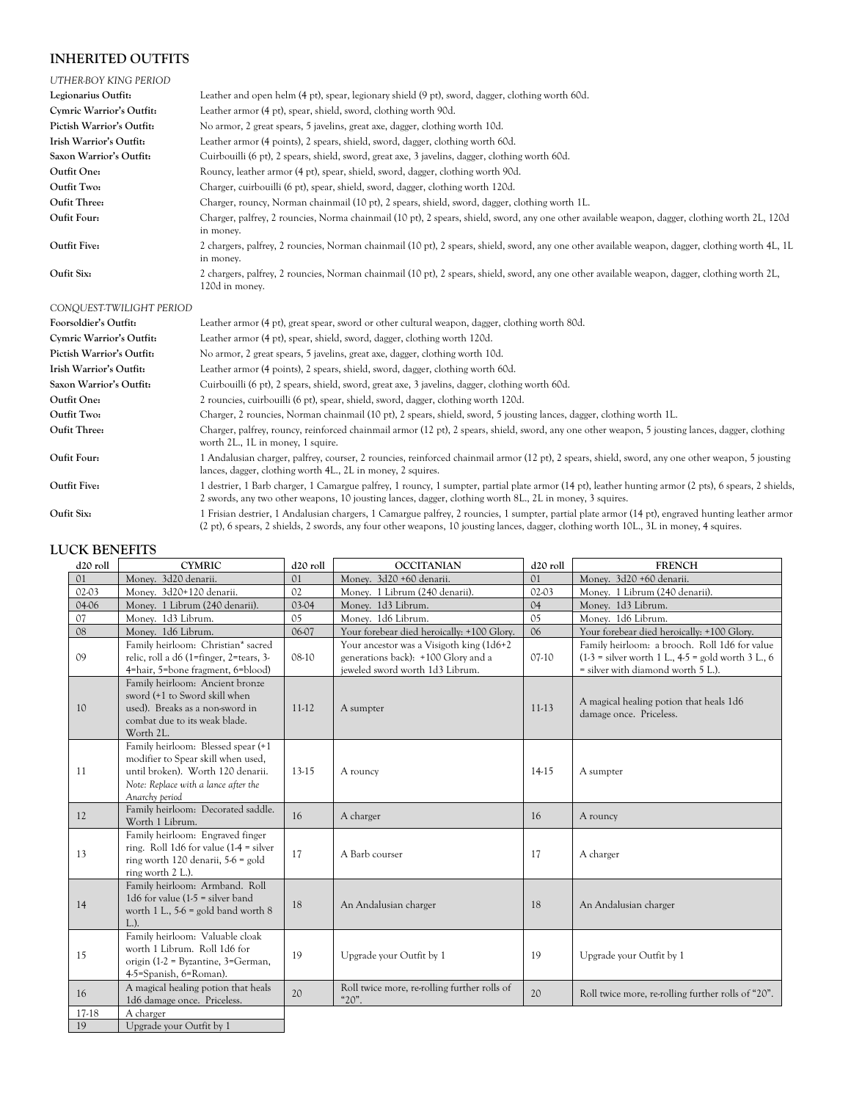# **INHERITED OUTFITS**

| UTHER-BOY KING PERIOD     |                                                                                                                                                                                                                                                                                             |
|---------------------------|---------------------------------------------------------------------------------------------------------------------------------------------------------------------------------------------------------------------------------------------------------------------------------------------|
| Legionarius Outfit:       | Leather and open helm (4 pt), spear, legionary shield (9 pt), sword, dagger, clothing worth 60d.                                                                                                                                                                                            |
| Cymric Warrior's Outfit:  | Leather armor (4 pt), spear, shield, sword, clothing worth 90d.                                                                                                                                                                                                                             |
| Pictish Warrior's Outfit: | No armor, 2 great spears, 5 javelins, great axe, dagger, clothing worth 10d.                                                                                                                                                                                                                |
| Irish Warrior's Outfit:   | Leather armor (4 points), 2 spears, shield, sword, dagger, clothing worth 60d.                                                                                                                                                                                                              |
| Saxon Warrior's Outfit:   | Cuirbouilli (6 pt), 2 spears, shield, sword, great axe, 3 javelins, dagger, clothing worth 60d.                                                                                                                                                                                             |
| Outfit One:               | Rouncy, leather armor (4 pt), spear, shield, sword, dagger, clothing worth 90d.                                                                                                                                                                                                             |
| Outfit Two:               | Charger, cuirbouilli (6 pt), spear, shield, sword, dagger, clothing worth 120d.                                                                                                                                                                                                             |
| Oufit Three:              | Charger, rouncy, Norman chainmail (10 pt), 2 spears, shield, sword, dagger, clothing worth 1L.                                                                                                                                                                                              |
| Oufit Four:               | Charger, palfrey, 2 rouncies, Norma chainmail (10 pt), 2 spears, shield, sword, any one other available weapon, dagger, clothing worth 2L, 120d<br>in money.                                                                                                                                |
| <b>Outfit Five:</b>       | 2 chargers, palfrey, 2 rouncies, Norman chainmail (10 pt), 2 spears, shield, sword, any one other available weapon, dagger, clothing worth 4L, 1L<br>in money.                                                                                                                              |
| Oufit Six:                | 2 chargers, palfrey, 2 rouncies, Norman chainmail (10 pt), 2 spears, shield, sword, any one other available weapon, dagger, clothing worth 2L,<br>120d in money.                                                                                                                            |
| CONQUEST-TWILIGHT PERIOD  |                                                                                                                                                                                                                                                                                             |
| Foorsoldier's Outfit:     | Leather armor (4 pt), great spear, sword or other cultural weapon, dagger, clothing worth 80d.                                                                                                                                                                                              |
| Cymric Warrior's Outfit:  | Leather armor (4 pt), spear, shield, sword, dagger, clothing worth 120d.                                                                                                                                                                                                                    |
| Pictish Warrior's Outfit: | No armor, 2 great spears, 5 javelins, great axe, dagger, clothing worth 10d.                                                                                                                                                                                                                |
| Irish Warrior's Outfit:   | Leather armor (4 points), 2 spears, shield, sword, dagger, clothing worth 60d.                                                                                                                                                                                                              |
| Saxon Warrior's Outfit:   | Cuirbouilli (6 pt), 2 spears, shield, sword, great axe, 3 javelins, dagger, clothing worth 60d.                                                                                                                                                                                             |
| Outfit One:               | 2 rouncies, cuirbouilli (6 pt), spear, shield, sword, dagger, clothing worth 120d.                                                                                                                                                                                                          |
| Outfit Two:               | Charger, 2 rouncies, Norman chainmail (10 pt), 2 spears, shield, sword, 5 jousting lances, dagger, clothing worth 1L.                                                                                                                                                                       |
| Oufit Three:              | Charger, palfrey, rouncy, reinforced chainmail armor (12 pt), 2 spears, shield, sword, any one other weapon, 5 jousting lances, dagger, clothing<br>worth 2L., 1L in money, 1 squire.                                                                                                       |
| Oufit Four:               | 1 Andalusian charger, palfrey, courser, 2 rouncies, reinforced chainmail armor (12 pt), 2 spears, shield, sword, any one other weapon, 5 jousting<br>lances, dagger, clothing worth 4L., 2L in money, 2 squires.                                                                            |
| <b>Outfit Five:</b>       | 1 destrier, 1 Barb charger, 1 Camargue palfrey, 1 rouncy, 1 sumpter, partial plate armor (14 pt), leather hunting armor (2 pts), 6 spears, 2 shields,<br>2 swords, any two other weapons, 10 jousting lances, dagger, clothing worth 8L., 2L in money, 3 squires.                           |
| Oufit Six:                | 1 Frisian destrier, 1 Andalusian chargers, 1 Camargue palfrey, 2 rouncies, 1 sumpter, partial plate armor (14 pt), engraved hunting leather armor<br>(2 pt), 6 spears, 2 shields, 2 swords, any four other weapons, 10 jousting lances, dagger, clothing worth 10L, 3L in money, 4 squires. |

# **LUCK BENEFITS**

| d20 roll       | <b>CYMRIC</b>                                                                                                                                                            | d <sub>20</sub> roll | <b>OCCITANIAN</b>                                                                                                   | d <sub>20</sub> roll | <b>FRENCH</b>                                                                                                                                |
|----------------|--------------------------------------------------------------------------------------------------------------------------------------------------------------------------|----------------------|---------------------------------------------------------------------------------------------------------------------|----------------------|----------------------------------------------------------------------------------------------------------------------------------------------|
| 01             | Money. 3d20 denarii.                                                                                                                                                     | O <sub>1</sub>       | Money. 3d20 +60 denarii.                                                                                            | O <sub>1</sub>       | Money. 3d20 +60 denarii.                                                                                                                     |
| 02-03          | Money. 3d20+120 denarii.                                                                                                                                                 | 02                   | Money. 1 Librum (240 denarii).                                                                                      | 02-03                | Money. 1 Librum (240 denarii).                                                                                                               |
| 04-06          | Money. 1 Librum (240 denarii).                                                                                                                                           | $03-04$              | Money. 1d3 Librum.                                                                                                  | 04                   | Money. 1d3 Librum.                                                                                                                           |
| O <sub>7</sub> | Money. 1d3 Librum.                                                                                                                                                       | 05                   | Money. 1d6 Librum.                                                                                                  | 05                   | Money. 1d6 Librum.                                                                                                                           |
| 08             | Money. 1d6 Librum.                                                                                                                                                       | 06-07                | Your forebear died heroically: +100 Glory.                                                                          | 06                   | Your forebear died heroically: +100 Glory.                                                                                                   |
| 09             | Family heirloom: Christian* sacred<br>relic, roll a d6 (1=finger, 2=tears, 3-<br>4=hair, 5=bone fragment, 6=blood)                                                       | $08-10$              | Your ancestor was a Visigoth king (1d6+2)<br>generations back): +100 Glory and a<br>jeweled sword worth 1d3 Librum. | $07-10$              | Family heirloom: a brooch. Roll 1d6 for value<br>$(1-3)$ = silver worth 1 L., 4-5 = gold worth 3 L., 6<br>= silver with diamond worth 5 L.). |
| 10             | Family heirloom: Ancient bronze<br>sword (+1 to Sword skill when<br>used). Breaks as a non-sword in<br>combat due to its weak blade.<br>Worth 2L.                        | $11-12$              | A sumpter                                                                                                           | $11-13$              | A magical healing potion that heals 1d6<br>damage once. Priceless.                                                                           |
| 11             | Family heirloom: Blessed spear (+1)<br>modifier to Spear skill when used,<br>until broken). Worth 120 denarii.<br>Note: Replace with a lance after the<br>Anarchy period | 13-15                | A rouncy                                                                                                            | 14-15                | A sumpter                                                                                                                                    |
| 12             | Family heirloom: Decorated saddle.<br>Worth 1 Librum.                                                                                                                    | 16                   | A charger                                                                                                           | 16                   | A rouncy                                                                                                                                     |
| 13             | Family heirloom: Engraved finger<br>ring. Roll 1d6 for value $(1-4)$ = silver<br>ring worth 120 denarii, 5-6 = gold<br>ring worth 2 L.).                                 | 17                   | A Barb courser                                                                                                      | 17                   | A charger                                                                                                                                    |
| 14             | Family heirloom: Armband. Roll<br>1d6 for value $(1-5)$ = silver band<br>worth 1 L., $5-6$ = gold band worth 8<br>$L.$ ).                                                | 18                   | An Andalusian charger                                                                                               | 18                   | An Andalusian charger                                                                                                                        |
| 15             | Family heirloom: Valuable cloak<br>worth 1 Librum. Roll 1d6 for<br>origin (1-2 = Byzantine, $3 = German$ ,<br>4-5=Spanish, 6=Roman).                                     | 19                   | Upgrade your Outfit by 1                                                                                            | 19                   | Upgrade your Outfit by 1                                                                                                                     |
| 16             | A magical healing potion that heals<br>1d6 damage once. Priceless.                                                                                                       | 20                   | Roll twice more, re-rolling further rolls of<br>"20".                                                               | 20                   | Roll twice more, re-rolling further rolls of "20".                                                                                           |
| 17-18          | A charger                                                                                                                                                                |                      |                                                                                                                     |                      |                                                                                                                                              |
| 19             | Upgrade your Outfit by 1                                                                                                                                                 |                      |                                                                                                                     |                      |                                                                                                                                              |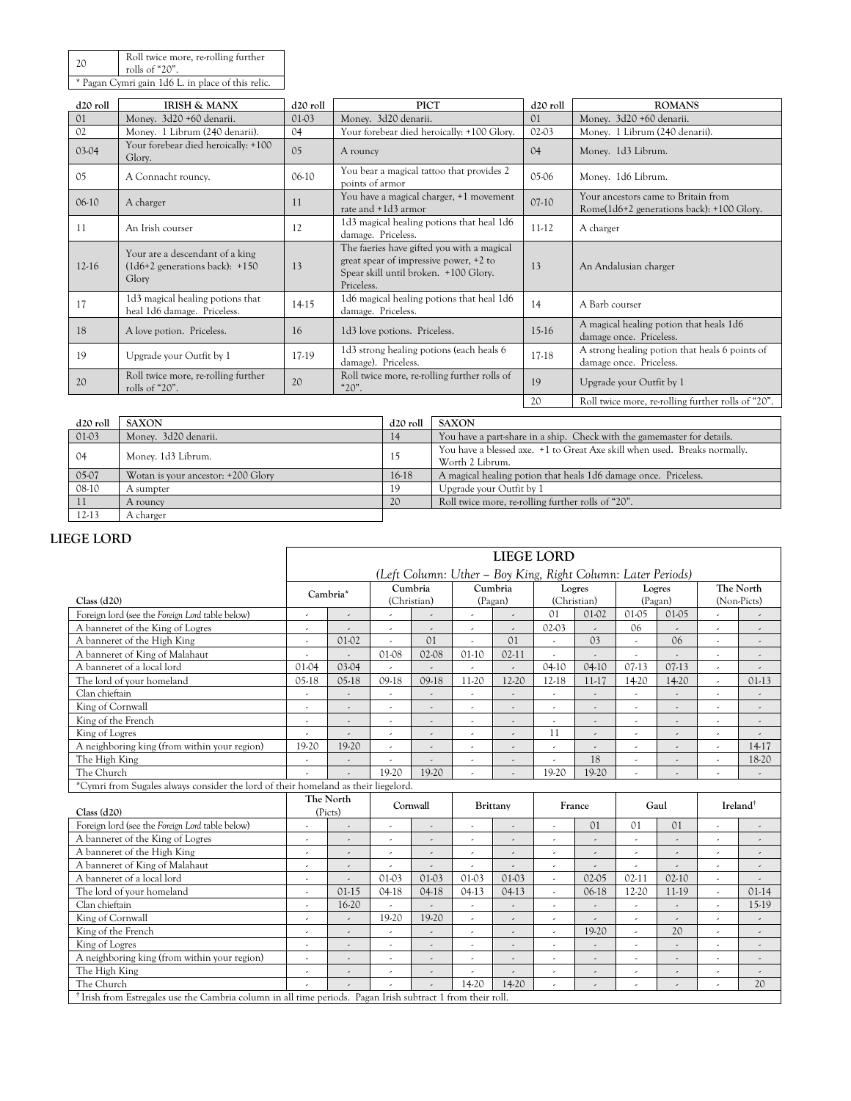| 20 | Roll twice more, re-rolling further<br>rolls of "20". |
|----|-------------------------------------------------------|
|    | * Pagan Cymri gain 1d6 L. in place of this relic.     |

| d <sub>20</sub> roll | <b>IRISH &amp; MANX</b>                                                         | d <sub>20</sub> roll | <b>PICT</b>                                                                                                                                 | d <sub>20</sub> roll | <b>ROMANS</b>                                                                    |
|----------------------|---------------------------------------------------------------------------------|----------------------|---------------------------------------------------------------------------------------------------------------------------------------------|----------------------|----------------------------------------------------------------------------------|
| 01                   | Money. 3d20 +60 denarii.                                                        | 01-03                | Money. 3d20 denarii.                                                                                                                        | 01                   | Money. 3d20 +60 denarii.                                                         |
| 02                   | Money. 1 Librum (240 denarii).                                                  | 04                   | Your forebear died heroically: +100 Glory.                                                                                                  | 02-03                | Money. 1 Librum (240 denarii).                                                   |
| 03-04                | Your forebear died heroically: +100<br>Glory.                                   | 0 <sub>5</sub>       | A rouncy                                                                                                                                    | 04                   | Money. 1d3 Librum.                                                               |
| 0 <sub>5</sub>       | A Connacht rouncy.                                                              | $06-10$              | You bear a magical tattoo that provides 2<br>points of armor                                                                                | 05-06                | Money. 1d6 Librum.                                                               |
| $06-10$              | A charger                                                                       | 11                   | You have a magical charger, +1 movement<br>rate and +1d3 armor                                                                              | $07-10$              | Your ancestors came to Britain from<br>Rome(1d6+2 generations back): +100 Glory. |
| 11                   | An Irish courser                                                                | 12                   | 1d3 magical healing potions that heal 1d6<br>damage. Priceless.                                                                             | $11-12$              | A charger                                                                        |
| $12-16$              | Your are a descendant of a king<br>$(1d6+2)$ generations back): $+150$<br>Glory | 13                   | The faeries have gifted you with a magical<br>great spear of impressive power, +2 to<br>Spear skill until broken. +100 Glory.<br>Priceless. | 13                   | An Andalusian charger                                                            |
| 17                   | 1d3 magical healing potions that<br>heal 1d6 damage. Priceless.                 | 14-15                | 1d6 magical healing potions that heal 1d6<br>damage. Priceless.                                                                             | 14                   | A Barb courser                                                                   |
| 18                   | A love potion. Priceless.                                                       | 16                   | 1d3 love potions. Priceless.                                                                                                                | $15-16$              | A magical healing potion that heals 1d6<br>damage once. Priceless.               |
| 19                   | Upgrade your Outfit by 1                                                        | 17-19                | 1d3 strong healing potions (each heals 6<br>damage). Priceless.                                                                             | 17-18                | A strong healing potion that heals 6 points of<br>damage once. Priceless.        |
| 20                   | Roll twice more, re-rolling further<br>rolls of " $20$ ".                       | 20                   | Roll twice more, re-rolling further rolls of<br>$"20"$ .                                                                                    | 19                   | Upgrade your Outfit by 1                                                         |
|                      |                                                                                 |                      |                                                                                                                                             | 20                   | Roll twice more, re-rolling further rolls of "20".                               |

| d <sub>20</sub> roll | <b>SAXON</b>                       | d <sub>20</sub> roll | <b>SAXON</b>                                                                                 |
|----------------------|------------------------------------|----------------------|----------------------------------------------------------------------------------------------|
| 01-03                | Money. 3d20 denarii.               | 14                   | You have a part-share in a ship. Check with the gamemaster for details.                      |
| 04                   | Money. 1d3 Librum.                 | 15                   | You have a blessed axe. +1 to Great Axe skill when used. Breaks normally,<br>Worth 2 Librum. |
| 05-07                | Wotan is your ancestor: +200 Glory | 16-18                | A magical healing potion that heals 1d6 damage once. Priceless.                              |
| 08-10                | A sumpter                          | 19                   | Upgrade your Outfit by 1                                                                     |
|                      | A rouncy                           | 20                   | Roll twice more, re-rolling further rolls of "20".                                           |
| 12-13                | A charger                          |                      |                                                                                              |

# **LIEGE LORD**

|                                                                                    | <b>LIEGE LORD</b>                                            |                          |                          |                          |                          |                          |                          |                          |                          |                          |                          |                          |
|------------------------------------------------------------------------------------|--------------------------------------------------------------|--------------------------|--------------------------|--------------------------|--------------------------|--------------------------|--------------------------|--------------------------|--------------------------|--------------------------|--------------------------|--------------------------|
|                                                                                    | (Left Column: Uther – Boy King, Right Column: Later Periods) |                          |                          |                          |                          |                          |                          |                          |                          |                          |                          |                          |
|                                                                                    |                                                              |                          | Cumbria                  |                          | Cumbria                  |                          | Logres                   |                          | Logres                   |                          | The North                |                          |
| Class (d20)                                                                        | Cambria*                                                     |                          | (Christian)              |                          | (Pagan)                  |                          |                          | (Christian)              | (Pagan)                  |                          | (Non-Picts)              |                          |
| Foreign lord (see the Foreign Lord table below)                                    | $\overline{\phantom{a}}$                                     | $\overline{\phantom{a}}$ |                          | $\overline{\phantom{a}}$ | $\overline{\phantom{a}}$ | $\overline{\phantom{a}}$ | $\Omega$ 1               | 01-02                    | $01-05$                  | $01-05$                  |                          |                          |
| A banneret of the King of Logres                                                   | $\overline{\phantom{a}}$                                     | $\overline{\phantom{a}}$ | $\epsilon$               | $\overline{\phantom{a}}$ | $\epsilon$               | $\overline{\phantom{a}}$ | 02-03                    |                          | 06                       |                          | $\epsilon$               | $\overline{\phantom{a}}$ |
| A banneret of the High King                                                        | $\overline{a}$                                               | 01-02                    |                          | 01                       | ä,                       | 01                       |                          | O <sub>3</sub>           |                          | 06                       | $\overline{\phantom{a}}$ | $\overline{\phantom{a}}$ |
| A banneret of King of Malahaut                                                     | $\epsilon$                                                   | $\lambda$                | 01-08                    | 02-08                    | $01-10$                  | $02 - 11$                | $\overline{a}$           | $\lambda$                | ä,                       |                          | $\epsilon$               | $\overline{\phantom{a}}$ |
| A banneret of a local lord                                                         | 01-04                                                        | 03-04                    | ÷.                       | $\overline{\phantom{a}}$ | J                        |                          | $04-10$                  | $04-10$                  | $07-13$                  | $07-13$                  | $\epsilon$               | $\overline{\phantom{a}}$ |
| The lord of your homeland                                                          | $05-18$                                                      | $05-18$                  | 09-18                    | $09-18$                  | 11-20                    | 12-20                    | 12-18                    | $11-17$                  | 14-20                    | 14-20                    | $\epsilon$               | $01-13$                  |
| Clan chieftain                                                                     | $\overline{\phantom{a}}$                                     | $\overline{\phantom{a}}$ | $\epsilon$               | $\overline{\phantom{a}}$ | $\overline{\phantom{a}}$ | ٠                        | $\overline{\phantom{a}}$ | $\overline{\phantom{a}}$ | ٠                        | $\overline{\phantom{a}}$ | ٠                        | ٠                        |
| King of Cornwall                                                                   | $\overline{\phantom{a}}$                                     | $\overline{\phantom{a}}$ | ٠                        | ٠                        | $\epsilon$               | ٠                        | ٠                        | $\overline{\phantom{a}}$ | ä,                       |                          | ٠                        | ٠                        |
| King of the French                                                                 | J.                                                           | $\overline{\phantom{a}}$ | $\epsilon$               | $\overline{\phantom{a}}$ | $\overline{\phantom{a}}$ | $\overline{\phantom{a}}$ |                          | ä,                       | J.                       | $\overline{\phantom{a}}$ | $\epsilon$               | $\overline{\phantom{a}}$ |
| King of Logres                                                                     | $\epsilon$                                                   | $\overline{a}$           | $\overline{a}$           | $\overline{\phantom{a}}$ | $\overline{\phantom{a}}$ | $\overline{\phantom{a}}$ | 11                       | $\overline{a}$           | $\overline{\phantom{a}}$ | $\overline{\phantom{a}}$ | $\epsilon$               | ٠                        |
| A neighboring king (from within your region)                                       | 19-20                                                        | 19-20                    | $\lambda$                | $\overline{\phantom{a}}$ | $\overline{\phantom{a}}$ | ,                        | ٠                        | $\overline{\phantom{a}}$ | ٠                        |                          | $\lambda$                | 14-17                    |
| The High King                                                                      | $\overline{\phantom{a}}$                                     | $\frac{1}{2}$            |                          |                          | $\overline{\phantom{a}}$ |                          |                          | 18                       |                          |                          |                          | 18-20                    |
| The Church                                                                         |                                                              |                          | 19-20                    | 19-20                    | $\overline{\phantom{a}}$ |                          | 19-20                    | 19-20                    |                          |                          |                          | $\overline{\phantom{a}}$ |
| *Cymri from Sugales always consider the lord of their homeland as their liegelord. |                                                              |                          |                          |                          |                          |                          |                          |                          |                          |                          |                          |                          |
|                                                                                    |                                                              |                          |                          |                          |                          |                          |                          |                          |                          |                          |                          |                          |
| Class (d20)                                                                        |                                                              | The North<br>(Picts)     | Cornwall                 |                          | Brittany                 |                          |                          | France                   |                          | Gaul                     |                          | Ireland <sup>†</sup>     |
| Foreign lord (see the Foreign Lord table below)                                    | $\overline{a}$                                               | $\overline{a}$           | $\overline{\phantom{a}}$ | $\overline{\phantom{a}}$ | $\lambda$                | $\lambda$                | $\overline{a}$           | O <sub>1</sub>           | $\Omega$ 1               | O <sub>1</sub>           | ä,                       | $\overline{\phantom{a}}$ |
| A banneret of the King of Logres                                                   |                                                              |                          | ä,                       |                          | $\overline{\phantom{a}}$ | J.                       | ,                        |                          |                          |                          |                          | J.                       |
| A banneret of the High King                                                        | $\overline{\phantom{a}}$                                     | ,                        |                          | $\overline{\phantom{a}}$ | $\overline{\phantom{a}}$ | ٠                        | $\overline{\phantom{a}}$ |                          | ٠                        |                          |                          |                          |
| A banneret of King of Malahaut                                                     | $\overline{\phantom{a}}$                                     | $\overline{\phantom{a}}$ | ٠                        | $\overline{\phantom{a}}$ | $\overline{\phantom{a}}$ | $\overline{\phantom{a}}$ | ٠                        | $\overline{\phantom{a}}$ | $\epsilon$               | $\overline{\phantom{a}}$ | $\epsilon$               | $\overline{\phantom{a}}$ |
| A banneret of a local lord                                                         | $\overline{\phantom{a}}$                                     | $\lambda$                | 01-03                    | $01-03$                  | 01-03                    | $01-03$                  | ä,                       | 02-05                    | $02-11$                  | $02-10$                  | $\epsilon$               | $\lambda$                |
| The lord of your homeland                                                          | J.                                                           | $01-15$                  | $04-18$                  | $04-18$                  | $04-13$                  | $04-13$                  | ä,                       | 06-18                    | 12-20                    | 11-19                    | $\overline{\phantom{a}}$ | $01-14$                  |
| Clan chieftain                                                                     | $\tilde{\phantom{a}}$                                        | 16-20                    |                          | $\overline{\phantom{a}}$ | $\epsilon$               | $\overline{\phantom{a}}$ | ٠                        | $\overline{\phantom{a}}$ | $\overline{\phantom{a}}$ | $\overline{\phantom{a}}$ | $\overline{\phantom{a}}$ | 15-19                    |
| King of Cornwall                                                                   | $\overline{\phantom{a}}$                                     | $\lambda$                | 19-20                    | 19-20                    | $\lambda$                | $\lambda$                | $\overline{a}$           |                          | $\overline{a}$           |                          |                          | J.                       |
| King of the French                                                                 |                                                              | ,                        |                          |                          | $\overline{\phantom{a}}$ |                          | J,                       | 19-20                    |                          | 20                       |                          | ,                        |
| King of Logres                                                                     | $\epsilon$                                                   | $\overline{\phantom{a}}$ | $\sigma$                 | $\overline{\phantom{a}}$ | $\overline{\phantom{a}}$ |                          | $\epsilon$               | $\overline{\phantom{a}}$ | $\epsilon$               | $\overline{\phantom{a}}$ | $\overline{\phantom{a}}$ | $\overline{\phantom{a}}$ |
| A neighboring king (from within your region)                                       | J.                                                           | $\lambda$                | ä,                       | $\overline{\phantom{a}}$ | $\epsilon$               | $\lambda$                | $\overline{\phantom{a}}$ | $\overline{a}$           | ä,                       |                          | $\lambda$                |                          |
| The High King                                                                      |                                                              | $\overline{a}$           | $\overline{a}$           | $\overline{\phantom{a}}$ | $\overline{\phantom{a}}$ | ٠                        | ä,                       | ٠                        | ٠                        |                          | ٠                        |                          |
| The Church                                                                         |                                                              |                          |                          |                          | 14-20                    | 14-20                    | J.                       |                          | $\overline{a}$           | $\overline{\phantom{a}}$ | $\lambda$                | 20                       |